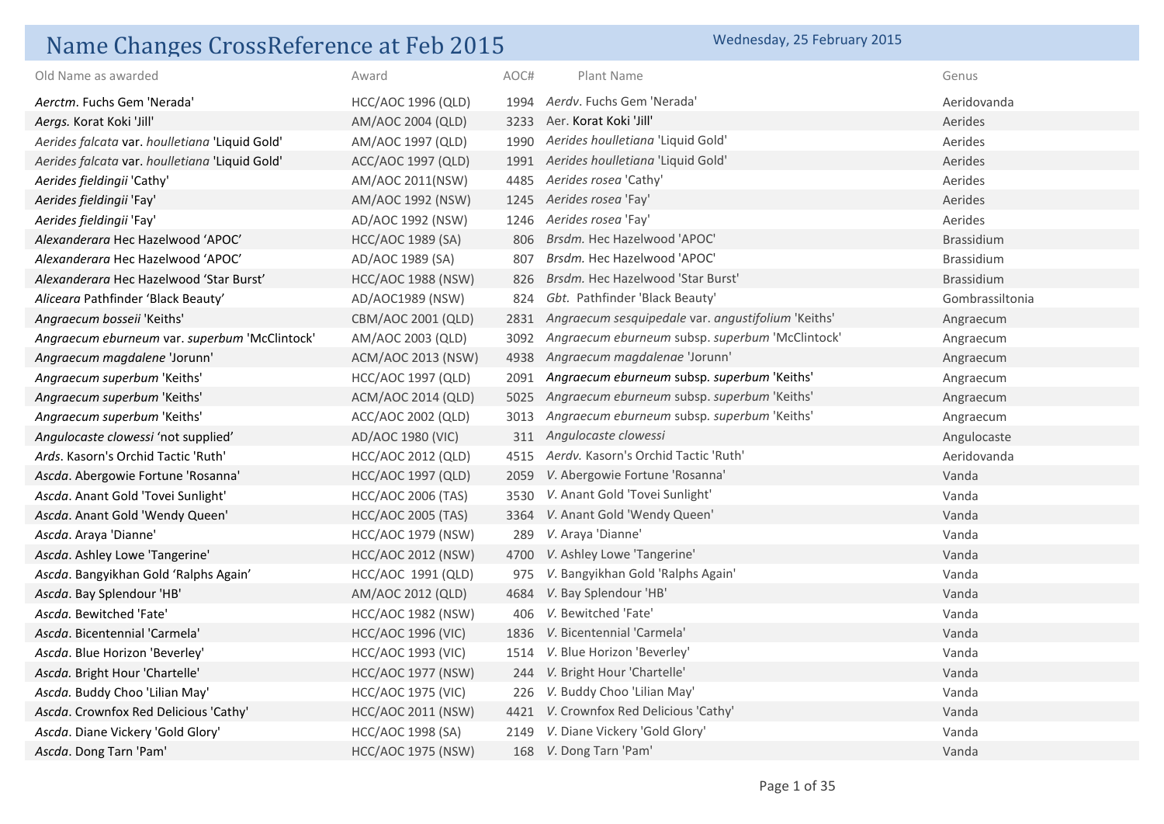## Name Changes CrossReference at Feb 2015 Wednesday, 25 February 2015

| Old Name as awarded                            | Award                     | AOC# | Plant Name                                              | Genus             |
|------------------------------------------------|---------------------------|------|---------------------------------------------------------|-------------------|
| Aerctm. Fuchs Gem 'Nerada'                     | <b>HCC/AOC 1996 (QLD)</b> |      | 1994 Aerdy, Fuchs Gem 'Nerada'                          | Aeridovanda       |
| Aergs. Korat Koki 'Jill'                       | AM/AOC 2004 (QLD)         |      | 3233 Aer. Korat Koki 'Jill'                             | Aerides           |
| Aerides falcata var. houlletiana 'Liquid Gold' | AM/AOC 1997 (QLD)         |      | 1990 Aerides houlletiana 'Liquid Gold'                  | Aerides           |
| Aerides falcata var. houlletiana 'Liquid Gold' | ACC/AOC 1997 (QLD)        |      | 1991 Aerides houlletiana 'Liquid Gold'                  | Aerides           |
| Aerides fieldingii 'Cathy'                     | AM/AOC 2011(NSW)          | 4485 | Aerides rosea 'Cathy'                                   | Aerides           |
| Aerides fieldingii 'Fay'                       | AM/AOC 1992 (NSW)         | 1245 | Aerides rosea 'Fay'                                     | Aerides           |
| Aerides fieldingii 'Fay'                       | AD/AOC 1992 (NSW)         | 1246 | Aerides rosea 'Fay'                                     | Aerides           |
| Alexanderara Hec Hazelwood 'APOC'              | HCC/AOC 1989 (SA)         | 806  | Brsdm. Hec Hazelwood 'APOC'                             | Brassidium        |
| Alexanderara Hec Hazelwood 'APOC'              | AD/AOC 1989 (SA)          | 807  | Brsdm. Hec Hazelwood 'APOC'                             | <b>Brassidium</b> |
| Alexanderara Hec Hazelwood 'Star Burst'        | HCC/AOC 1988 (NSW)        | 826  | Brsdm. Hec Hazelwood 'Star Burst'                       | Brassidium        |
| Aliceara Pathfinder 'Black Beauty'             | AD/AOC1989 (NSW)          | 824  | Gbt. Pathfinder 'Black Beauty'                          | Gombrassiltonia   |
| Angraecum bosseii 'Keiths'                     | CBM/AOC 2001 (QLD)        |      | 2831 Angraecum sesquipedale var. angustifolium 'Keiths' | Angraecum         |
| Angraecum eburneum var. superbum 'McClintock'  | AM/AOC 2003 (QLD)         | 3092 | Angraecum eburneum subsp. superbum 'McClintock'         | Angraecum         |
| Angraecum magdalene 'Jorunn'                   | ACM/AOC 2013 (NSW)        | 4938 | Angraecum magdalenae 'Jorunn'                           | Angraecum         |
| Angraecum superbum 'Keiths'                    | HCC/AOC 1997 (QLD)        | 2091 | Angraecum eburneum subsp. superbum 'Keiths'             | Angraecum         |
| Angraecum superbum 'Keiths'                    | ACM/AOC 2014 (QLD)        | 5025 | Angraecum eburneum subsp. superbum 'Keiths'             | Angraecum         |
| Angraecum superbum 'Keiths'                    | ACC/AOC 2002 (QLD)        |      | 3013 Angraecum eburneum subsp. superbum 'Keiths'        | Angraecum         |
| Angulocaste clowessi 'not supplied'            | AD/AOC 1980 (VIC)         |      | 311 Angulocaste clowessi                                | Angulocaste       |
| Ards. Kasorn's Orchid Tactic 'Ruth'            | HCC/AOC 2012 (QLD)        | 4515 | Aerdy. Kasorn's Orchid Tactic 'Ruth'                    | Aeridovanda       |
| Ascda. Abergowie Fortune 'Rosanna'             | <b>HCC/AOC 1997 (QLD)</b> | 2059 | V. Abergowie Fortune 'Rosanna'                          | Vanda             |
| Ascda. Anant Gold 'Tovei Sunlight'             | <b>HCC/AOC 2006 (TAS)</b> | 3530 | V. Anant Gold 'Tovei Sunlight'                          | Vanda             |
| Ascda. Anant Gold 'Wendy Queen'                | <b>HCC/AOC 2005 (TAS)</b> |      | 3364 V. Anant Gold 'Wendy Queen'                        | Vanda             |
| Ascda. Araya 'Dianne'                          | <b>HCC/AOC 1979 (NSW)</b> | 289  | V. Araya 'Dianne'                                       | Vanda             |
| Ascda. Ashley Lowe 'Tangerine'                 | <b>HCC/AOC 2012 (NSW)</b> | 4700 | V. Ashley Lowe 'Tangerine'                              | Vanda             |
| Ascda. Bangyikhan Gold 'Ralphs Again'          | HCC/AOC 1991 (QLD)        | 975  | V. Bangyikhan Gold 'Ralphs Again'                       | Vanda             |
| Ascda. Bay Splendour 'HB'                      | AM/AOC 2012 (QLD)         | 4684 | V. Bay Splendour 'HB'                                   | Vanda             |
| Ascda. Bewitched 'Fate'                        | <b>HCC/AOC 1982 (NSW)</b> | 406  | V. Bewitched 'Fate'                                     | Vanda             |
| Ascda. Bicentennial 'Carmela'                  | <b>HCC/AOC 1996 (VIC)</b> | 1836 | V. Bicentennial 'Carmela'                               | Vanda             |
| Ascda. Blue Horizon 'Beverley'                 | <b>HCC/AOC 1993 (VIC)</b> | 1514 | V. Blue Horizon 'Beverley'                              | Vanda             |
| Ascda. Bright Hour 'Chartelle'                 | <b>HCC/AOC 1977 (NSW)</b> |      | 244 V. Bright Hour 'Chartelle'                          | Vanda             |
| Ascda. Buddy Choo 'Lilian May'                 | <b>HCC/AOC 1975 (VIC)</b> | 226  | V. Buddy Choo 'Lilian May'                              | Vanda             |
| Ascda. Crownfox Red Delicious 'Cathy'          | HCC/AOC 2011 (NSW)        |      | 4421 V. Crownfox Red Delicious 'Cathy'                  | Vanda             |
| Ascda. Diane Vickery 'Gold Glory'              | HCC/AOC 1998 (SA)         | 2149 | V. Diane Vickery 'Gold Glory'                           | Vanda             |
| Ascda. Dong Tarn 'Pam'                         | <b>HCC/AOC 1975 (NSW)</b> |      | 168 V. Dong Tarn 'Pam'                                  | Vanda             |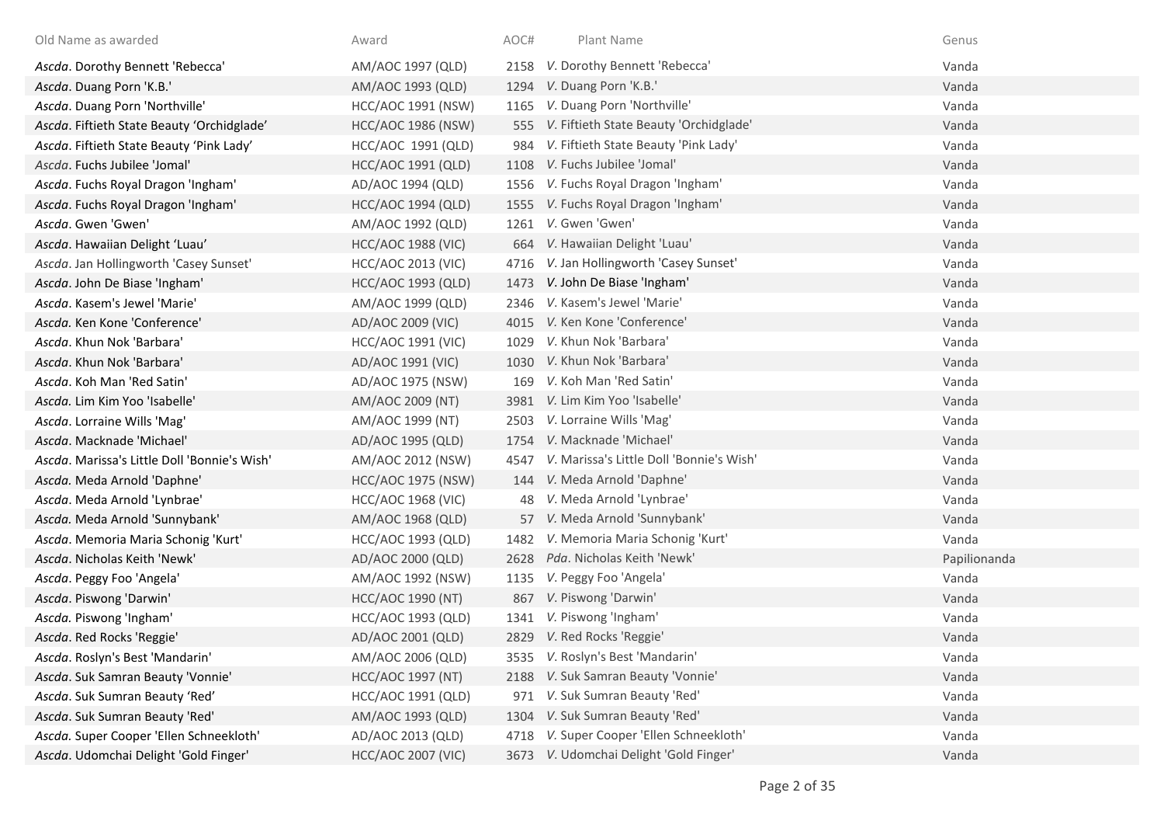| Old Name as awarded                          | Award                     | AOC# | Plant Name                                 | Genus        |
|----------------------------------------------|---------------------------|------|--------------------------------------------|--------------|
| Ascda. Dorothy Bennett 'Rebecca'             | AM/AOC 1997 (QLD)         | 2158 | V. Dorothy Bennett 'Rebecca'               | Vanda        |
| Ascda. Duang Porn 'K.B.'                     | AM/AOC 1993 (QLD)         |      | 1294 V. Duang Porn 'K.B.'                  | Vanda        |
| Ascda. Duang Porn 'Northville'               | <b>HCC/AOC 1991 (NSW)</b> |      | 1165 V. Duang Porn 'Northville'            | Vanda        |
| Ascda. Fiftieth State Beauty 'Orchidglade'   | <b>HCC/AOC 1986 (NSW)</b> |      | 555 V. Fiftieth State Beauty 'Orchidglade' | Vanda        |
| Ascda. Fiftieth State Beauty 'Pink Lady'     | HCC/AOC 1991 (QLD)        | 984  | V. Fiftieth State Beauty 'Pink Lady'       | Vanda        |
| Ascda. Fuchs Jubilee 'Jomal'                 | HCC/AOC 1991 (QLD)        | 1108 | V. Fuchs Jubilee 'Jomal'                   | Vanda        |
| Ascda. Fuchs Royal Dragon 'Ingham'           | AD/AOC 1994 (QLD)         |      | 1556 V. Fuchs Royal Dragon 'Ingham'        | Vanda        |
| Ascda. Fuchs Royal Dragon 'Ingham'           | <b>HCC/AOC 1994 (QLD)</b> |      | 1555 V. Fuchs Royal Dragon 'Ingham'        | Vanda        |
| Ascda. Gwen 'Gwen'                           | AM/AOC 1992 (QLD)         |      | 1261 V. Gwen 'Gwen'                        | Vanda        |
| Ascda. Hawaiian Delight 'Luau'               | <b>HCC/AOC 1988 (VIC)</b> | 664  | V. Hawaiian Delight 'Luau'                 | Vanda        |
| Ascda. Jan Hollingworth 'Casey Sunset'       | <b>HCC/AOC 2013 (VIC)</b> | 4716 | V. Jan Hollingworth 'Casey Sunset'         | Vanda        |
| Ascda. John De Biase 'Ingham'                | HCC/AOC 1993 (QLD)        | 1473 | V. John De Biase 'Ingham'                  | Vanda        |
| Ascda. Kasem's Jewel 'Marie'                 | AM/AOC 1999 (QLD)         | 2346 | V. Kasem's Jewel 'Marie'                   | Vanda        |
| Ascda. Ken Kone 'Conference'                 | AD/AOC 2009 (VIC)         | 4015 | V. Ken Kone 'Conference'                   | Vanda        |
| Ascda. Khun Nok 'Barbara'                    | <b>HCC/AOC 1991 (VIC)</b> | 1029 | V. Khun Nok 'Barbara'                      | Vanda        |
| Ascda. Khun Nok 'Barbara'                    | AD/AOC 1991 (VIC)         | 1030 | V. Khun Nok 'Barbara'                      | Vanda        |
| Ascda. Koh Man 'Red Satin'                   | AD/AOC 1975 (NSW)         | 169  | V. Koh Man 'Red Satin'                     | Vanda        |
| Ascda. Lim Kim Yoo 'Isabelle'                | AM/AOC 2009 (NT)          |      | 3981 V. Lim Kim Yoo 'Isabelle'             | Vanda        |
| Ascda. Lorraine Wills 'Mag'                  | AM/AOC 1999 (NT)          | 2503 | V. Lorraine Wills 'Mag'                    | Vanda        |
| Ascda. Macknade 'Michael'                    | AD/AOC 1995 (QLD)         | 1754 | V. Macknade 'Michael'                      | Vanda        |
| Ascda. Marissa's Little Doll 'Bonnie's Wish' | AM/AOC 2012 (NSW)         | 4547 | V. Marissa's Little Doll 'Bonnie's Wish'   | Vanda        |
| Ascda. Meda Arnold 'Daphne'                  | <b>HCC/AOC 1975 (NSW)</b> |      | 144 V. Meda Arnold 'Daphne'                | Vanda        |
| Ascda. Meda Arnold 'Lynbrae'                 | <b>HCC/AOC 1968 (VIC)</b> | 48   | V. Meda Arnold 'Lynbrae'                   | Vanda        |
| Ascda. Meda Arnold 'Sunnybank'               | AM/AOC 1968 (QLD)         | 57   | V. Meda Arnold 'Sunnybank'                 | Vanda        |
| Ascda. Memoria Maria Schonig 'Kurt'          | HCC/AOC 1993 (QLD)        | 1482 | V. Memoria Maria Schonig 'Kurt'            | Vanda        |
| Ascda. Nicholas Keith 'Newk'                 | AD/AOC 2000 (QLD)         | 2628 | Pda. Nicholas Keith 'Newk'                 | Papilionanda |
| Ascda. Peggy Foo 'Angela'                    | AM/AOC 1992 (NSW)         | 1135 | V. Peggy Foo 'Angela'                      | Vanda        |
| Ascda. Piswong 'Darwin'                      | HCC/AOC 1990 (NT)         | 867  | V. Piswong 'Darwin'                        | Vanda        |
| Ascda. Piswong 'Ingham'                      | HCC/AOC 1993 (QLD)        |      | 1341 V. Piswong 'Ingham'                   | Vanda        |
| Ascda. Red Rocks 'Reggie'                    | AD/AOC 2001 (QLD)         |      | 2829 V. Red Rocks 'Reggie'                 | Vanda        |
| Ascda. Roslyn's Best 'Mandarin'              | AM/AOC 2006 (QLD)         |      | 3535 V. Roslyn's Best 'Mandarin'           | Vanda        |
| Ascda. Suk Samran Beauty 'Vonnie'            | <b>HCC/AOC 1997 (NT)</b>  |      | 2188 V. Suk Samran Beauty 'Vonnie'         | Vanda        |
| Ascda. Suk Sumran Beauty 'Red'               | HCC/AOC 1991 (QLD)        | 971  | V. Suk Sumran Beauty 'Red'                 | Vanda        |
| Ascda. Suk Sumran Beauty 'Red'               | AM/AOC 1993 (QLD)         | 1304 | V. Suk Sumran Beauty 'Red'                 | Vanda        |
| Ascda. Super Cooper 'Ellen Schneekloth'      | AD/AOC 2013 (QLD)         | 4718 | V. Super Cooper 'Ellen Schneekloth'        | Vanda        |
| Ascda. Udomchai Delight 'Gold Finger'        | <b>HCC/AOC 2007 (VIC)</b> | 3673 | V. Udomchai Delight 'Gold Finger'          | Vanda        |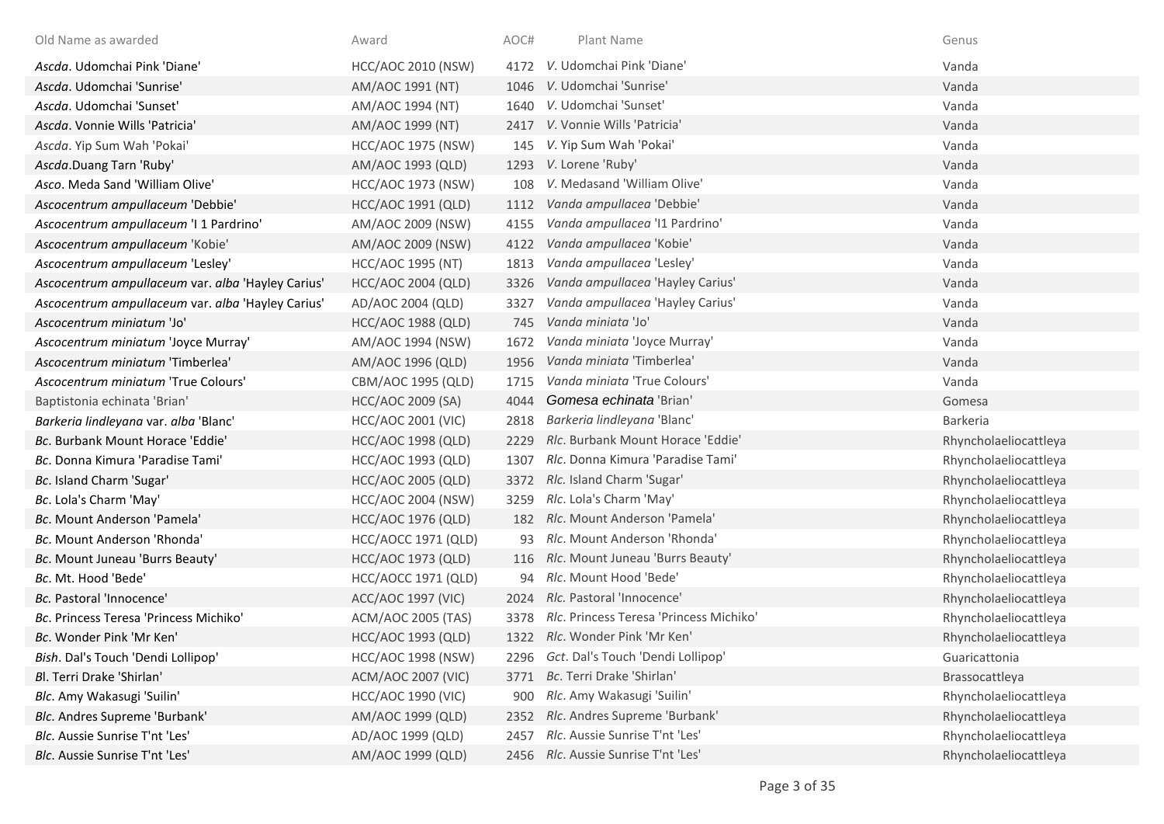| Old Name as awarded                               | Award                     | AOC# | Plant Name                              | Genus                 |
|---------------------------------------------------|---------------------------|------|-----------------------------------------|-----------------------|
| Ascda. Udomchai Pink 'Diane'                      | <b>HCC/AOC 2010 (NSW)</b> | 4172 | V. Udomchai Pink 'Diane'                | Vanda                 |
| Ascda. Udomchai 'Sunrise'                         | AM/AOC 1991 (NT)          | 1046 | V. Udomchai 'Sunrise'                   | Vanda                 |
| Ascda. Udomchai 'Sunset'                          | AM/AOC 1994 (NT)          |      | 1640 V. Udomchai 'Sunset'               | Vanda                 |
| Ascda. Vonnie Wills 'Patricia'                    | AM/AOC 1999 (NT)          |      | 2417 V. Vonnie Wills 'Patricia'         | Vanda                 |
| Ascda. Yip Sum Wah 'Pokai'                        | <b>HCC/AOC 1975 (NSW)</b> | 145  | V. Yip Sum Wah 'Pokai'                  | Vanda                 |
| Ascda.Duang Tarn 'Ruby'                           | AM/AOC 1993 (QLD)         | 1293 | V. Lorene 'Ruby'                        | Vanda                 |
| Asco. Meda Sand 'William Olive'                   | <b>HCC/AOC 1973 (NSW)</b> | 108  | V. Medasand 'William Olive'             | Vanda                 |
| Ascocentrum ampullaceum 'Debbie'                  | HCC/AOC 1991 (QLD)        | 1112 | Vanda ampullacea 'Debbie'               | Vanda                 |
| Ascocentrum ampullaceum 'I 1 Pardrino'            | AM/AOC 2009 (NSW)         | 4155 | Vanda ampullacea 'I1 Pardrino'          | Vanda                 |
| Ascocentrum ampullaceum 'Kobie'                   | AM/AOC 2009 (NSW)         | 4122 | Vanda ampullacea 'Kobie'                | Vanda                 |
| Ascocentrum ampullaceum 'Lesley'                  | <b>HCC/AOC 1995 (NT)</b>  | 1813 | Vanda ampullacea 'Lesley'               | Vanda                 |
| Ascocentrum ampullaceum var. alba 'Hayley Carius' | <b>HCC/AOC 2004 (QLD)</b> | 3326 | Vanda ampullacea 'Hayley Carius'        | Vanda                 |
| Ascocentrum ampullaceum var. alba 'Hayley Carius' | AD/AOC 2004 (QLD)         | 3327 | Vanda ampullacea 'Hayley Carius'        | Vanda                 |
| Ascocentrum miniatum 'Jo'                         | <b>HCC/AOC 1988 (QLD)</b> | 745  | Vanda miniata 'Jo'                      | Vanda                 |
| Ascocentrum miniatum 'Joyce Murray'               | AM/AOC 1994 (NSW)         | 1672 | Vanda miniata 'Joyce Murray'            | Vanda                 |
| Ascocentrum miniatum 'Timberlea'                  | AM/AOC 1996 (QLD)         | 1956 | Vanda miniata 'Timberlea'               | Vanda                 |
| Ascocentrum miniatum 'True Colours'               | CBM/AOC 1995 (QLD)        | 1715 | Vanda miniata 'True Colours'            | Vanda                 |
| Baptistonia echinata 'Brian'                      | HCC/AOC 2009 (SA)         | 4044 | Gomesa echinata 'Brian'                 | Gomesa                |
| Barkeria lindleyana var. alba 'Blanc'             | <b>HCC/AOC 2001 (VIC)</b> | 2818 | Barkeria lindleyana 'Blanc'             | Barkeria              |
| Bc. Burbank Mount Horace 'Eddie'                  | <b>HCC/AOC 1998 (QLD)</b> | 2229 | Rlc. Burbank Mount Horace 'Eddie'       | Rhyncholaeliocattleya |
| Bc. Donna Kimura 'Paradise Tami'                  | HCC/AOC 1993 (QLD)        | 1307 | Rlc. Donna Kimura 'Paradise Tami'       | Rhyncholaeliocattleya |
| Bc. Island Charm 'Sugar'                          | <b>HCC/AOC 2005 (QLD)</b> | 3372 | Rlc. Island Charm 'Sugar'               | Rhyncholaeliocattleya |
| Bc. Lola's Charm 'May'                            | <b>HCC/AOC 2004 (NSW)</b> | 3259 | Rlc. Lola's Charm 'May'                 | Rhyncholaeliocattleya |
| Bc. Mount Anderson 'Pamela'                       | <b>HCC/AOC 1976 (QLD)</b> |      | 182 Rlc. Mount Anderson 'Pamela'        | Rhyncholaeliocattleya |
| Bc. Mount Anderson 'Rhonda'                       | HCC/AOCC 1971 (QLD)       |      | Rlc. Mount Anderson 'Rhonda'            | Rhyncholaeliocattleya |
| Bc. Mount Juneau 'Burrs Beauty'                   | HCC/AOC 1973 (QLD)        | 116  | Rlc. Mount Juneau 'Burrs Beauty'        | Rhyncholaeliocattleya |
| Bc. Mt. Hood 'Bede'                               | HCC/AOCC 1971 (QLD)       | 94   | Rlc. Mount Hood 'Bede'                  | Rhyncholaeliocattleya |
| Bc. Pastoral 'Innocence'                          | ACC/AOC 1997 (VIC)        |      | 2024 Rlc. Pastoral 'Innocence'          | Rhyncholaeliocattleya |
| Bc. Princess Teresa 'Princess Michiko'            | ACM/AOC 2005 (TAS)        | 3378 | Rlc. Princess Teresa 'Princess Michiko' | Rhyncholaeliocattleya |
| Bc. Wonder Pink 'Mr Ken'                          | HCC/AOC 1993 (QLD)        |      | 1322 Rlc. Wonder Pink 'Mr Ken'          | Rhyncholaeliocattleya |
| Bish. Dal's Touch 'Dendi Lollipop'                | <b>HCC/AOC 1998 (NSW)</b> | 2296 | Gct. Dal's Touch 'Dendi Lollipop'       | Guaricattonia         |
| Bl. Terri Drake 'Shirlan'                         | <b>ACM/AOC 2007 (VIC)</b> |      | 3771 Bc. Terri Drake 'Shirlan'          | Brassocattleya        |
| Blc. Amy Wakasugi 'Suilin'                        | <b>HCC/AOC 1990 (VIC)</b> | 900  | Rlc. Amy Wakasugi 'Suilin'              | Rhyncholaeliocattleya |
| Blc. Andres Supreme 'Burbank'                     | AM/AOC 1999 (QLD)         | 2352 | Rlc. Andres Supreme 'Burbank'           | Rhyncholaeliocattleya |
| Blc. Aussie Sunrise T'nt 'Les'                    | AD/AOC 1999 (QLD)         | 2457 | Rlc. Aussie Sunrise T'nt 'Les'          | Rhyncholaeliocattleya |
| Blc. Aussie Sunrise T'nt 'Les'                    | AM/AOC 1999 (QLD)         |      | 2456 Rlc. Aussie Sunrise T'nt 'Les'     | Rhyncholaeliocattleya |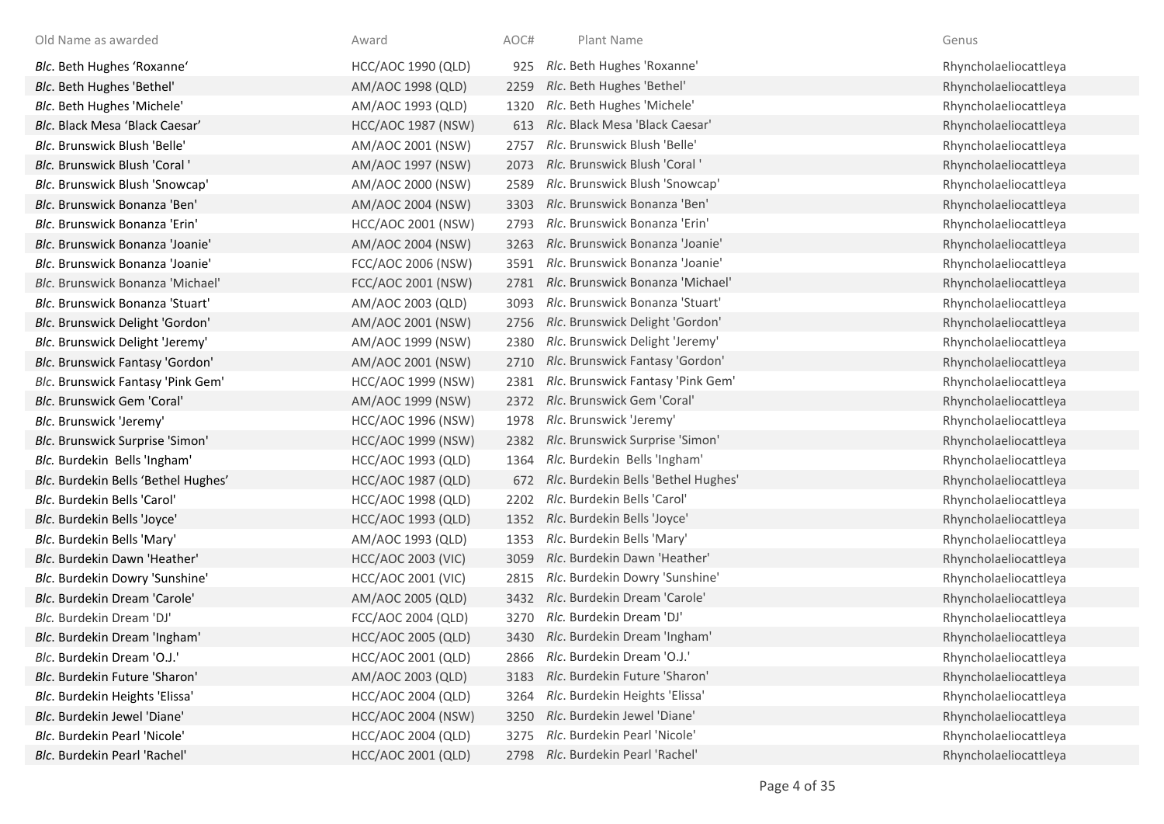| Old Name as awarded                 | Award                     | AOC# | Plant Name                          | Genus                 |
|-------------------------------------|---------------------------|------|-------------------------------------|-----------------------|
| Blc. Beth Hughes 'Roxanne'          | <b>HCC/AOC 1990 (QLD)</b> | 925  | Rlc. Beth Hughes 'Roxanne'          | Rhyncholaeliocattleya |
| Blc. Beth Hughes 'Bethel'           | AM/AOC 1998 (QLD)         | 2259 | Rlc. Beth Hughes 'Bethel'           | Rhyncholaeliocattleya |
| Blc. Beth Hughes 'Michele'          | AM/AOC 1993 (QLD)         | 1320 | Rlc. Beth Hughes 'Michele'          | Rhyncholaeliocattleya |
| Blc. Black Mesa 'Black Caesar'      | <b>HCC/AOC 1987 (NSW)</b> | 613  | Rlc. Black Mesa 'Black Caesar'      | Rhyncholaeliocattleya |
| Blc. Brunswick Blush 'Belle'        | AM/AOC 2001 (NSW)         | 2757 | Rlc. Brunswick Blush 'Belle'        | Rhyncholaeliocattleya |
| Blc. Brunswick Blush 'Coral '       | AM/AOC 1997 (NSW)         | 2073 | Rlc. Brunswick Blush 'Coral '       | Rhyncholaeliocattleya |
| Blc. Brunswick Blush 'Snowcap'      | AM/AOC 2000 (NSW)         | 2589 | Rlc. Brunswick Blush 'Snowcap'      | Rhyncholaeliocattleya |
| Blc. Brunswick Bonanza 'Ben'        | AM/AOC 2004 (NSW)         | 3303 | Rlc. Brunswick Bonanza 'Ben'        | Rhyncholaeliocattleya |
| Blc. Brunswick Bonanza 'Erin'       | <b>HCC/AOC 2001 (NSW)</b> | 2793 | Rlc. Brunswick Bonanza 'Erin'       | Rhyncholaeliocattleya |
| Blc. Brunswick Bonanza 'Joanie'     | AM/AOC 2004 (NSW)         | 3263 | Rlc. Brunswick Bonanza 'Joanie'     | Rhyncholaeliocattleya |
| Blc. Brunswick Bonanza 'Joanie'     | FCC/AOC 2006 (NSW)        | 3591 | Rlc. Brunswick Bonanza 'Joanie'     | Rhyncholaeliocattleya |
| Blc. Brunswick Bonanza 'Michael'    | FCC/AOC 2001 (NSW)        | 2781 | Rlc. Brunswick Bonanza 'Michael'    | Rhyncholaeliocattleya |
| Blc. Brunswick Bonanza 'Stuart'     | AM/AOC 2003 (QLD)         | 3093 | Rlc. Brunswick Bonanza 'Stuart'     | Rhyncholaeliocattleya |
| Blc. Brunswick Delight 'Gordon'     | AM/AOC 2001 (NSW)         | 2756 | Rlc. Brunswick Delight 'Gordon'     | Rhyncholaeliocattleya |
| Blc. Brunswick Delight 'Jeremy'     | AM/AOC 1999 (NSW)         | 2380 | Rlc. Brunswick Delight 'Jeremy'     | Rhyncholaeliocattleya |
| Blc. Brunswick Fantasy 'Gordon'     | AM/AOC 2001 (NSW)         | 2710 | Rlc. Brunswick Fantasy 'Gordon'     | Rhyncholaeliocattleya |
| Blc. Brunswick Fantasy 'Pink Gem'   | <b>HCC/AOC 1999 (NSW)</b> | 2381 | Rlc. Brunswick Fantasy 'Pink Gem'   | Rhyncholaeliocattleya |
| Blc. Brunswick Gem 'Coral'          | AM/AOC 1999 (NSW)         | 2372 | Rlc. Brunswick Gem 'Coral'          | Rhyncholaeliocattleya |
| Blc. Brunswick 'Jeremy'             | <b>HCC/AOC 1996 (NSW)</b> | 1978 | Rlc. Brunswick 'Jeremy'             | Rhyncholaeliocattleya |
| Blc. Brunswick Surprise 'Simon'     | <b>HCC/AOC 1999 (NSW)</b> | 2382 | Rlc. Brunswick Surprise 'Simon'     | Rhyncholaeliocattleya |
| Blc. Burdekin Bells 'Ingham'        | HCC/AOC 1993 (QLD)        | 1364 | Rlc. Burdekin Bells 'Ingham'        | Rhyncholaeliocattleya |
| Blc. Burdekin Bells 'Bethel Hughes' | <b>HCC/AOC 1987 (QLD)</b> | 672  | Rlc. Burdekin Bells 'Bethel Hughes' | Rhyncholaeliocattleya |
| Blc. Burdekin Bells 'Carol'         | <b>HCC/AOC 1998 (QLD)</b> | 2202 | Rlc. Burdekin Bells 'Carol'         | Rhyncholaeliocattleya |
| Blc. Burdekin Bells 'Joyce'         | <b>HCC/AOC 1993 (QLD)</b> | 1352 | Rlc. Burdekin Bells 'Joyce'         | Rhyncholaeliocattleya |
| Blc. Burdekin Bells 'Mary'          | AM/AOC 1993 (QLD)         | 1353 | Rlc. Burdekin Bells 'Mary'          | Rhyncholaeliocattleya |
| Blc. Burdekin Dawn 'Heather'        | <b>HCC/AOC 2003 (VIC)</b> | 3059 | Rlc. Burdekin Dawn 'Heather'        | Rhyncholaeliocattleya |
| Blc. Burdekin Dowry 'Sunshine'      | <b>HCC/AOC 2001 (VIC)</b> | 2815 | Rlc. Burdekin Dowry 'Sunshine'      | Rhyncholaeliocattleya |
| Blc. Burdekin Dream 'Carole'        | AM/AOC 2005 (QLD)         | 3432 | Rlc. Burdekin Dream 'Carole'        | Rhyncholaeliocattleya |
| Blc. Burdekin Dream 'DJ'            | FCC/AOC 2004 (QLD)        | 3270 | Rlc. Burdekin Dream 'DJ'            | Rhyncholaeliocattleya |
| Blc. Burdekin Dream 'Ingham'        | <b>HCC/AOC 2005 (QLD)</b> | 3430 | Rlc. Burdekin Dream 'Ingham'        | Rhyncholaeliocattleya |
| Blc. Burdekin Dream 'O.J.'          | HCC/AOC 2001 (QLD)        | 2866 | Rlc. Burdekin Dream 'O.J.'          | Rhyncholaeliocattleya |
| Blc. Burdekin Future 'Sharon'       | AM/AOC 2003 (QLD)         | 3183 | Rlc. Burdekin Future 'Sharon'       | Rhyncholaeliocattleya |
| Blc. Burdekin Heights 'Elissa'      | <b>HCC/AOC 2004 (QLD)</b> | 3264 | Rlc. Burdekin Heights 'Elissa'      | Rhyncholaeliocattleya |
| Blc. Burdekin Jewel 'Diane'         | <b>HCC/AOC 2004 (NSW)</b> | 3250 | Rlc. Burdekin Jewel 'Diane'         | Rhyncholaeliocattleya |
| Blc. Burdekin Pearl 'Nicole'        | <b>HCC/AOC 2004 (QLD)</b> | 3275 | Rlc. Burdekin Pearl 'Nicole'        | Rhyncholaeliocattleya |
| Blc. Burdekin Pearl 'Rachel'        | HCC/AOC 2001 (QLD)        | 2798 | Rlc. Burdekin Pearl 'Rachel'        | Rhyncholaeliocattleya |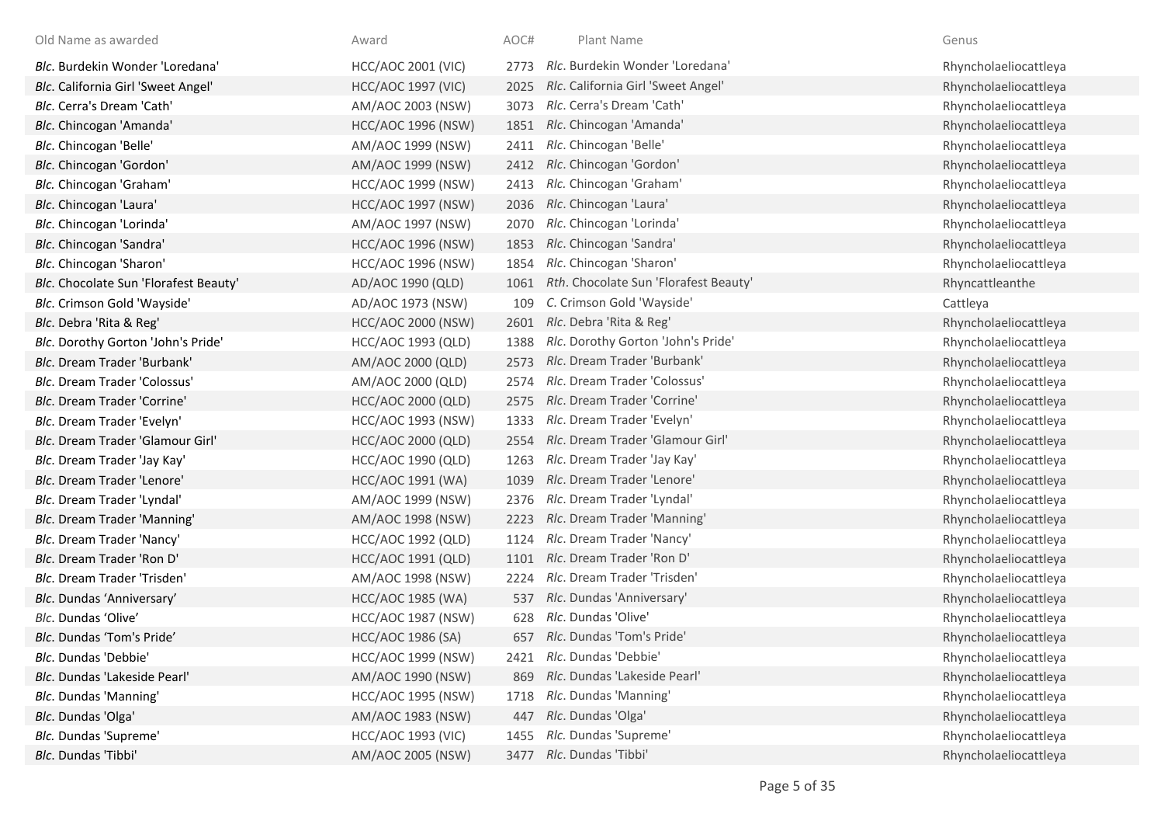| Old Name as awarded                   | Award                     | AOC# | Plant Name                            | Genus                 |
|---------------------------------------|---------------------------|------|---------------------------------------|-----------------------|
| Blc. Burdekin Wonder 'Loredana'       | <b>HCC/AOC 2001 (VIC)</b> | 2773 | Rlc. Burdekin Wonder 'Loredana'       | Rhyncholaeliocattleya |
| Blc. California Girl 'Sweet Angel'    | <b>HCC/AOC 1997 (VIC)</b> | 2025 | Rlc. California Girl 'Sweet Angel'    | Rhyncholaeliocattleya |
| Blc. Cerra's Dream 'Cath'             | AM/AOC 2003 (NSW)         | 3073 | Rlc. Cerra's Dream 'Cath'             | Rhyncholaeliocattleya |
| Blc. Chincogan 'Amanda'               | <b>HCC/AOC 1996 (NSW)</b> | 1851 | Rlc. Chincogan 'Amanda'               | Rhyncholaeliocattleya |
| Blc. Chincogan 'Belle'                | AM/AOC 1999 (NSW)         | 2411 | Rlc. Chincogan 'Belle'                | Rhyncholaeliocattleya |
| Blc. Chincogan 'Gordon'               | AM/AOC 1999 (NSW)         | 2412 | Rlc. Chincogan 'Gordon'               | Rhyncholaeliocattleya |
| Blc. Chincogan 'Graham'               | <b>HCC/AOC 1999 (NSW)</b> | 2413 | Rlc. Chincogan 'Graham'               | Rhyncholaeliocattleya |
| Blc. Chincogan 'Laura'                | <b>HCC/AOC 1997 (NSW)</b> | 2036 | Rlc. Chincogan 'Laura'                | Rhyncholaeliocattleya |
| Blc. Chincogan 'Lorinda'              | AM/AOC 1997 (NSW)         | 2070 | Rlc. Chincogan 'Lorinda'              | Rhyncholaeliocattleya |
| Blc. Chincogan 'Sandra'               | <b>HCC/AOC 1996 (NSW)</b> | 1853 | Rlc. Chincogan 'Sandra'               | Rhyncholaeliocattleya |
| Blc. Chincogan 'Sharon'               | <b>HCC/AOC 1996 (NSW)</b> | 1854 | Rlc. Chincogan 'Sharon'               | Rhyncholaeliocattleya |
| Blc. Chocolate Sun 'Florafest Beauty' | AD/AOC 1990 (QLD)         | 1061 | Rth. Chocolate Sun 'Florafest Beauty' | Rhyncattleanthe       |
| Blc. Crimson Gold 'Wayside'           | AD/AOC 1973 (NSW)         | 109  | C. Crimson Gold 'Wayside'             | Cattleya              |
| Blc. Debra 'Rita & Reg'               | <b>HCC/AOC 2000 (NSW)</b> | 2601 | Rlc. Debra 'Rita & Reg'               | Rhyncholaeliocattleya |
| Blc. Dorothy Gorton 'John's Pride'    | HCC/AOC 1993 (QLD)        | 1388 | Rlc. Dorothy Gorton 'John's Pride'    | Rhyncholaeliocattleya |
| Blc. Dream Trader 'Burbank'           | AM/AOC 2000 (QLD)         | 2573 | Rlc. Dream Trader 'Burbank'           | Rhyncholaeliocattleya |
| Blc. Dream Trader 'Colossus'          | AM/AOC 2000 (QLD)         | 2574 | Rlc. Dream Trader 'Colossus'          | Rhyncholaeliocattleya |
| <b>Blc. Dream Trader 'Corrine'</b>    | HCC/AOC 2000 (QLD)        | 2575 | Rlc. Dream Trader 'Corrine'           | Rhyncholaeliocattleya |
| Blc. Dream Trader 'Evelyn'            | <b>HCC/AOC 1993 (NSW)</b> | 1333 | Rlc. Dream Trader 'Evelyn'            | Rhyncholaeliocattleya |
| Blc. Dream Trader 'Glamour Girl'      | HCC/AOC 2000 (QLD)        | 2554 | Rlc. Dream Trader 'Glamour Girl'      | Rhyncholaeliocattleya |
| Blc. Dream Trader 'Jay Kay'           | HCC/AOC 1990 (QLD)        | 1263 | Rlc. Dream Trader 'Jay Kay'           | Rhyncholaeliocattleya |
| Blc. Dream Trader 'Lenore'            | HCC/AOC 1991 (WA)         | 1039 | Rlc. Dream Trader 'Lenore'            | Rhyncholaeliocattleya |
| Blc. Dream Trader 'Lyndal'            | AM/AOC 1999 (NSW)         | 2376 | Rlc. Dream Trader 'Lyndal'            | Rhyncholaeliocattleya |
| Blc. Dream Trader 'Manning'           | AM/AOC 1998 (NSW)         | 2223 | Rlc. Dream Trader 'Manning'           | Rhyncholaeliocattleya |
| Blc. Dream Trader 'Nancy'             | <b>HCC/AOC 1992 (QLD)</b> | 1124 | Rlc. Dream Trader 'Nancy'             | Rhyncholaeliocattleya |
| Blc. Dream Trader 'Ron D'             | HCC/AOC 1991 (QLD)        | 1101 | Rlc. Dream Trader 'Ron D'             | Rhyncholaeliocattleya |
| Blc. Dream Trader 'Trisden'           | AM/AOC 1998 (NSW)         | 2224 | Rlc. Dream Trader 'Trisden'           | Rhyncholaeliocattleya |
| Blc. Dundas 'Anniversary'             | HCC/AOC 1985 (WA)         | 537  | Rlc. Dundas 'Anniversary'             | Rhyncholaeliocattleya |
| Blc. Dundas 'Olive'                   | <b>HCC/AOC 1987 (NSW)</b> | 628  | Rlc. Dundas 'Olive'                   | Rhyncholaeliocattleya |
| Blc. Dundas 'Tom's Pride'             | <b>HCC/AOC 1986 (SA)</b>  | 657  | Rlc. Dundas 'Tom's Pride'             | Rhyncholaeliocattleya |
| Blc. Dundas 'Debbie'                  | <b>HCC/AOC 1999 (NSW)</b> |      | 2421 Rlc. Dundas 'Debbie'             | Rhyncholaeliocattleya |
| Blc. Dundas 'Lakeside Pearl'          | AM/AOC 1990 (NSW)         | 869  | Rlc. Dundas 'Lakeside Pearl'          | Rhyncholaeliocattleya |
| Blc. Dundas 'Manning'                 | <b>HCC/AOC 1995 (NSW)</b> | 1718 | Rlc. Dundas 'Manning'                 | Rhyncholaeliocattleya |
| Blc. Dundas 'Olga'                    | AM/AOC 1983 (NSW)         | 447  | Rlc. Dundas 'Olga'                    | Rhyncholaeliocattleya |
| Blc. Dundas 'Supreme'                 | <b>HCC/AOC 1993 (VIC)</b> | 1455 | Rlc. Dundas 'Supreme'                 | Rhyncholaeliocattleya |
| Blc. Dundas 'Tibbi'                   | AM/AOC 2005 (NSW)         | 3477 | Rlc. Dundas 'Tibbi'                   | Rhyncholaeliocattleya |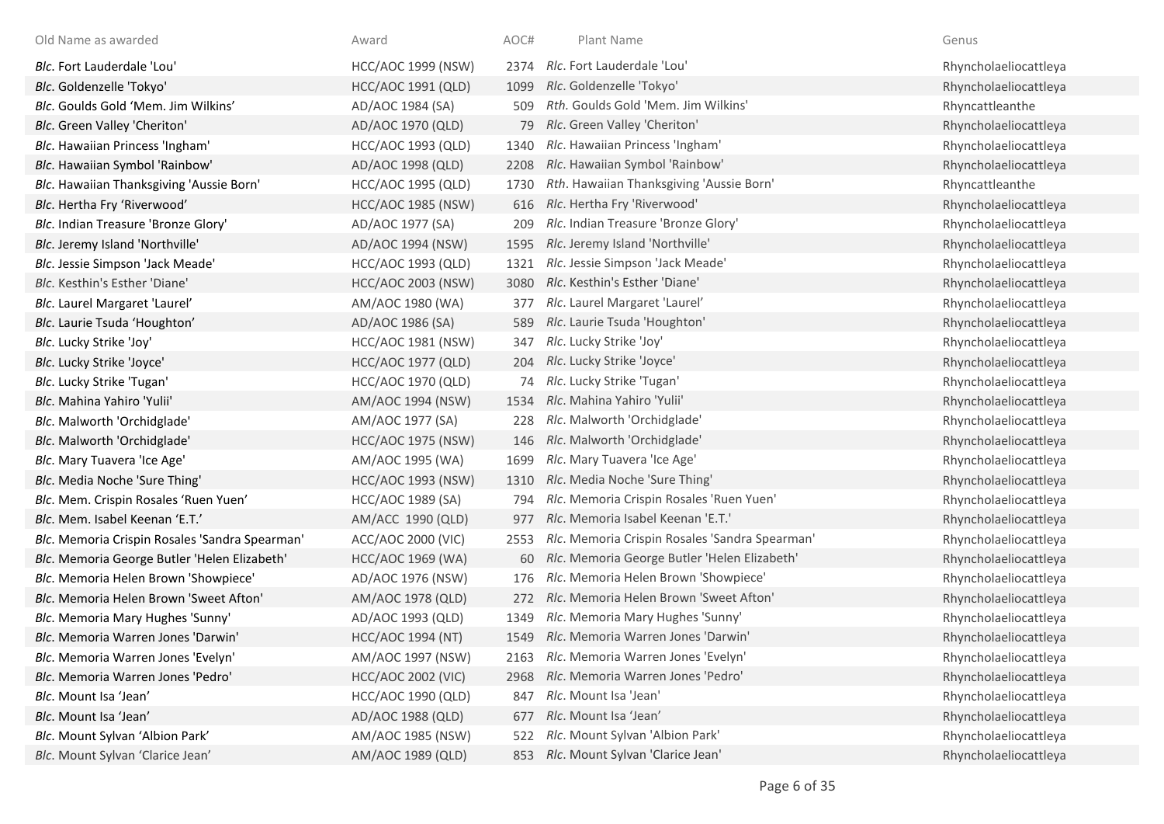| Old Name as awarded                            | Award                     | AOC# | Plant Name                                     | Genus                 |
|------------------------------------------------|---------------------------|------|------------------------------------------------|-----------------------|
| Blc. Fort Lauderdale 'Lou'                     | <b>HCC/AOC 1999 (NSW)</b> | 2374 | Rlc. Fort Lauderdale 'Lou'                     | Rhyncholaeliocattleya |
| Blc. Goldenzelle 'Tokyo'                       | HCC/AOC 1991 (QLD)        | 1099 | Rlc. Goldenzelle 'Tokyo'                       | Rhyncholaeliocattleya |
| Blc. Goulds Gold 'Mem. Jim Wilkins'            | AD/AOC 1984 (SA)          | 509  | Rth. Goulds Gold 'Mem. Jim Wilkins'            | Rhyncattleanthe       |
| Blc. Green Valley 'Cheriton'                   | AD/AOC 1970 (QLD)         | 79   | Rlc. Green Valley 'Cheriton'                   | Rhyncholaeliocattleya |
| Blc. Hawaiian Princess 'Ingham'                | HCC/AOC 1993 (QLD)        | 1340 | Rlc. Hawaiian Princess 'Ingham'                | Rhyncholaeliocattleya |
| Blc. Hawaiian Symbol 'Rainbow'                 | AD/AOC 1998 (QLD)         | 2208 | Rlc. Hawaiian Symbol 'Rainbow'                 | Rhyncholaeliocattleya |
| Blc. Hawaiian Thanksgiving 'Aussie Born'       | <b>HCC/AOC 1995 (QLD)</b> | 1730 | Rth. Hawaiian Thanksgiving 'Aussie Born'       | Rhyncattleanthe       |
| Blc. Hertha Fry 'Riverwood'                    | <b>HCC/AOC 1985 (NSW)</b> | 616  | Rlc. Hertha Fry 'Riverwood'                    | Rhyncholaeliocattleya |
| Blc. Indian Treasure 'Bronze Glory'            | AD/AOC 1977 (SA)          | 209  | Rlc. Indian Treasure 'Bronze Glory'            | Rhyncholaeliocattleya |
| Blc. Jeremy Island 'Northville'                | AD/AOC 1994 (NSW)         | 1595 | Rlc. Jeremy Island 'Northville'                | Rhyncholaeliocattleya |
| Blc. Jessie Simpson 'Jack Meade'               | HCC/AOC 1993 (QLD)        | 1321 | Rlc. Jessie Simpson 'Jack Meade'               | Rhyncholaeliocattleya |
| Blc. Kesthin's Esther 'Diane'                  | <b>HCC/AOC 2003 (NSW)</b> | 3080 | Rlc. Kesthin's Esther 'Diane'                  | Rhyncholaeliocattleya |
| Blc. Laurel Margaret 'Laurel'                  | AM/AOC 1980 (WA)          | 377  | Rlc. Laurel Margaret 'Laurel'                  | Rhyncholaeliocattleya |
| Blc. Laurie Tsuda 'Houghton'                   | AD/AOC 1986 (SA)          | 589  | Rlc. Laurie Tsuda 'Houghton'                   | Rhyncholaeliocattleya |
| Blc. Lucky Strike 'Joy'                        | <b>HCC/AOC 1981 (NSW)</b> | 347  | Rlc. Lucky Strike 'Joy'                        | Rhyncholaeliocattleya |
| Blc. Lucky Strike 'Joyce'                      | HCC/AOC 1977 (QLD)        | 204  | Rlc. Lucky Strike 'Joyce'                      | Rhyncholaeliocattleya |
| Blc. Lucky Strike 'Tugan'                      | HCC/AOC 1970 (QLD)        | 74   | Rlc. Lucky Strike 'Tugan'                      | Rhyncholaeliocattleya |
| Blc. Mahina Yahiro 'Yulii'                     | AM/AOC 1994 (NSW)         | 1534 | Rlc. Mahina Yahiro 'Yulii'                     | Rhyncholaeliocattleya |
| Blc. Malworth 'Orchidglade'                    | AM/AOC 1977 (SA)          | 228  | Rlc. Malworth 'Orchidglade'                    | Rhyncholaeliocattleya |
| Blc. Malworth 'Orchidglade'                    | <b>HCC/AOC 1975 (NSW)</b> | 146  | Rlc. Malworth 'Orchidglade'                    | Rhyncholaeliocattleya |
| Blc. Mary Tuavera 'Ice Age'                    | AM/AOC 1995 (WA)          | 1699 | Rlc. Mary Tuavera 'Ice Age'                    | Rhyncholaeliocattleya |
| Blc. Media Noche 'Sure Thing'                  | <b>HCC/AOC 1993 (NSW)</b> | 1310 | Rlc. Media Noche 'Sure Thing'                  | Rhyncholaeliocattleya |
| Blc. Mem. Crispin Rosales 'Ruen Yuen'          | HCC/AOC 1989 (SA)         | 794  | Rlc. Memoria Crispin Rosales 'Ruen Yuen'       | Rhyncholaeliocattleya |
| Blc. Mem. Isabel Keenan 'E.T.'                 | AM/ACC 1990 (QLD)         | 977  | Rlc. Memoria Isabel Keenan 'E.T.'              | Rhyncholaeliocattleya |
| Blc. Memoria Crispin Rosales 'Sandra Spearman' | ACC/AOC 2000 (VIC)        | 2553 | Rlc. Memoria Crispin Rosales 'Sandra Spearman' | Rhyncholaeliocattleya |
| Blc. Memoria George Butler 'Helen Elizabeth'   | <b>HCC/AOC 1969 (WA)</b>  | 60   | Rlc. Memoria George Butler 'Helen Elizabeth'   | Rhyncholaeliocattleya |
| Blc. Memoria Helen Brown 'Showpiece'           | AD/AOC 1976 (NSW)         | 176  | Rlc. Memoria Helen Brown 'Showpiece'           | Rhyncholaeliocattleya |
| Blc. Memoria Helen Brown 'Sweet Afton'         | AM/AOC 1978 (QLD)         | 272  | Rlc. Memoria Helen Brown 'Sweet Afton'         | Rhyncholaeliocattleya |
| Blc. Memoria Mary Hughes 'Sunny'               | AD/AOC 1993 (QLD)         | 1349 | Rlc. Memoria Mary Hughes 'Sunny'               | Rhyncholaeliocattleya |
| Blc. Memoria Warren Jones 'Darwin'             | <b>HCC/AOC 1994 (NT)</b>  | 1549 | Rlc. Memoria Warren Jones 'Darwin'             | Rhyncholaeliocattleya |
| Blc. Memoria Warren Jones 'Evelyn'             | AM/AOC 1997 (NSW)         | 2163 | Rlc. Memoria Warren Jones 'Evelyn'             | Rhyncholaeliocattleya |
| Blc. Memoria Warren Jones 'Pedro'              | <b>HCC/AOC 2002 (VIC)</b> | 2968 | Rlc. Memoria Warren Jones 'Pedro'              | Rhyncholaeliocattleya |
| Blc. Mount Isa 'Jean'                          | HCC/AOC 1990 (QLD)        | 847  | Rlc. Mount Isa 'Jean'                          | Rhyncholaeliocattleya |
| Blc. Mount Isa 'Jean'                          | AD/AOC 1988 (QLD)         | 677  | Rlc. Mount Isa 'Jean'                          | Rhyncholaeliocattleya |
| Blc. Mount Sylvan 'Albion Park'                | AM/AOC 1985 (NSW)         | 522  | Rlc. Mount Sylvan 'Albion Park'                | Rhyncholaeliocattleya |
| Blc. Mount Sylvan 'Clarice Jean'               | AM/AOC 1989 (QLD)         |      | 853 Rlc. Mount Sylvan 'Clarice Jean'           | Rhyncholaeliocattleya |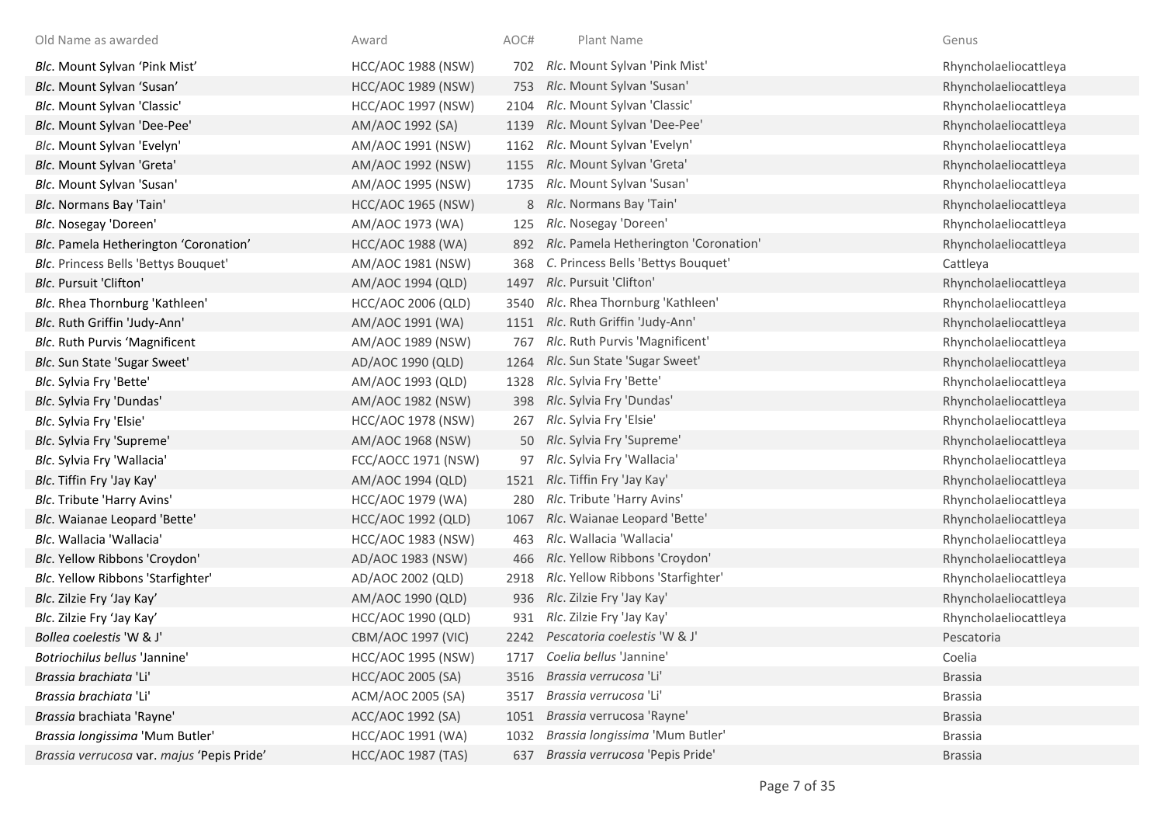| Old Name as awarded                        | Award                     | AOC# | Plant Name                            | Genus                 |
|--------------------------------------------|---------------------------|------|---------------------------------------|-----------------------|
| Blc. Mount Sylvan 'Pink Mist'              | <b>HCC/AOC 1988 (NSW)</b> | 702  | Rlc. Mount Sylvan 'Pink Mist'         | Rhyncholaeliocattleya |
| Blc. Mount Sylvan 'Susan'                  | <b>HCC/AOC 1989 (NSW)</b> | 753  | Rlc. Mount Sylvan 'Susan'             | Rhyncholaeliocattleya |
| Blc. Mount Sylvan 'Classic'                | <b>HCC/AOC 1997 (NSW)</b> | 2104 | Rlc. Mount Sylvan 'Classic'           | Rhyncholaeliocattleya |
| Blc. Mount Sylvan 'Dee-Pee'                | AM/AOC 1992 (SA)          | 1139 | Rlc. Mount Sylvan 'Dee-Pee'           | Rhyncholaeliocattleya |
| Blc. Mount Sylvan 'Evelyn'                 | AM/AOC 1991 (NSW)         | 1162 | Rlc. Mount Sylvan 'Evelyn'            | Rhyncholaeliocattleya |
| Blc. Mount Sylvan 'Greta'                  | AM/AOC 1992 (NSW)         | 1155 | Rlc. Mount Sylvan 'Greta'             | Rhyncholaeliocattleya |
| Blc. Mount Sylvan 'Susan'                  | AM/AOC 1995 (NSW)         | 1735 | Rlc. Mount Sylvan 'Susan'             | Rhyncholaeliocattleya |
| Blc. Normans Bay 'Tain'                    | <b>HCC/AOC 1965 (NSW)</b> |      | 8 Rlc. Normans Bay 'Tain'             | Rhyncholaeliocattleya |
| Blc. Nosegay 'Doreen'                      | AM/AOC 1973 (WA)          | 125  | Rlc. Nosegay 'Doreen'                 | Rhyncholaeliocattleya |
| Blc. Pamela Hetherington 'Coronation'      | <b>HCC/AOC 1988 (WA)</b>  | 892  | Rlc. Pamela Hetherington 'Coronation' | Rhyncholaeliocattleya |
| Blc. Princess Bells 'Bettys Bouquet'       | AM/AOC 1981 (NSW)         | 368  | C. Princess Bells 'Bettys Bouquet'    | Cattleya              |
| Blc. Pursuit 'Clifton'                     | AM/AOC 1994 (QLD)         | 1497 | Rlc. Pursuit 'Clifton'                | Rhyncholaeliocattleya |
| Blc. Rhea Thornburg 'Kathleen'             | <b>HCC/AOC 2006 (QLD)</b> | 3540 | Rlc. Rhea Thornburg 'Kathleen'        | Rhyncholaeliocattleya |
| Blc. Ruth Griffin 'Judy-Ann'               | AM/AOC 1991 (WA)          | 1151 | Rlc. Ruth Griffin 'Judy-Ann'          | Rhyncholaeliocattleya |
| Blc. Ruth Purvis 'Magnificent              | AM/AOC 1989 (NSW)         | 767  | Rlc. Ruth Purvis 'Magnificent'        | Rhyncholaeliocattleya |
| Blc. Sun State 'Sugar Sweet'               | AD/AOC 1990 (QLD)         | 1264 | Rlc. Sun State 'Sugar Sweet'          | Rhyncholaeliocattleya |
| Blc. Sylvia Fry 'Bette'                    | AM/AOC 1993 (QLD)         | 1328 | Rlc. Sylvia Fry 'Bette'               | Rhyncholaeliocattleya |
| Blc. Sylvia Fry 'Dundas'                   | AM/AOC 1982 (NSW)         | 398  | Rlc. Sylvia Fry 'Dundas'              | Rhyncholaeliocattleya |
| Blc. Sylvia Fry 'Elsie'                    | <b>HCC/AOC 1978 (NSW)</b> | 267  | Rlc. Sylvia Fry 'Elsie'               | Rhyncholaeliocattleya |
| Blc. Sylvia Fry 'Supreme'                  | AM/AOC 1968 (NSW)         |      | 50 Rlc. Sylvia Fry 'Supreme'          | Rhyncholaeliocattleya |
| Blc. Sylvia Fry 'Wallacia'                 | FCC/AOCC 1971 (NSW)       |      | 97 Rlc. Sylvia Fry 'Wallacia'         | Rhyncholaeliocattleya |
| Blc. Tiffin Fry 'Jay Kay'                  | AM/AOC 1994 (QLD)         | 1521 | Rlc. Tiffin Fry 'Jay Kay'             | Rhyncholaeliocattleya |
| Blc. Tribute 'Harry Avins'                 | HCC/AOC 1979 (WA)         | 280  | Rlc. Tribute 'Harry Avins'            | Rhyncholaeliocattleya |
| Blc. Waianae Leopard 'Bette'               | <b>HCC/AOC 1992 (QLD)</b> | 1067 | Rlc. Waianae Leopard 'Bette'          | Rhyncholaeliocattleya |
| Blc. Wallacia 'Wallacia'                   | <b>HCC/AOC 1983 (NSW)</b> | 463  | Rlc. Wallacia 'Wallacia'              | Rhyncholaeliocattleya |
| Blc. Yellow Ribbons 'Croydon'              | AD/AOC 1983 (NSW)         | 466  | Rlc. Yellow Ribbons 'Croydon'         | Rhyncholaeliocattleya |
| Blc. Yellow Ribbons 'Starfighter'          | AD/AOC 2002 (QLD)         | 2918 | Rlc. Yellow Ribbons 'Starfighter'     | Rhyncholaeliocattleya |
| Blc. Zilzie Fry 'Jay Kay'                  | AM/AOC 1990 (QLD)         | 936  | Rlc. Zilzie Fry 'Jay Kay'             | Rhyncholaeliocattleya |
| Blc. Zilzie Fry 'Jay Kay'                  | HCC/AOC 1990 (QLD)        | 931  | Rlc. Zilzie Fry 'Jay Kay'             | Rhyncholaeliocattleya |
| Bollea coelestis 'W & J'                   | <b>CBM/AOC 1997 (VIC)</b> | 2242 | Pescatoria coelestis 'W & J'          | Pescatoria            |
| Botriochilus bellus 'Jannine'              | <b>HCC/AOC 1995 (NSW)</b> | 1717 | Coelia bellus 'Jannine'               | Coelia                |
| Brassia brachiata 'Li'                     | HCC/AOC 2005 (SA)         | 3516 | Brassia verrucosa 'Li'                | <b>Brassia</b>        |
| Brassia brachiata 'Li'                     | ACM/AOC 2005 (SA)         | 3517 | Brassia verrucosa 'Li'                | <b>Brassia</b>        |
| Brassia brachiata 'Rayne'                  | ACC/AOC 1992 (SA)         | 1051 | Brassia verrucosa 'Rayne'             | <b>Brassia</b>        |
| Brassia longissima 'Mum Butler'            | HCC/AOC 1991 (WA)         | 1032 | Brassia longissima 'Mum Butler'       | <b>Brassia</b>        |
| Brassia verrucosa var. majus 'Pepis Pride' | <b>HCC/AOC 1987 (TAS)</b> | 637  | Brassia verrucosa 'Pepis Pride'       | <b>Brassia</b>        |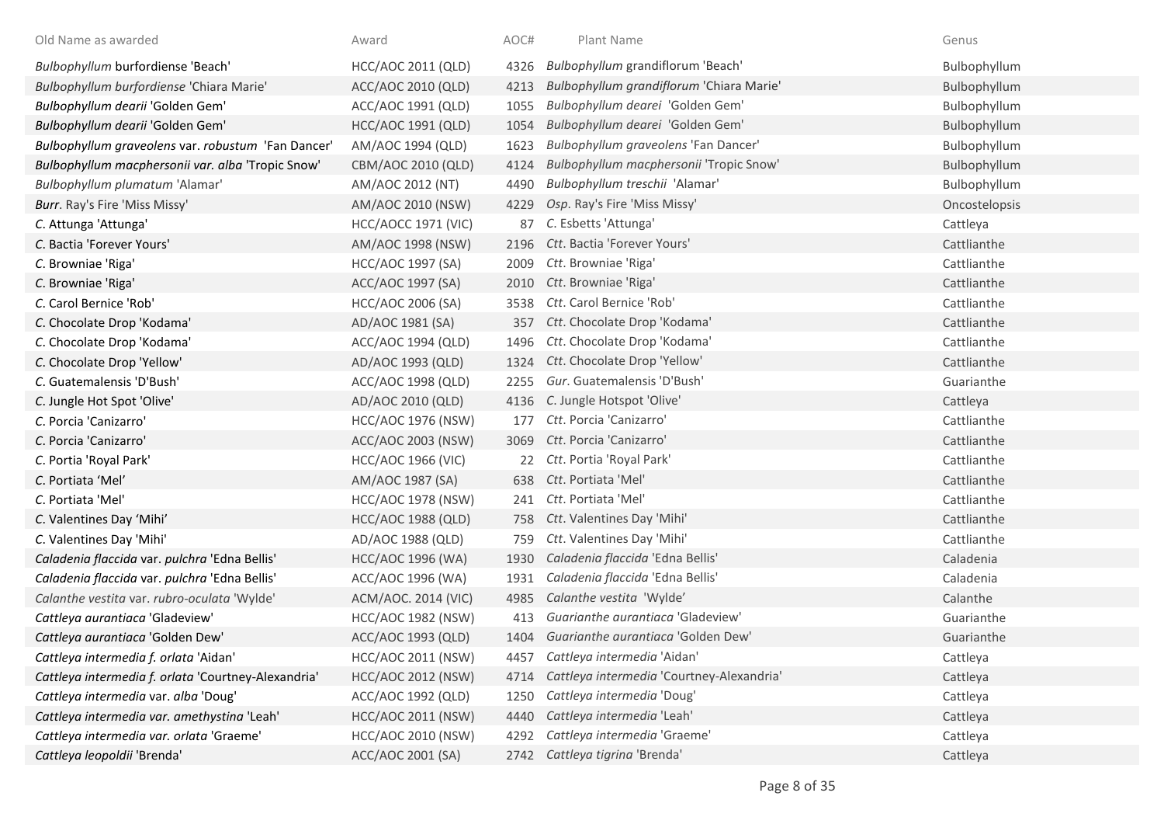| Old Name as awarded                                 | Award                     | AOC# | Plant Name                                | Genus         |
|-----------------------------------------------------|---------------------------|------|-------------------------------------------|---------------|
| Bulbophyllum burfordiense 'Beach'                   | HCC/AOC 2011 (QLD)        | 4326 | Bulbophyllum grandiflorum 'Beach'         | Bulbophyllum  |
| Bulbophyllum burfordiense 'Chiara Marie'            | ACC/AOC 2010 (QLD)        | 4213 | Bulbophyllum grandiflorum 'Chiara Marie'  | Bulbophyllum  |
| Bulbophyllum dearii 'Golden Gem'                    | ACC/AOC 1991 (QLD)        | 1055 | Bulbophyllum dearei 'Golden Gem'          | Bulbophyllum  |
| Bulbophyllum dearii 'Golden Gem'                    | HCC/AOC 1991 (QLD)        | 1054 | Bulbophyllum dearei 'Golden Gem'          | Bulbophyllum  |
| Bulbophyllum graveolens var. robustum 'Fan Dancer'  | AM/AOC 1994 (QLD)         | 1623 | Bulbophyllum graveolens 'Fan Dancer'      | Bulbophyllum  |
| Bulbophyllum macphersonii var. alba 'Tropic Snow'   | CBM/AOC 2010 (QLD)        | 4124 | Bulbophyllum macphersonii 'Tropic Snow'   | Bulbophyllum  |
| Bulbophyllum plumatum 'Alamar'                      | AM/AOC 2012 (NT)          | 4490 | Bulbophyllum treschii 'Alamar'            | Bulbophyllum  |
| Burr. Ray's Fire 'Miss Missy'                       | AM/AOC 2010 (NSW)         | 4229 | Osp. Ray's Fire 'Miss Missy'              | Oncostelopsis |
| C. Attunga 'Attunga'                                | HCC/AOCC 1971 (VIC)       | 87   | C. Esbetts 'Attunga'                      | Cattleya      |
| C. Bactia 'Forever Yours'                           | AM/AOC 1998 (NSW)         |      | 2196 Ctt. Bactia 'Forever Yours'          | Cattlianthe   |
| C. Browniae 'Riga'                                  | HCC/AOC 1997 (SA)         | 2009 | Ctt. Browniae 'Riga'                      | Cattlianthe   |
| C. Browniae 'Riga'                                  | ACC/AOC 1997 (SA)         | 2010 | Ctt. Browniae 'Riga'                      | Cattlianthe   |
| C. Carol Bernice 'Rob'                              | <b>HCC/AOC 2006 (SA)</b>  | 3538 | Ctt. Carol Bernice 'Rob'                  | Cattlianthe   |
| C. Chocolate Drop 'Kodama'                          | AD/AOC 1981 (SA)          | 357  | Ctt. Chocolate Drop 'Kodama'              | Cattlianthe   |
| C. Chocolate Drop 'Kodama'                          | ACC/AOC 1994 (QLD)        | 1496 | Ctt. Chocolate Drop 'Kodama'              | Cattlianthe   |
| C. Chocolate Drop 'Yellow'                          | AD/AOC 1993 (QLD)         | 1324 | Ctt. Chocolate Drop 'Yellow'              | Cattlianthe   |
| C. Guatemalensis 'D'Bush'                           | ACC/AOC 1998 (QLD)        | 2255 | Gur. Guatemalensis 'D'Bush'               | Guarianthe    |
| C. Jungle Hot Spot 'Olive'                          | AD/AOC 2010 (QLD)         |      | 4136 C. Jungle Hotspot 'Olive'            | Cattleya      |
| C. Porcia 'Canizarro'                               | <b>HCC/AOC 1976 (NSW)</b> |      | 177 Ctt. Porcia 'Canizarro'               | Cattlianthe   |
| C. Porcia 'Canizarro'                               | ACC/AOC 2003 (NSW)        | 3069 | Ctt. Porcia 'Canizarro'                   | Cattlianthe   |
| C. Portia 'Royal Park'                              | <b>HCC/AOC 1966 (VIC)</b> | 22   | Ctt. Portia 'Royal Park'                  | Cattlianthe   |
| C. Portiata 'Mel'                                   | AM/AOC 1987 (SA)          |      | 638 Ctt. Portiata 'Mel'                   | Cattlianthe   |
| C. Portiata 'Mel'                                   | <b>HCC/AOC 1978 (NSW)</b> | 241  | Ctt. Portiata 'Mel'                       | Cattlianthe   |
| C. Valentines Day 'Mihi'                            | <b>HCC/AOC 1988 (QLD)</b> | 758  | Ctt. Valentines Day 'Mihi'                | Cattlianthe   |
| C. Valentines Day 'Mihi'                            | AD/AOC 1988 (QLD)         | 759  | Ctt. Valentines Day 'Mihi'                | Cattlianthe   |
| Caladenia flaccida var. pulchra 'Edna Bellis'       | HCC/AOC 1996 (WA)         | 1930 | Caladenia flaccida 'Edna Bellis'          | Caladenia     |
| Caladenia flaccida var. pulchra 'Edna Bellis'       | ACC/AOC 1996 (WA)         | 1931 | Caladenia flaccida 'Edna Bellis'          | Caladenia     |
| Calanthe vestita var. rubro-oculata 'Wylde'         | ACM/AOC. 2014 (VIC)       | 4985 | Calanthe vestita 'Wylde'                  | Calanthe      |
| Cattleya aurantiaca 'Gladeview'                     | <b>HCC/AOC 1982 (NSW)</b> | 413  | Guarianthe aurantiaca 'Gladeview'         | Guarianthe    |
| Cattleya aurantiaca 'Golden Dew'                    | ACC/AOC 1993 (QLD)        |      | 1404 Guarianthe aurantiaca 'Golden Dew'   | Guarianthe    |
| Cattleya intermedia f. orlata 'Aidan'               | HCC/AOC 2011 (NSW)        |      | 4457 Cattleya intermedia 'Aidan'          | Cattleya      |
| Cattleya intermedia f. orlata 'Courtney-Alexandria' | <b>HCC/AOC 2012 (NSW)</b> | 4714 | Cattleya intermedia 'Courtney-Alexandria' | Cattleya      |
| Cattleya intermedia var. alba 'Doug'                | ACC/AOC 1992 (QLD)        | 1250 | Cattleya intermedia 'Doug'                | Cattleya      |
| Cattleya intermedia var. amethystina 'Leah'         | <b>HCC/AOC 2011 (NSW)</b> | 4440 | Cattleya intermedia 'Leah'                | Cattleya      |
| Cattleya intermedia var. orlata 'Graeme'            | HCC/AOC 2010 (NSW)        | 4292 | Cattleya intermedia 'Graeme'              | Cattleya      |
| Cattleya leopoldii 'Brenda'                         | ACC/AOC 2001 (SA)         | 2742 | Cattleya tigrina 'Brenda'                 | Cattleya      |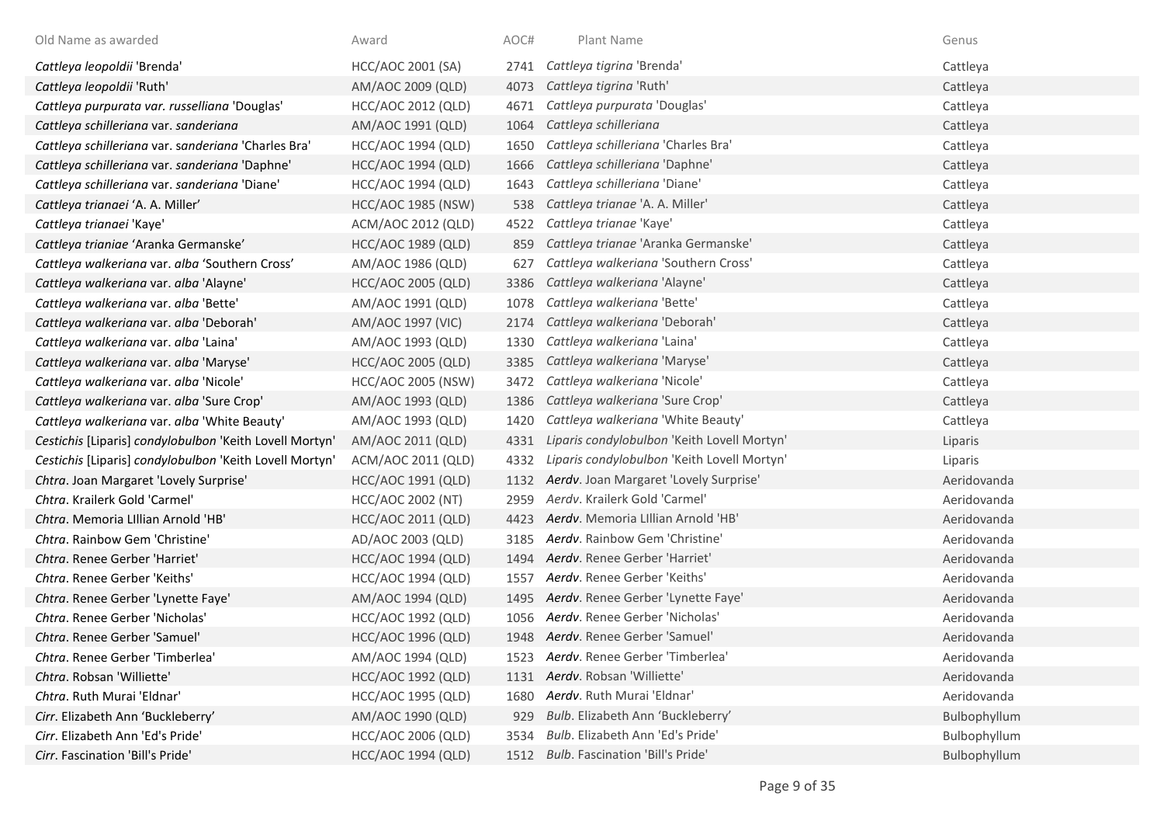| Old Name as awarded                                     | Award                     | AOC# | Plant Name                                  | Genus        |
|---------------------------------------------------------|---------------------------|------|---------------------------------------------|--------------|
| Cattleya leopoldii 'Brenda'                             | HCC/AOC 2001 (SA)         | 2741 | Cattleya tigrina 'Brenda'                   | Cattleya     |
| Cattleya leopoldii 'Ruth'                               | AM/AOC 2009 (QLD)         | 4073 | Cattleya tigrina 'Ruth'                     | Cattleya     |
| Cattleya purpurata var. russelliana 'Douglas'           | HCC/AOC 2012 (QLD)        | 4671 | Cattleya purpurata 'Douglas'                | Cattleya     |
| Cattleya schilleriana var. sanderiana                   | AM/AOC 1991 (QLD)         | 1064 | Cattleya schilleriana                       | Cattleya     |
| Cattleya schilleriana var. sanderiana 'Charles Bra'     | HCC/AOC 1994 (QLD)        | 1650 | Cattleya schilleriana 'Charles Bra'         | Cattleya     |
| Cattleya schilleriana var. sanderiana 'Daphne'          | <b>HCC/AOC 1994 (QLD)</b> | 1666 | Cattleya schilleriana 'Daphne'              | Cattleya     |
| Cattleya schilleriana var. sanderiana 'Diane'           | HCC/AOC 1994 (QLD)        | 1643 | Cattleya schilleriana 'Diane'               | Cattleya     |
| Cattleya trianaei 'A. A. Miller'                        | <b>HCC/AOC 1985 (NSW)</b> | 538  | Cattleya trianae 'A. A. Miller'             | Cattleya     |
| Cattleya trianaei 'Kaye'                                | ACM/AOC 2012 (QLD)        | 4522 | Cattleya trianae 'Kaye'                     | Cattleya     |
| Cattleya trianiae 'Aranka Germanske'                    | <b>HCC/AOC 1989 (QLD)</b> | 859  | Cattleya trianae 'Aranka Germanske'         | Cattleya     |
| Cattleya walkeriana var. alba 'Southern Cross'          | AM/AOC 1986 (QLD)         | 627  | Cattleya walkeriana 'Southern Cross'        | Cattleya     |
| Cattleya walkeriana var. alba 'Alayne'                  | <b>HCC/AOC 2005 (QLD)</b> | 3386 | Cattleya walkeriana 'Alayne'                | Cattleya     |
| Cattleya walkeriana var. alba 'Bette'                   | AM/AOC 1991 (QLD)         | 1078 | Cattleya walkeriana 'Bette'                 | Cattleya     |
| Cattleya walkeriana var. alba 'Deborah'                 | AM/AOC 1997 (VIC)         | 2174 | Cattleya walkeriana 'Deborah'               | Cattleya     |
| Cattleya walkeriana var. alba 'Laina'                   | AM/AOC 1993 (QLD)         | 1330 | Cattleya walkeriana 'Laina'                 | Cattleya     |
| Cattleya walkeriana var. alba 'Maryse'                  | <b>HCC/AOC 2005 (QLD)</b> | 3385 | Cattleya walkeriana 'Maryse'                | Cattleya     |
| Cattleya walkeriana var. alba 'Nicole'                  | <b>HCC/AOC 2005 (NSW)</b> | 3472 | Cattleya walkeriana 'Nicole'                | Cattleya     |
| Cattleya walkeriana var. alba 'Sure Crop'               | AM/AOC 1993 (QLD)         | 1386 | Cattleya walkeriana 'Sure Crop'             | Cattleya     |
| Cattleya walkeriana var. alba 'White Beauty'            | AM/AOC 1993 (QLD)         | 1420 | Cattleya walkeriana 'White Beauty'          | Cattleya     |
| Cestichis [Liparis] condylobulbon 'Keith Lovell Mortyn' | AM/AOC 2011 (QLD)         | 4331 | Liparis condylobulbon 'Keith Lovell Mortyn' | Liparis      |
| Cestichis [Liparis] condylobulbon 'Keith Lovell Mortyn' | ACM/AOC 2011 (QLD)        | 4332 | Liparis condylobulbon 'Keith Lovell Mortyn' | Liparis      |
| Chtra. Joan Margaret 'Lovely Surprise'                  | HCC/AOC 1991 (QLD)        | 1132 | Aerdv. Joan Margaret 'Lovely Surprise'      | Aeridovanda  |
| Chtra. Krailerk Gold 'Carmel'                           | <b>HCC/AOC 2002 (NT)</b>  | 2959 | Aerdv. Krailerk Gold 'Carmel'               | Aeridovanda  |
| Chtra. Memoria Lillian Arnold 'HB'                      | HCC/AOC 2011 (QLD)        | 4423 | Aerdv. Memoria Lillian Arnold 'HB'          | Aeridovanda  |
| Chtra. Rainbow Gem 'Christine'                          | AD/AOC 2003 (QLD)         | 3185 | Aerdv. Rainbow Gem 'Christine'              | Aeridovanda  |
| Chtra. Renee Gerber 'Harriet'                           | <b>HCC/AOC 1994 (QLD)</b> | 1494 | Aerdv. Renee Gerber 'Harriet'               | Aeridovanda  |
| Chtra. Renee Gerber 'Keiths'                            | HCC/AOC 1994 (QLD)        | 1557 | Aerdy. Renee Gerber 'Keiths'                | Aeridovanda  |
| Chtra. Renee Gerber 'Lynette Faye'                      | AM/AOC 1994 (QLD)         | 1495 | Aerdv. Renee Gerber 'Lynette Faye'          | Aeridovanda  |
| Chtra. Renee Gerber 'Nicholas'                          | HCC/AOC 1992 (QLD)        | 1056 | Aerdy. Renee Gerber 'Nicholas'              | Aeridovanda  |
| Chtra. Renee Gerber 'Samuel'                            | <b>HCC/AOC 1996 (QLD)</b> | 1948 | Aerdv. Renee Gerber 'Samuel'                | Aeridovanda  |
| Chtra. Renee Gerber 'Timberlea'                         | AM/AOC 1994 (QLD)         | 1523 | Aerdv. Renee Gerber 'Timberlea'             | Aeridovanda  |
| Chtra. Robsan 'Williette'                               | <b>HCC/AOC 1992 (QLD)</b> | 1131 | Aerdv. Robsan 'Williette'                   | Aeridovanda  |
| Chtra. Ruth Murai 'Eldnar'                              | HCC/AOC 1995 (QLD)        | 1680 | Aerdv. Ruth Murai 'Eldnar'                  | Aeridovanda  |
| Cirr. Elizabeth Ann 'Buckleberry'                       | AM/AOC 1990 (QLD)         | 929  | Bulb. Elizabeth Ann 'Buckleberry'           | Bulbophyllum |
| Cirr. Elizabeth Ann 'Ed's Pride'                        | HCC/AOC 2006 (QLD)        | 3534 | Bulb. Elizabeth Ann 'Ed's Pride'            | Bulbophyllum |
| Cirr. Fascination 'Bill's Pride'                        | <b>HCC/AOC 1994 (QLD)</b> | 1512 | Bulb. Fascination 'Bill's Pride'            | Bulbophyllum |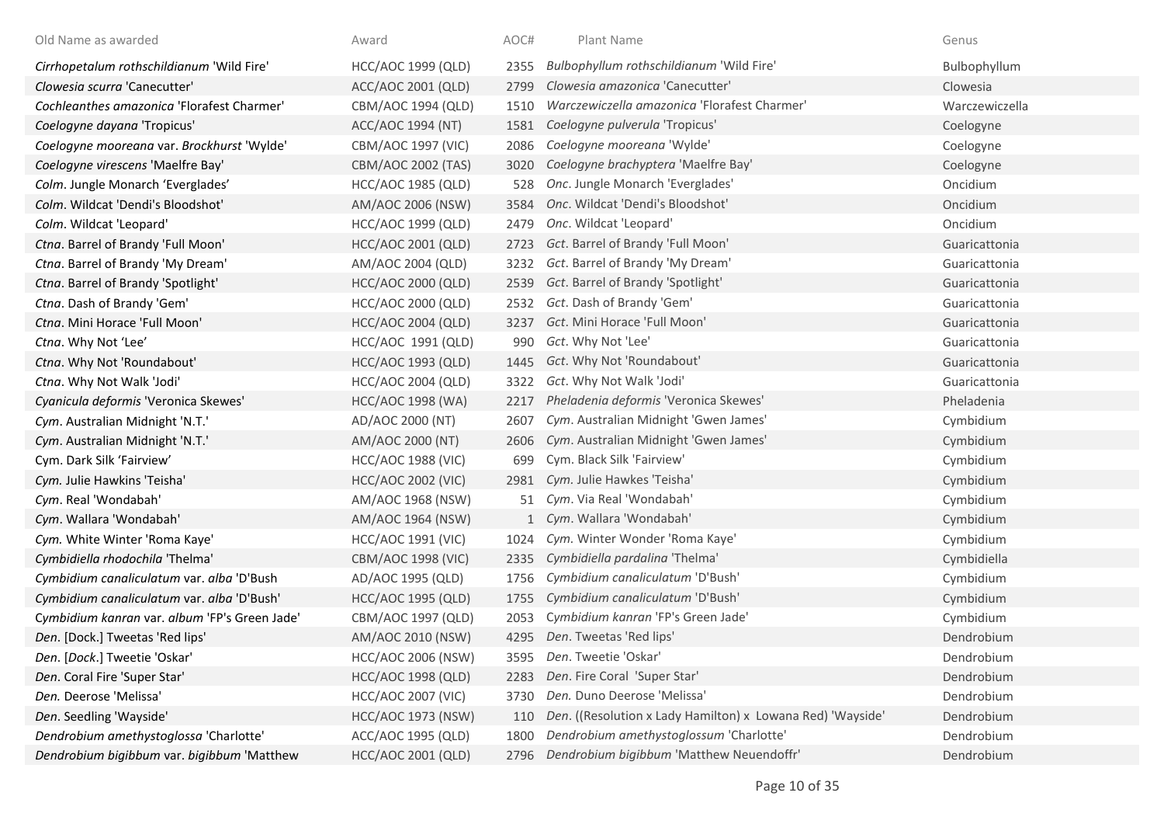| Old Name as awarded                           | Award                     | AOC# | Plant Name                                                 | Genus          |
|-----------------------------------------------|---------------------------|------|------------------------------------------------------------|----------------|
| Cirrhopetalum rothschildianum 'Wild Fire'     | HCC/AOC 1999 (QLD)        | 2355 | Bulbophyllum rothschildianum 'Wild Fire'                   | Bulbophyllum   |
| Clowesia scurra 'Canecutter'                  | ACC/AOC 2001 (QLD)        | 2799 | Clowesia amazonica 'Canecutter'                            | Clowesia       |
| Cochleanthes amazonica 'Florafest Charmer'    | CBM/AOC 1994 (QLD)        | 1510 | Warczewiczella amazonica 'Florafest Charmer'               | Warczewiczella |
| Coelogyne dayana 'Tropicus'                   | ACC/AOC 1994 (NT)         | 1581 | Coelogyne pulverula 'Tropicus'                             | Coelogyne      |
| Coelogyne mooreana var. Brockhurst 'Wylde'    | CBM/AOC 1997 (VIC)        | 2086 | Coelogyne mooreana 'Wylde'                                 | Coelogyne      |
| Coelogyne virescens 'Maelfre Bay'             | CBM/AOC 2002 (TAS)        | 3020 | Coelogyne brachyptera 'Maelfre Bay'                        | Coelogyne      |
| Colm. Jungle Monarch 'Everglades'             | <b>HCC/AOC 1985 (QLD)</b> | 528  | Onc. Jungle Monarch 'Everglades'                           | Oncidium       |
| Colm. Wildcat 'Dendi's Bloodshot'             | AM/AOC 2006 (NSW)         | 3584 | Onc. Wildcat 'Dendi's Bloodshot'                           | Oncidium       |
| Colm. Wildcat 'Leopard'                       | HCC/AOC 1999 (QLD)        | 2479 | Onc. Wildcat 'Leopard'                                     | Oncidium       |
| Ctna. Barrel of Brandy 'Full Moon'            | HCC/AOC 2001 (QLD)        | 2723 | Gct. Barrel of Brandy 'Full Moon'                          | Guaricattonia  |
| Ctna. Barrel of Brandy 'My Dream'             | AM/AOC 2004 (QLD)         | 3232 | Gct. Barrel of Brandy 'My Dream'                           | Guaricattonia  |
| Ctna. Barrel of Brandy 'Spotlight'            | HCC/AOC 2000 (QLD)        | 2539 | Gct. Barrel of Brandy 'Spotlight'                          | Guaricattonia  |
| Ctna. Dash of Brandy 'Gem'                    | <b>HCC/AOC 2000 (QLD)</b> | 2532 | Gct. Dash of Brandy 'Gem'                                  | Guaricattonia  |
| Ctna. Mini Horace 'Full Moon'                 | <b>HCC/AOC 2004 (QLD)</b> | 3237 | Gct. Mini Horace 'Full Moon'                               | Guaricattonia  |
| Ctna. Why Not 'Lee'                           | HCC/AOC 1991 (QLD)        | 990  | Gct. Why Not 'Lee'                                         | Guaricattonia  |
| Ctna. Why Not 'Roundabout'                    | HCC/AOC 1993 (QLD)        | 1445 | Gct. Why Not 'Roundabout'                                  | Guaricattonia  |
| Ctna. Why Not Walk 'Jodi'                     | HCC/AOC 2004 (QLD)        | 3322 | Gct. Why Not Walk 'Jodi'                                   | Guaricattonia  |
| Cyanicula deformis 'Veronica Skewes'          | <b>HCC/AOC 1998 (WA)</b>  | 2217 | Pheladenia deformis 'Veronica Skewes'                      | Pheladenia     |
| Cym. Australian Midnight 'N.T.'               | AD/AOC 2000 (NT)          | 2607 | Cym. Australian Midnight 'Gwen James'                      | Cymbidium      |
| Cym. Australian Midnight 'N.T.'               | AM/AOC 2000 (NT)          | 2606 | Cym. Australian Midnight 'Gwen James'                      | Cymbidium      |
| Cym. Dark Silk 'Fairview'                     | <b>HCC/AOC 1988 (VIC)</b> | 699  | Cym. Black Silk 'Fairview'                                 | Cymbidium      |
| Cym. Julie Hawkins 'Teisha'                   | <b>HCC/AOC 2002 (VIC)</b> | 2981 | Cym. Julie Hawkes 'Teisha'                                 | Cymbidium      |
| Cym. Real 'Wondabah'                          | AM/AOC 1968 (NSW)         | 51   | Cym. Via Real 'Wondabah'                                   | Cymbidium      |
| Cym. Wallara 'Wondabah'                       | AM/AOC 1964 (NSW)         |      | 1 Cym. Wallara 'Wondabah'                                  | Cymbidium      |
| Cym. White Winter 'Roma Kaye'                 | <b>HCC/AOC 1991 (VIC)</b> | 1024 | Cym. Winter Wonder 'Roma Kaye'                             | Cymbidium      |
| Cymbidiella rhodochila 'Thelma'               | CBM/AOC 1998 (VIC)        | 2335 | Cymbidiella pardalina 'Thelma'                             | Cymbidiella    |
| Cymbidium canaliculatum var. alba 'D'Bush     | AD/AOC 1995 (QLD)         | 1756 | Cymbidium canaliculatum 'D'Bush'                           | Cymbidium      |
| Cymbidium canaliculatum var. alba 'D'Bush'    | <b>HCC/AOC 1995 (QLD)</b> | 1755 | Cymbidium canaliculatum 'D'Bush'                           | Cymbidium      |
| Cymbidium kanran var. album 'FP's Green Jade' | CBM/AOC 1997 (QLD)        | 2053 | Cymbidium kanran 'FP's Green Jade'                         | Cymbidium      |
| Den. [Dock.] Tweetas 'Red lips'               | AM/AOC 2010 (NSW)         |      | 4295 Den. Tweetas 'Red lips'                               | Dendrobium     |
| Den. [Dock.] Tweetie 'Oskar'                  | <b>HCC/AOC 2006 (NSW)</b> | 3595 | Den. Tweetie 'Oskar'                                       | Dendrobium     |
| Den. Coral Fire 'Super Star'                  | <b>HCC/AOC 1998 (QLD)</b> | 2283 | Den. Fire Coral 'Super Star'                               | Dendrobium     |
| Den. Deerose 'Melissa'                        | <b>HCC/AOC 2007 (VIC)</b> | 3730 | Den. Duno Deerose 'Melissa'                                | Dendrobium     |
| Den. Seedling 'Wayside'                       | <b>HCC/AOC 1973 (NSW)</b> | 110  | Den. ((Resolution x Lady Hamilton) x Lowana Red) 'Wayside' | Dendrobium     |
| Dendrobium amethystoglossa 'Charlotte'        | ACC/AOC 1995 (QLD)        | 1800 | Dendrobium amethystoglossum 'Charlotte'                    | Dendrobium     |
| Dendrobium bigibbum var. bigibbum 'Matthew    | HCC/AOC 2001 (QLD)        | 2796 | Dendrobium bigibbum 'Matthew Neuendoffr'                   | Dendrobium     |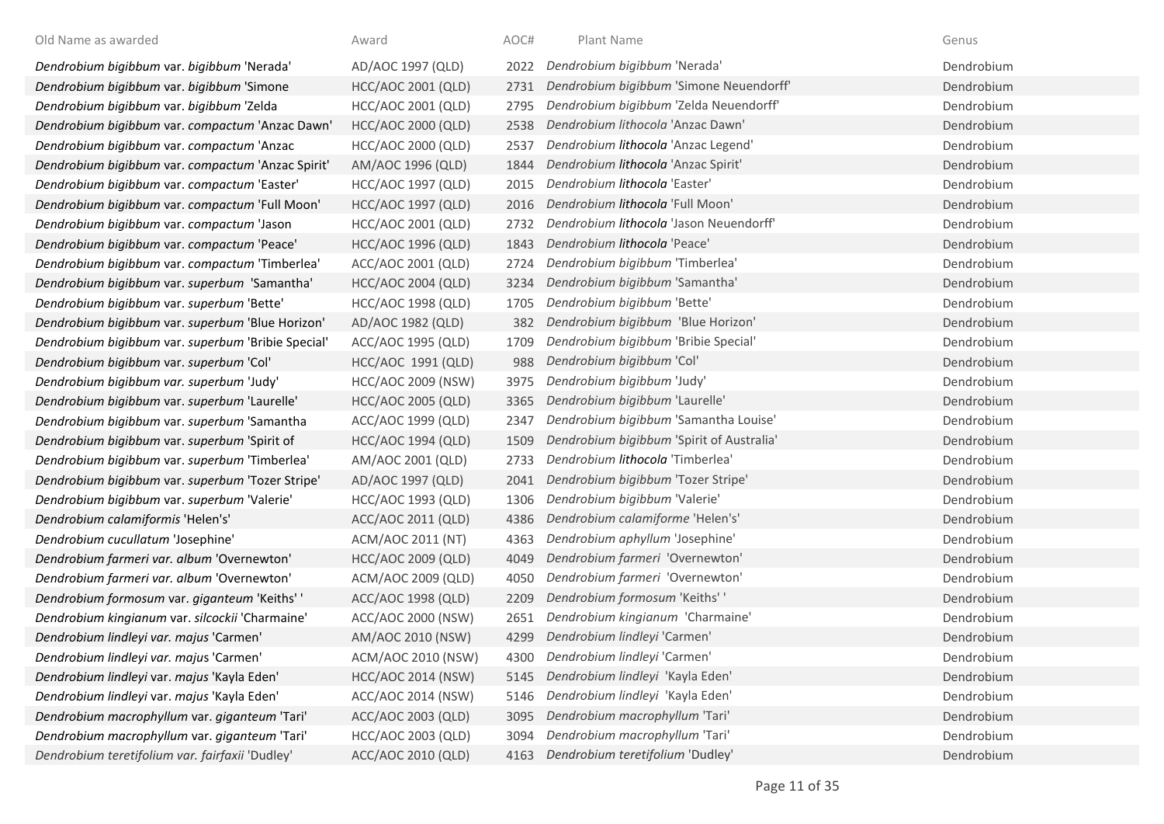| Old Name as awarded                                | Award                     | AOC# | Plant Name                                | Genus      |
|----------------------------------------------------|---------------------------|------|-------------------------------------------|------------|
| Dendrobium bigibbum var. bigibbum 'Nerada'         | AD/AOC 1997 (QLD)         | 2022 | Dendrobium bigibbum 'Nerada'              | Dendrobium |
| Dendrobium bigibbum var. bigibbum 'Simone          | HCC/AOC 2001 (QLD)        | 2731 | Dendrobium bigibbum 'Simone Neuendorff'   | Dendrobium |
| Dendrobium bigibbum var. bigibbum 'Zelda           | HCC/AOC 2001 (QLD)        | 2795 | Dendrobium bigibbum 'Zelda Neuendorff'    | Dendrobium |
| Dendrobium bigibbum var. compactum 'Anzac Dawn'    | <b>HCC/AOC 2000 (QLD)</b> | 2538 | Dendrobium lithocola 'Anzac Dawn'         | Dendrobium |
| Dendrobium bigibbum var. compactum 'Anzac          | HCC/AOC 2000 (QLD)        | 2537 | Dendrobium lithocola 'Anzac Legend'       | Dendrobium |
| Dendrobium bigibbum var. compactum 'Anzac Spirit'  | AM/AOC 1996 (QLD)         | 1844 | Dendrobium lithocola 'Anzac Spirit'       | Dendrobium |
| Dendrobium bigibbum var. compactum 'Easter'        | HCC/AOC 1997 (QLD)        | 2015 | Dendrobium lithocola 'Easter'             | Dendrobium |
| Dendrobium bigibbum var. compactum 'Full Moon'     | <b>HCC/AOC 1997 (QLD)</b> | 2016 | Dendrobium lithocola 'Full Moon'          | Dendrobium |
| Dendrobium bigibbum var. compactum 'Jason          | HCC/AOC 2001 (QLD)        | 2732 | Dendrobium lithocola 'Jason Neuendorff'   | Dendrobium |
| Dendrobium bigibbum var. compactum 'Peace'         | <b>HCC/AOC 1996 (QLD)</b> | 1843 | Dendrobium lithocola 'Peace'              | Dendrobium |
| Dendrobium bigibbum var. compactum 'Timberlea'     | ACC/AOC 2001 (QLD)        | 2724 | Dendrobium bigibbum 'Timberlea'           | Dendrobium |
| Dendrobium bigibbum var. superbum 'Samantha'       | <b>HCC/AOC 2004 (QLD)</b> | 3234 | Dendrobium bigibbum 'Samantha'            | Dendrobium |
| Dendrobium bigibbum var. superbum 'Bette'          | <b>HCC/AOC 1998 (QLD)</b> | 1705 | Dendrobium bigibbum 'Bette'               | Dendrobium |
| Dendrobium bigibbum var. superbum 'Blue Horizon'   | AD/AOC 1982 (QLD)         | 382  | Dendrobium bigibbum 'Blue Horizon'        | Dendrobium |
| Dendrobium bigibbum var. superbum 'Bribie Special' | ACC/AOC 1995 (QLD)        | 1709 | Dendrobium bigibbum 'Bribie Special'      | Dendrobium |
| Dendrobium bigibbum var. superbum 'Col'            | HCC/AOC 1991 (QLD)        | 988  | Dendrobium bigibbum 'Col'                 | Dendrobium |
| Dendrobium bigibbum var. superbum 'Judy'           | <b>HCC/AOC 2009 (NSW)</b> | 3975 | Dendrobium bigibbum 'Judy'                | Dendrobium |
| Dendrobium bigibbum var. superbum 'Laurelle'       | <b>HCC/AOC 2005 (QLD)</b> | 3365 | Dendrobium bigibbum 'Laurelle'            | Dendrobium |
| Dendrobium bigibbum var. superbum 'Samantha        | ACC/AOC 1999 (QLD)        | 2347 | Dendrobium bigibbum 'Samantha Louise'     | Dendrobium |
| Dendrobium bigibbum var. superbum 'Spirit of       | <b>HCC/AOC 1994 (QLD)</b> | 1509 | Dendrobium bigibbum 'Spirit of Australia' | Dendrobium |
| Dendrobium bigibbum var. superbum 'Timberlea'      | AM/AOC 2001 (QLD)         | 2733 | Dendrobium lithocola 'Timberlea'          | Dendrobium |
| Dendrobium bigibbum var. superbum 'Tozer Stripe'   | AD/AOC 1997 (QLD)         | 2041 | Dendrobium bigibbum 'Tozer Stripe'        | Dendrobium |
| Dendrobium bigibbum var. superbum 'Valerie'        | HCC/AOC 1993 (QLD)        | 1306 | Dendrobium bigibbum 'Valerie'             | Dendrobium |
| Dendrobium calamiformis 'Helen's'                  | ACC/AOC 2011 (QLD)        | 4386 | Dendrobium calamiforme 'Helen's'          | Dendrobium |
| Dendrobium cucullatum 'Josephine'                  | ACM/AOC 2011 (NT)         | 4363 | Dendrobium aphyllum 'Josephine'           | Dendrobium |
| Dendrobium farmeri var. album 'Overnewton'         | HCC/AOC 2009 (QLD)        | 4049 | Dendrobium farmeri 'Overnewton'           | Dendrobium |
| Dendrobium farmeri var. album 'Overnewton'         | ACM/AOC 2009 (QLD)        | 4050 | Dendrobium farmeri 'Overnewton'           | Dendrobium |
| Dendrobium formosum var. giganteum 'Keiths' '      | ACC/AOC 1998 (QLD)        | 2209 | Dendrobium formosum 'Keiths' '            | Dendrobium |
| Dendrobium kingianum var. silcockii 'Charmaine'    | ACC/AOC 2000 (NSW)        | 2651 | Dendrobium kingianum 'Charmaine'          | Dendrobium |
| Dendrobium lindleyi var. majus 'Carmen'            | AM/AOC 2010 (NSW)         | 4299 | Dendrobium lindleyi 'Carmen'              | Dendrobium |
| Dendrobium lindleyi var. majus 'Carmen'            | ACM/AOC 2010 (NSW)        | 4300 | Dendrobium lindleyi 'Carmen'              | Dendrobium |
| Dendrobium lindleyi var. majus 'Kayla Eden'        | HCC/AOC 2014 (NSW)        | 5145 | Dendrobium lindleyi 'Kayla Eden'          | Dendrobium |
| Dendrobium lindleyi var. majus 'Kayla Eden'        | ACC/AOC 2014 (NSW)        | 5146 | Dendrobium lindleyi 'Kayla Eden'          | Dendrobium |
| Dendrobium macrophyllum var. giganteum 'Tari'      | ACC/AOC 2003 (QLD)        | 3095 | Dendrobium macrophyllum 'Tari'            | Dendrobium |
| Dendrobium macrophyllum var. giganteum 'Tari'      | <b>HCC/AOC 2003 (QLD)</b> | 3094 | Dendrobium macrophyllum 'Tari'            | Dendrobium |
| Dendrobium teretifolium var. fairfaxii 'Dudley'    | ACC/AOC 2010 (QLD)        | 4163 | Dendrobium teretifolium 'Dudley'          | Dendrobium |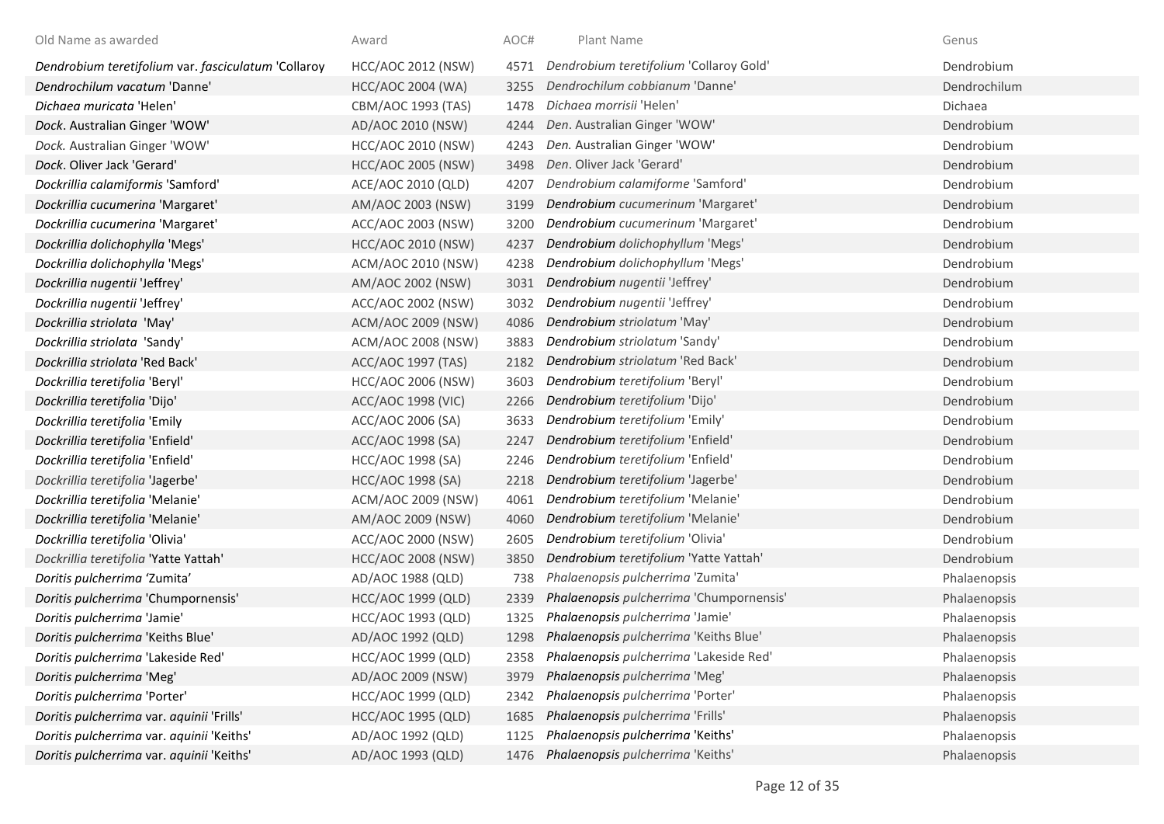| Old Name as awarded                                 | Award                     | AOC# | Plant Name                               | Genus        |
|-----------------------------------------------------|---------------------------|------|------------------------------------------|--------------|
| Dendrobium teretifolium var. fasciculatum 'Collaroy | <b>HCC/AOC 2012 (NSW)</b> | 4571 | Dendrobium teretifolium 'Collaroy Gold'  | Dendrobium   |
| Dendrochilum vacatum 'Danne'                        | <b>HCC/AOC 2004 (WA)</b>  | 3255 | Dendrochilum cobbianum 'Danne'           | Dendrochilum |
| Dichaea muricata 'Helen'                            | CBM/AOC 1993 (TAS)        | 1478 | Dichaea morrisii 'Helen'                 | Dichaea      |
| Dock. Australian Ginger 'WOW'                       | AD/AOC 2010 (NSW)         | 4244 | Den. Australian Ginger 'WOW'             | Dendrobium   |
| Dock. Australian Ginger 'WOW'                       | <b>HCC/AOC 2010 (NSW)</b> | 4243 | Den. Australian Ginger 'WOW'             | Dendrobium   |
| Dock. Oliver Jack 'Gerard'                          | <b>HCC/AOC 2005 (NSW)</b> | 3498 | Den. Oliver Jack 'Gerard'                | Dendrobium   |
| Dockrillia calamiformis 'Samford'                   | ACE/AOC 2010 (QLD)        | 4207 | Dendrobium calamiforme 'Samford'         | Dendrobium   |
| Dockrillia cucumerina 'Margaret'                    | AM/AOC 2003 (NSW)         | 3199 | Dendrobium cucumerinum 'Margaret'        | Dendrobium   |
| Dockrillia cucumerina 'Margaret'                    | ACC/AOC 2003 (NSW)        | 3200 | Dendrobium cucumerinum 'Margaret'        | Dendrobium   |
| Dockrillia dolichophylla 'Megs'                     | <b>HCC/AOC 2010 (NSW)</b> | 4237 | Dendrobium dolichophyllum 'Megs'         | Dendrobium   |
| Dockrillia dolichophylla 'Megs'                     | ACM/AOC 2010 (NSW)        | 4238 | Dendrobium dolichophyllum 'Megs'         | Dendrobium   |
| Dockrillia nugentii 'Jeffrey'                       | AM/AOC 2002 (NSW)         | 3031 | Dendrobium nugentii 'Jeffrey'            | Dendrobium   |
| Dockrillia nugentii 'Jeffrey'                       | ACC/AOC 2002 (NSW)        | 3032 | Dendrobium nugentii 'Jeffrey'            | Dendrobium   |
| Dockrillia striolata 'May'                          | ACM/AOC 2009 (NSW)        | 4086 | Dendrobium striolatum 'May'              | Dendrobium   |
| Dockrillia striolata 'Sandy'                        | ACM/AOC 2008 (NSW)        | 3883 | Dendrobium striolatum 'Sandy'            | Dendrobium   |
| Dockrillia striolata 'Red Back'                     | ACC/AOC 1997 (TAS)        | 2182 | Dendrobium striolatum 'Red Back'         | Dendrobium   |
| Dockrillia teretifolia 'Beryl'                      | <b>HCC/AOC 2006 (NSW)</b> | 3603 | Dendrobium teretifolium 'Beryl'          | Dendrobium   |
| Dockrillia teretifolia 'Dijo'                       | <b>ACC/AOC 1998 (VIC)</b> | 2266 | Dendrobium teretifolium 'Dijo'           | Dendrobium   |
| Dockrillia teretifolia 'Emily                       | ACC/AOC 2006 (SA)         | 3633 | Dendrobium teretifolium 'Emily'          | Dendrobium   |
| Dockrillia teretifolia 'Enfield'                    | ACC/AOC 1998 (SA)         | 2247 | Dendrobium teretifolium 'Enfield'        | Dendrobium   |
| Dockrillia teretifolia 'Enfield'                    | HCC/AOC 1998 (SA)         | 2246 | Dendrobium teretifolium 'Enfield'        | Dendrobium   |
| Dockrillia teretifolia 'Jagerbe'                    | <b>HCC/AOC 1998 (SA)</b>  | 2218 | Dendrobium teretifolium 'Jagerbe'        | Dendrobium   |
| Dockrillia teretifolia 'Melanie'                    | ACM/AOC 2009 (NSW)        | 4061 | Dendrobium teretifolium 'Melanie'        | Dendrobium   |
| Dockrillia teretifolia 'Melanie'                    | AM/AOC 2009 (NSW)         | 4060 | Dendrobium teretifolium 'Melanie'        | Dendrobium   |
| Dockrillia teretifolia 'Olivia'                     | ACC/AOC 2000 (NSW)        | 2605 | Dendrobium teretifolium 'Olivia'         | Dendrobium   |
| Dockrillia teretifolia 'Yatte Yattah'               | <b>HCC/AOC 2008 (NSW)</b> | 3850 | Dendrobium teretifolium 'Yatte Yattah'   | Dendrobium   |
| Doritis pulcherrima 'Zumita'                        | AD/AOC 1988 (QLD)         | 738  | Phalaenopsis pulcherrima 'Zumita'        | Phalaenopsis |
| Doritis pulcherrima 'Chumpornensis'                 | <b>HCC/AOC 1999 (QLD)</b> | 2339 | Phalaenopsis pulcherrima 'Chumpornensis' | Phalaenopsis |
| Doritis pulcherrima 'Jamie'                         | HCC/AOC 1993 (QLD)        | 1325 | Phalaenopsis pulcherrima 'Jamie'         | Phalaenopsis |
| Doritis pulcherrima 'Keiths Blue'                   | AD/AOC 1992 (QLD)         | 1298 | Phalaenopsis pulcherrima 'Keiths Blue'   | Phalaenopsis |
| Doritis pulcherrima 'Lakeside Red'                  | <b>HCC/AOC 1999 (QLD)</b> | 2358 | Phalaenopsis pulcherrima 'Lakeside Red'  | Phalaenopsis |
| Doritis pulcherrima 'Meg'                           | AD/AOC 2009 (NSW)         | 3979 | Phalaenopsis pulcherrima 'Meg'           | Phalaenopsis |
| Doritis pulcherrima 'Porter'                        | HCC/AOC 1999 (QLD)        | 2342 | Phalaenopsis pulcherrima 'Porter'        | Phalaenopsis |
| Doritis pulcherrima var. aquinii 'Frills'           | <b>HCC/AOC 1995 (QLD)</b> | 1685 | Phalaenopsis pulcherrima 'Frills'        | Phalaenopsis |
| Doritis pulcherrima var. aquinii 'Keiths'           | AD/AOC 1992 (QLD)         | 1125 | Phalaenopsis pulcherrima 'Keiths'        | Phalaenopsis |
| Doritis pulcherrima var. aquinii 'Keiths'           | AD/AOC 1993 (QLD)         | 1476 | Phalaenopsis pulcherrima 'Keiths'        | Phalaenopsis |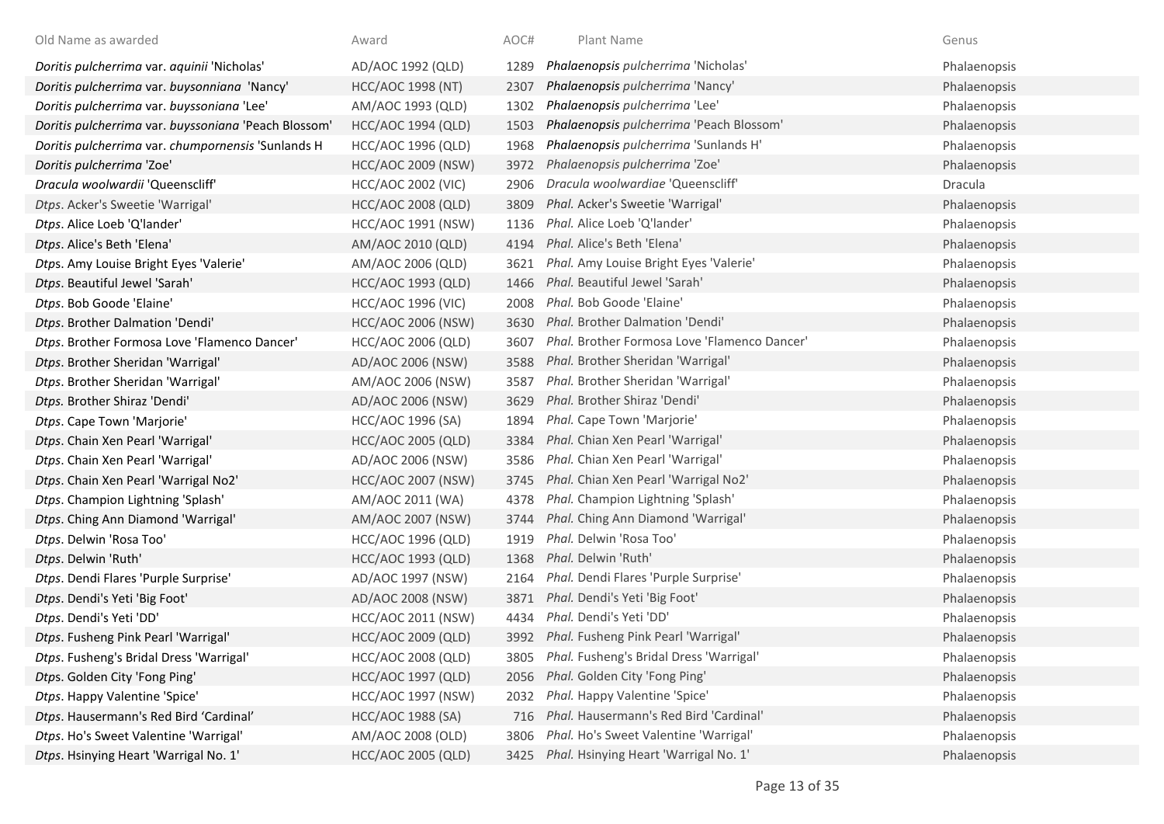| Old Name as awarded                                  | Award                     | AOC# | Plant Name                                   | Genus        |
|------------------------------------------------------|---------------------------|------|----------------------------------------------|--------------|
| Doritis pulcherrima var. aquinii 'Nicholas'          | AD/AOC 1992 (QLD)         | 1289 | Phalaenopsis pulcherrima 'Nicholas'          | Phalaenopsis |
| Doritis pulcherrima var. buysonniana 'Nancy'         | <b>HCC/AOC 1998 (NT)</b>  | 2307 | Phalaenopsis pulcherrima 'Nancy'             | Phalaenopsis |
| Doritis pulcherrima var. buyssoniana 'Lee'           | AM/AOC 1993 (QLD)         | 1302 | Phalaenopsis pulcherrima 'Lee'               | Phalaenopsis |
| Doritis pulcherrima var. buyssoniana 'Peach Blossom' | <b>HCC/AOC 1994 (QLD)</b> | 1503 | Phalaenopsis pulcherrima 'Peach Blossom'     | Phalaenopsis |
| Doritis pulcherrima var. chumpornensis 'Sunlands H   | <b>HCC/AOC 1996 (QLD)</b> | 1968 | Phalaenopsis pulcherrima 'Sunlands H'        | Phalaenopsis |
| Doritis pulcherrima 'Zoe'                            | <b>HCC/AOC 2009 (NSW)</b> | 3972 | Phalaenopsis pulcherrima 'Zoe'               | Phalaenopsis |
| Dracula woolwardii 'Queenscliff'                     | <b>HCC/AOC 2002 (VIC)</b> | 2906 | Dracula woolwardiae 'Queenscliff'            | Dracula      |
| Dtps. Acker's Sweetie 'Warrigal'                     | <b>HCC/AOC 2008 (QLD)</b> | 3809 | Phal. Acker's Sweetie 'Warrigal'             | Phalaenopsis |
| Dtps. Alice Loeb 'Q'lander'                          | HCC/AOC 1991 (NSW)        | 1136 | Phal. Alice Loeb 'Q'lander'                  | Phalaenopsis |
| Dtps. Alice's Beth 'Elena'                           | AM/AOC 2010 (QLD)         | 4194 | Phal. Alice's Beth 'Elena'                   | Phalaenopsis |
| Dtps. Amy Louise Bright Eyes 'Valerie'               | AM/AOC 2006 (QLD)         | 3621 | Phal. Amy Louise Bright Eyes 'Valerie'       | Phalaenopsis |
| Dtps. Beautiful Jewel 'Sarah'                        | <b>HCC/AOC 1993 (QLD)</b> | 1466 | Phal. Beautiful Jewel 'Sarah'                | Phalaenopsis |
| Dtps. Bob Goode 'Elaine'                             | <b>HCC/AOC 1996 (VIC)</b> | 2008 | Phal. Bob Goode 'Elaine'                     | Phalaenopsis |
| Dtps. Brother Dalmation 'Dendi'                      | <b>HCC/AOC 2006 (NSW)</b> | 3630 | Phal. Brother Dalmation 'Dendi'              | Phalaenopsis |
| Dtps. Brother Formosa Love 'Flamenco Dancer'         | HCC/AOC 2006 (QLD)        | 3607 | Phal. Brother Formosa Love 'Flamenco Dancer' | Phalaenopsis |
| Dtps. Brother Sheridan 'Warrigal'                    | AD/AOC 2006 (NSW)         | 3588 | Phal. Brother Sheridan 'Warrigal'            | Phalaenopsis |
| Dtps. Brother Sheridan 'Warrigal'                    | AM/AOC 2006 (NSW)         | 3587 | Phal. Brother Sheridan 'Warrigal'            | Phalaenopsis |
| Dtps. Brother Shiraz 'Dendi'                         | AD/AOC 2006 (NSW)         | 3629 | Phal. Brother Shiraz 'Dendi'                 | Phalaenopsis |
| Dtps. Cape Town 'Marjorie'                           | HCC/AOC 1996 (SA)         | 1894 | Phal. Cape Town 'Marjorie'                   | Phalaenopsis |
| Dtps. Chain Xen Pearl 'Warrigal'                     | <b>HCC/AOC 2005 (QLD)</b> | 3384 | Phal. Chian Xen Pearl 'Warrigal'             | Phalaenopsis |
| Dtps. Chain Xen Pearl 'Warrigal'                     | AD/AOC 2006 (NSW)         | 3586 | Phal. Chian Xen Pearl 'Warrigal'             | Phalaenopsis |
| Dtps. Chain Xen Pearl 'Warrigal No2'                 | <b>HCC/AOC 2007 (NSW)</b> | 3745 | Phal. Chian Xen Pearl 'Warrigal No2'         | Phalaenopsis |
| Dtps. Champion Lightning 'Splash'                    | AM/AOC 2011 (WA)          | 4378 | Phal. Champion Lightning 'Splash'            | Phalaenopsis |
| Dtps. Ching Ann Diamond 'Warrigal'                   | AM/AOC 2007 (NSW)         | 3744 | Phal. Ching Ann Diamond 'Warrigal'           | Phalaenopsis |
| Dtps. Delwin 'Rosa Too'                              | HCC/AOC 1996 (QLD)        | 1919 | Phal. Delwin 'Rosa Too'                      | Phalaenopsis |
| Dtps. Delwin 'Ruth'                                  | <b>HCC/AOC 1993 (QLD)</b> | 1368 | Phal. Delwin 'Ruth'                          | Phalaenopsis |
| Dtps. Dendi Flares 'Purple Surprise'                 | AD/AOC 1997 (NSW)         | 2164 | Phal. Dendi Flares 'Purple Surprise'         | Phalaenopsis |
| Dtps. Dendi's Yeti 'Big Foot'                        | AD/AOC 2008 (NSW)         | 3871 | Phal. Dendi's Yeti 'Big Foot'                | Phalaenopsis |
| Dtps. Dendi's Yeti 'DD'                              | <b>HCC/AOC 2011 (NSW)</b> | 4434 | Phal. Dendi's Yeti 'DD'                      | Phalaenopsis |
| Dtps. Fusheng Pink Pearl 'Warrigal'                  | HCC/AOC 2009 (QLD)        | 3992 | Phal. Fusheng Pink Pearl 'Warrigal'          | Phalaenopsis |
| Dtps. Fusheng's Bridal Dress 'Warrigal'              | <b>HCC/AOC 2008 (QLD)</b> | 3805 | Phal. Fusheng's Bridal Dress 'Warrigal'      | Phalaenopsis |
| Dtps. Golden City 'Fong Ping'                        | <b>HCC/AOC 1997 (QLD)</b> | 2056 | Phal. Golden City 'Fong Ping'                | Phalaenopsis |
| Dtps. Happy Valentine 'Spice'                        | <b>HCC/AOC 1997 (NSW)</b> | 2032 | Phal. Happy Valentine 'Spice'                | Phalaenopsis |
| Dtps. Hausermann's Red Bird 'Cardinal'               | <b>HCC/AOC 1988 (SA)</b>  | 716  | Phal. Hausermann's Red Bird 'Cardinal'       | Phalaenopsis |
| Dtps. Ho's Sweet Valentine 'Warrigal'                | AM/AOC 2008 (OLD)         | 3806 | Phal. Ho's Sweet Valentine 'Warrigal'        | Phalaenopsis |
| Dtps. Hsinying Heart 'Warrigal No. 1'                | <b>HCC/AOC 2005 (QLD)</b> | 3425 | Phal. Hsinying Heart 'Warrigal No. 1'        | Phalaenopsis |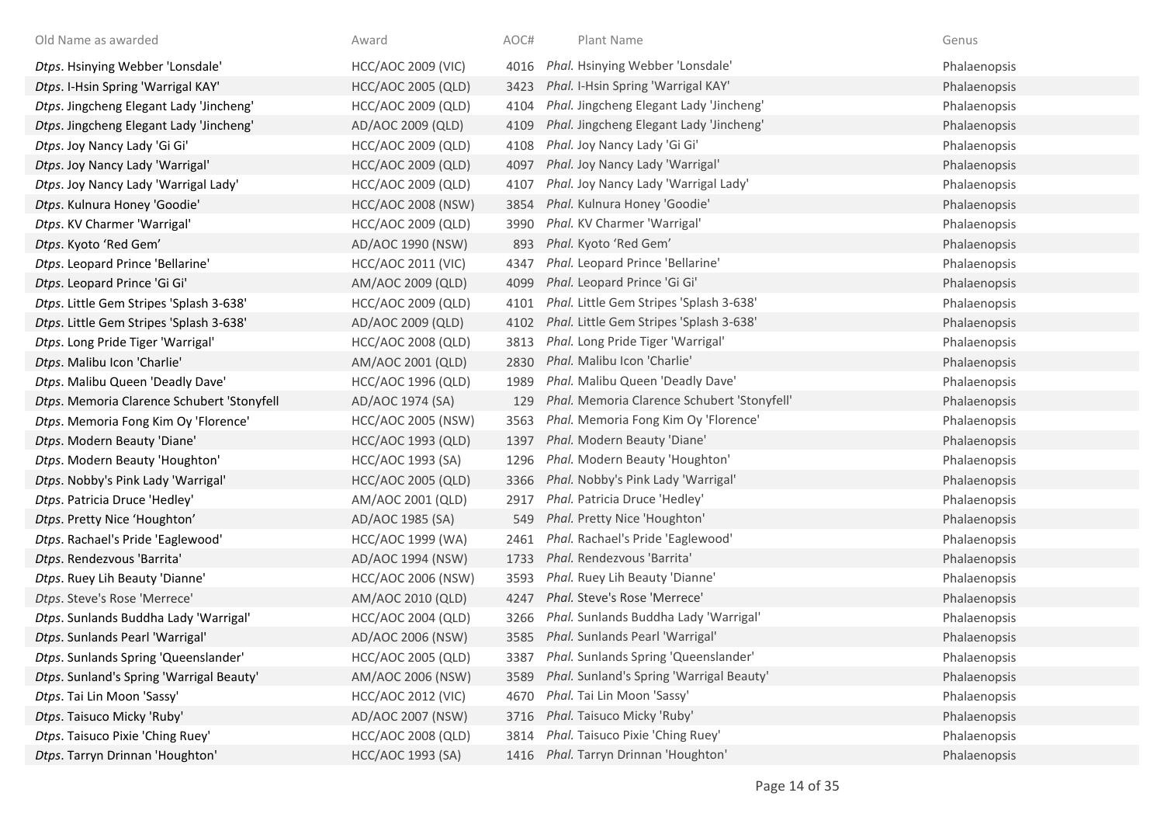| Old Name as awarded                        | Award                     | AOC# | Plant Name                                  | Genus        |
|--------------------------------------------|---------------------------|------|---------------------------------------------|--------------|
| Dtps. Hsinying Webber 'Lonsdale'           | <b>HCC/AOC 2009 (VIC)</b> | 4016 | Phal. Hsinying Webber 'Lonsdale'            | Phalaenopsis |
| Dtps. I-Hsin Spring 'Warrigal KAY'         | <b>HCC/AOC 2005 (QLD)</b> | 3423 | Phal. I-Hsin Spring 'Warrigal KAY'          | Phalaenopsis |
| Dtps. Jingcheng Elegant Lady 'Jincheng'    | <b>HCC/AOC 2009 (QLD)</b> | 4104 | Phal. Jingcheng Elegant Lady 'Jincheng'     | Phalaenopsis |
| Dtps. Jingcheng Elegant Lady 'Jincheng'    | AD/AOC 2009 (QLD)         | 4109 | Phal. Jingcheng Elegant Lady 'Jincheng'     | Phalaenopsis |
| Dtps. Joy Nancy Lady 'Gi Gi'               | HCC/AOC 2009 (QLD)        | 4108 | Phal. Joy Nancy Lady 'Gi Gi'                | Phalaenopsis |
| Dtps. Joy Nancy Lady 'Warrigal'            | <b>HCC/AOC 2009 (QLD)</b> | 4097 | Phal. Joy Nancy Lady 'Warrigal'             | Phalaenopsis |
| Dtps. Joy Nancy Lady 'Warrigal Lady'       | HCC/AOC 2009 (QLD)        | 4107 | Phal. Joy Nancy Lady 'Warrigal Lady'        | Phalaenopsis |
| Dtps. Kulnura Honey 'Goodie'               | <b>HCC/AOC 2008 (NSW)</b> | 3854 | Phal. Kulnura Honey 'Goodie'                | Phalaenopsis |
| Dtps. KV Charmer 'Warrigal'                | <b>HCC/AOC 2009 (QLD)</b> | 3990 | Phal. KV Charmer 'Warrigal'                 | Phalaenopsis |
| Dtps. Kyoto 'Red Gem'                      | AD/AOC 1990 (NSW)         | 893  | Phal. Kyoto 'Red Gem'                       | Phalaenopsis |
| Dtps. Leopard Prince 'Bellarine'           | <b>HCC/AOC 2011 (VIC)</b> | 4347 | Phal. Leopard Prince 'Bellarine'            | Phalaenopsis |
| Dtps. Leopard Prince 'Gi Gi'               | AM/AOC 2009 (QLD)         | 4099 | Phal. Leopard Prince 'Gi Gi'                | Phalaenopsis |
| Dtps. Little Gem Stripes 'Splash 3-638'    | <b>HCC/AOC 2009 (QLD)</b> | 4101 | Phal. Little Gem Stripes 'Splash 3-638'     | Phalaenopsis |
| Dtps. Little Gem Stripes 'Splash 3-638'    | AD/AOC 2009 (QLD)         | 4102 | Phal. Little Gem Stripes 'Splash 3-638'     | Phalaenopsis |
| Dtps. Long Pride Tiger 'Warrigal'          | <b>HCC/AOC 2008 (QLD)</b> | 3813 | Phal. Long Pride Tiger 'Warrigal'           | Phalaenopsis |
| Dtps. Malibu Icon 'Charlie'                | AM/AOC 2001 (QLD)         | 2830 | Phal. Malibu Icon 'Charlie'                 | Phalaenopsis |
| Dtps. Malibu Queen 'Deadly Dave'           | <b>HCC/AOC 1996 (QLD)</b> | 1989 | Phal. Malibu Queen 'Deadly Dave'            | Phalaenopsis |
| Dtps. Memoria Clarence Schubert 'Stonyfell | AD/AOC 1974 (SA)          | 129  | Phal. Memoria Clarence Schubert 'Stonyfell' | Phalaenopsis |
| Dtps. Memoria Fong Kim Oy 'Florence'       | <b>HCC/AOC 2005 (NSW)</b> | 3563 | Phal. Memoria Fong Kim Oy 'Florence'        | Phalaenopsis |
| Dtps. Modern Beauty 'Diane'                | HCC/AOC 1993 (QLD)        | 1397 | Phal. Modern Beauty 'Diane'                 | Phalaenopsis |
| Dtps. Modern Beauty 'Houghton'             | HCC/AOC 1993 (SA)         | 1296 | Phal. Modern Beauty 'Houghton'              | Phalaenopsis |
| Dtps. Nobby's Pink Lady 'Warrigal'         | <b>HCC/AOC 2005 (QLD)</b> | 3366 | Phal. Nobby's Pink Lady 'Warrigal'          | Phalaenopsis |
| Dtps. Patricia Druce 'Hedley'              | AM/AOC 2001 (QLD)         | 2917 | Phal. Patricia Druce 'Hedley'               | Phalaenopsis |
| Dtps. Pretty Nice 'Houghton'               | AD/AOC 1985 (SA)          | 549  | Phal. Pretty Nice 'Houghton'                | Phalaenopsis |
| Dtps. Rachael's Pride 'Eaglewood'          | HCC/AOC 1999 (WA)         | 2461 | Phal. Rachael's Pride 'Eaglewood'           | Phalaenopsis |
| Dtps. Rendezvous 'Barrita'                 | AD/AOC 1994 (NSW)         | 1733 | Phal. Rendezvous 'Barrita'                  | Phalaenopsis |
| Dtps. Ruey Lih Beauty 'Dianne'             | <b>HCC/AOC 2006 (NSW)</b> | 3593 | Phal. Ruey Lih Beauty 'Dianne'              | Phalaenopsis |
| Dtps. Steve's Rose 'Merrece'               | AM/AOC 2010 (QLD)         | 4247 | Phal. Steve's Rose 'Merrece'                | Phalaenopsis |
| Dtps. Sunlands Buddha Lady 'Warrigal'      | <b>HCC/AOC 2004 (QLD)</b> | 3266 | Phal. Sunlands Buddha Lady 'Warrigal'       | Phalaenopsis |
| Dtps. Sunlands Pearl 'Warrigal'            | AD/AOC 2006 (NSW)         | 3585 | Phal. Sunlands Pearl 'Warrigal'             | Phalaenopsis |
| Dtps. Sunlands Spring 'Queenslander'       | <b>HCC/AOC 2005 (QLD)</b> | 3387 | Phal. Sunlands Spring 'Queenslander'        | Phalaenopsis |
| Dtps. Sunland's Spring 'Warrigal Beauty'   | AM/AOC 2006 (NSW)         | 3589 | Phal. Sunland's Spring 'Warrigal Beauty'    | Phalaenopsis |
| Dtps. Tai Lin Moon 'Sassy'                 | <b>HCC/AOC 2012 (VIC)</b> | 4670 | Phal. Tai Lin Moon 'Sassy'                  | Phalaenopsis |
| Dtps. Taisuco Micky 'Ruby'                 | AD/AOC 2007 (NSW)         | 3716 | Phal. Taisuco Micky 'Ruby'                  | Phalaenopsis |
| Dtps. Taisuco Pixie 'Ching Ruey'           | <b>HCC/AOC 2008 (QLD)</b> | 3814 | Phal. Taisuco Pixie 'Ching Ruey'            | Phalaenopsis |
| Dtps. Tarryn Drinnan 'Houghton'            | HCC/AOC 1993 (SA)         |      | 1416 Phal. Tarryn Drinnan 'Houghton'        | Phalaenopsis |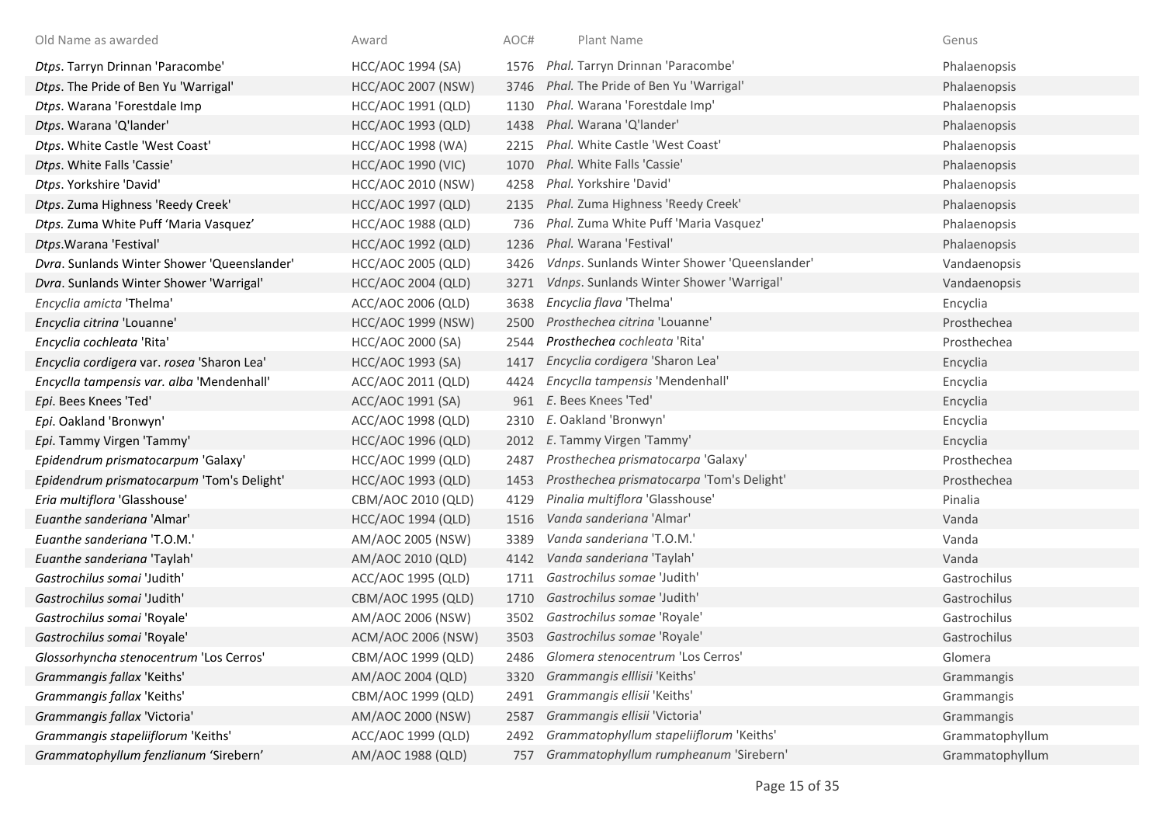| Old Name as awarded                         | Award                     | AOC# | Plant Name                                   | Genus           |
|---------------------------------------------|---------------------------|------|----------------------------------------------|-----------------|
| Dtps. Tarryn Drinnan 'Paracombe'            | HCC/AOC 1994 (SA)         | 1576 | Phal. Tarryn Drinnan 'Paracombe'             | Phalaenopsis    |
| Dtps. The Pride of Ben Yu 'Warrigal'        | <b>HCC/AOC 2007 (NSW)</b> | 3746 | Phal. The Pride of Ben Yu 'Warrigal'         | Phalaenopsis    |
| Dtps. Warana 'Forestdale Imp                | HCC/AOC 1991 (QLD)        | 1130 | Phal. Warana 'Forestdale Imp'                | Phalaenopsis    |
| Dtps. Warana 'Q'lander'                     | <b>HCC/AOC 1993 (QLD)</b> | 1438 | Phal. Warana 'Q'lander'                      | Phalaenopsis    |
| Dtps. White Castle 'West Coast'             | <b>HCC/AOC 1998 (WA)</b>  | 2215 | Phal. White Castle 'West Coast'              | Phalaenopsis    |
| Dtps. White Falls 'Cassie'                  | <b>HCC/AOC 1990 (VIC)</b> | 1070 | Phal. White Falls 'Cassie'                   | Phalaenopsis    |
| Dtps. Yorkshire 'David'                     | <b>HCC/AOC 2010 (NSW)</b> | 4258 | Phal. Yorkshire 'David'                      | Phalaenopsis    |
| Dtps. Zuma Highness 'Reedy Creek'           | <b>HCC/AOC 1997 (QLD)</b> | 2135 | Phal. Zuma Highness 'Reedy Creek'            | Phalaenopsis    |
| Dtps. Zuma White Puff 'Maria Vasquez'       | <b>HCC/AOC 1988 (QLD)</b> | 736  | Phal. Zuma White Puff 'Maria Vasquez'        | Phalaenopsis    |
| Dtps. Warana 'Festival'                     | <b>HCC/AOC 1992 (QLD)</b> | 1236 | Phal. Warana 'Festival'                      | Phalaenopsis    |
| Dvra. Sunlands Winter Shower 'Queenslander' | HCC/AOC 2005 (QLD)        | 3426 | Vdnps. Sunlands Winter Shower 'Queenslander' | Vandaenopsis    |
| Dvra. Sunlands Winter Shower 'Warrigal'     | <b>HCC/AOC 2004 (QLD)</b> | 3271 | Vdnps. Sunlands Winter Shower 'Warrigal'     | Vandaenopsis    |
| Encyclia amicta 'Thelma'                    | ACC/AOC 2006 (QLD)        | 3638 | Encyclia flava 'Thelma'                      | Encyclia        |
| Encyclia citrina 'Louanne'                  | <b>HCC/AOC 1999 (NSW)</b> | 2500 | Prosthechea citrina 'Louanne'                | Prosthechea     |
| Encyclia cochleata 'Rita'                   | HCC/AOC 2000 (SA)         | 2544 | Prosthechea cochleata 'Rita'                 | Prosthechea     |
| Encyclia cordigera var. rosea 'Sharon Lea'  | <b>HCC/AOC 1993 (SA)</b>  | 1417 | Encyclia cordigera 'Sharon Lea'              | Encyclia        |
| Encyclia tampensis var. alba 'Mendenhall'   | ACC/AOC 2011 (QLD)        | 4424 | Encyclla tampensis 'Mendenhall'              | Encyclia        |
| Epi. Bees Knees 'Ted'                       | ACC/AOC 1991 (SA)         | 961  | E. Bees Knees 'Ted'                          | Encyclia        |
| Epi. Oakland 'Bronwyn'                      | ACC/AOC 1998 (QLD)        | 2310 | E. Oakland 'Bronwyn'                         | Encyclia        |
| Epi. Tammy Virgen 'Tammy'                   | <b>HCC/AOC 1996 (QLD)</b> | 2012 | E. Tammy Virgen 'Tammy'                      | Encyclia        |
| Epidendrum prismatocarpum 'Galaxy'          | HCC/AOC 1999 (QLD)        | 2487 | Prosthechea prismatocarpa 'Galaxy'           | Prosthechea     |
| Epidendrum prismatocarpum 'Tom's Delight'   | <b>HCC/AOC 1993 (QLD)</b> | 1453 | Prosthechea prismatocarpa 'Tom's Delight'    | Prosthechea     |
| Eria multiflora 'Glasshouse'                | CBM/AOC 2010 (QLD)        | 4129 | Pinalia multiflora 'Glasshouse'              | Pinalia         |
| Euanthe sanderiana 'Almar'                  | <b>HCC/AOC 1994 (QLD)</b> | 1516 | Vanda sanderiana 'Almar'                     | Vanda           |
| Euanthe sanderiana 'T.O.M.'                 | AM/AOC 2005 (NSW)         | 3389 | Vanda sanderiana 'T.O.M.'                    | Vanda           |
| Euanthe sanderiana 'Taylah'                 | AM/AOC 2010 (QLD)         | 4142 | Vanda sanderiana 'Taylah'                    | Vanda           |
| Gastrochilus somai 'Judith'                 | ACC/AOC 1995 (QLD)        | 1711 | Gastrochilus somae 'Judith'                  | Gastrochilus    |
| Gastrochilus somai 'Judith'                 | CBM/AOC 1995 (QLD)        | 1710 | Gastrochilus somae 'Judith'                  | Gastrochilus    |
| Gastrochilus somai 'Royale'                 | AM/AOC 2006 (NSW)         | 3502 | Gastrochilus somae 'Royale'                  | Gastrochilus    |
| Gastrochilus somai 'Royale'                 | ACM/AOC 2006 (NSW)        |      | 3503 Gastrochilus somae 'Royale'             | Gastrochilus    |
| Glossorhyncha stenocentrum 'Los Cerros'     | CBM/AOC 1999 (QLD)        | 2486 | Glomera stenocentrum 'Los Cerros'            | Glomera         |
| Grammangis fallax 'Keiths'                  | AM/AOC 2004 (QLD)         | 3320 | Grammangis elllisii 'Keiths'                 | Grammangis      |
| Grammangis fallax 'Keiths'                  | CBM/AOC 1999 (QLD)        | 2491 | Grammangis ellisii 'Keiths'                  | Grammangis      |
| Grammangis fallax 'Victoria'                | AM/AOC 2000 (NSW)         | 2587 | Grammangis ellisii 'Victoria'                | Grammangis      |
| Grammangis stapeliiflorum 'Keiths'          | ACC/AOC 1999 (QLD)        | 2492 | Grammatophyllum stapeliiflorum 'Keiths'      | Grammatophyllum |
| Grammatophyllum fenzlianum 'Sirebern'       | AM/AOC 1988 (QLD)         | 757  | Grammatophyllum rumpheanum 'Sirebern'        | Grammatophyllum |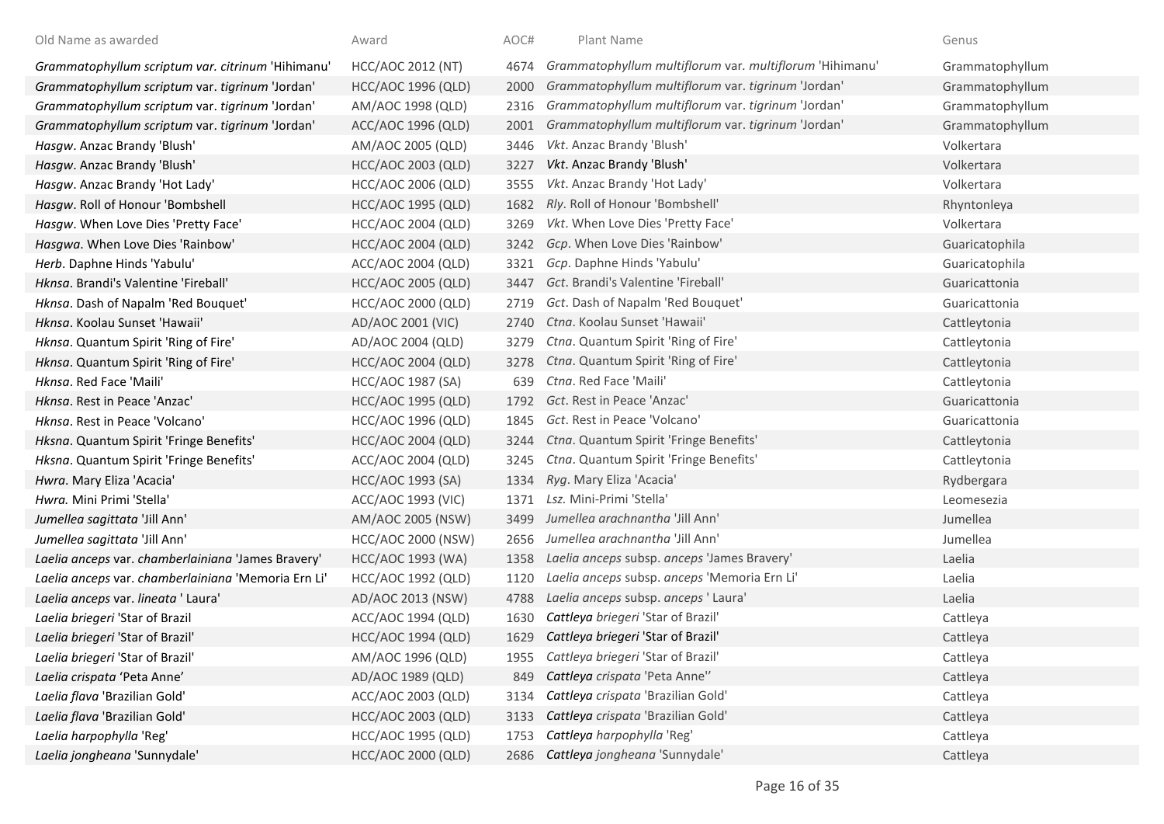| Old Name as awarded                                 | Award                     | AOC# | Plant Name                                              | Genus           |
|-----------------------------------------------------|---------------------------|------|---------------------------------------------------------|-----------------|
| Grammatophyllum scriptum var. citrinum 'Hihimanu'   | HCC/AOC 2012 (NT)         | 4674 | Grammatophyllum multiflorum var. multiflorum 'Hihimanu' | Grammatophyllum |
| Grammatophyllum scriptum var. tigrinum 'Jordan'     | <b>HCC/AOC 1996 (QLD)</b> | 2000 | Grammatophyllum multiflorum var. tigrinum 'Jordan'      | Grammatophyllum |
| Grammatophyllum scriptum var. tigrinum 'Jordan'     | AM/AOC 1998 (QLD)         | 2316 | Grammatophyllum multiflorum var. tigrinum 'Jordan'      | Grammatophyllum |
| Grammatophyllum scriptum var. tigrinum 'Jordan'     | ACC/AOC 1996 (QLD)        | 2001 | Grammatophyllum multiflorum var. tigrinum 'Jordan'      | Grammatophyllum |
| Hasgw. Anzac Brandy 'Blush'                         | AM/AOC 2005 (QLD)         | 3446 | Vkt. Anzac Brandy 'Blush'                               | Volkertara      |
| Hasgw. Anzac Brandy 'Blush'                         | HCC/AOC 2003 (QLD)        | 3227 | Vkt. Anzac Brandy 'Blush'                               | Volkertara      |
| Hasgw. Anzac Brandy 'Hot Lady'                      | <b>HCC/AOC 2006 (QLD)</b> | 3555 | Vkt. Anzac Brandy 'Hot Lady'                            | Volkertara      |
| Hasqw. Roll of Honour 'Bombshell                    | <b>HCC/AOC 1995 (QLD)</b> | 1682 | Rly. Roll of Honour 'Bombshell'                         | Rhyntonleya     |
| Hasgw. When Love Dies 'Pretty Face'                 | HCC/AOC 2004 (QLD)        | 3269 | Vkt. When Love Dies 'Pretty Face'                       | Volkertara      |
| Hasgwa. When Love Dies 'Rainbow'                    | <b>HCC/AOC 2004 (QLD)</b> | 3242 | Gcp. When Love Dies 'Rainbow'                           | Guaricatophila  |
| Herb. Daphne Hinds 'Yabulu'                         | ACC/AOC 2004 (QLD)        | 3321 | Gcp. Daphne Hinds 'Yabulu'                              | Guaricatophila  |
| Hknsa. Brandi's Valentine 'Fireball'                | <b>HCC/AOC 2005 (QLD)</b> | 3447 | Gct. Brandi's Valentine 'Fireball'                      | Guaricattonia   |
| Hknsa. Dash of Napalm 'Red Bouquet'                 | HCC/AOC 2000 (QLD)        | 2719 | Gct. Dash of Napalm 'Red Bouquet'                       | Guaricattonia   |
| Hknsa. Koolau Sunset 'Hawaii'                       | AD/AOC 2001 (VIC)         | 2740 | Ctna. Koolau Sunset 'Hawaii'                            | Cattleytonia    |
| Hknsa. Quantum Spirit 'Ring of Fire'                | AD/AOC 2004 (QLD)         | 3279 | Ctna. Quantum Spirit 'Ring of Fire'                     | Cattleytonia    |
| Hknsa. Quantum Spirit 'Ring of Fire'                | <b>HCC/AOC 2004 (QLD)</b> | 3278 | Ctna. Quantum Spirit 'Ring of Fire'                     | Cattleytonia    |
| Hknsa. Red Face 'Maili'                             | <b>HCC/AOC 1987 (SA)</b>  | 639  | Ctna. Red Face 'Maili'                                  | Cattleytonia    |
| Hknsa. Rest in Peace 'Anzac'                        | <b>HCC/AOC 1995 (QLD)</b> | 1792 | Gct. Rest in Peace 'Anzac'                              | Guaricattonia   |
| Hknsa. Rest in Peace 'Volcano'                      | <b>HCC/AOC 1996 (QLD)</b> | 1845 | Gct. Rest in Peace 'Volcano'                            | Guaricattonia   |
| Hksna. Quantum Spirit 'Fringe Benefits'             | <b>HCC/AOC 2004 (QLD)</b> | 3244 | Ctna. Quantum Spirit 'Fringe Benefits'                  | Cattleytonia    |
| Hksna. Quantum Spirit 'Fringe Benefits'             | ACC/AOC 2004 (QLD)        | 3245 | Ctna. Quantum Spirit 'Fringe Benefits'                  | Cattleytonia    |
| Hwra. Mary Eliza 'Acacia'                           | HCC/AOC 1993 (SA)         | 1334 | Ryg. Mary Eliza 'Acacia'                                | Rydbergara      |
| Hwra. Mini Primi 'Stella'                           | ACC/AOC 1993 (VIC)        | 1371 | Lsz. Mini-Primi 'Stella'                                | Leomesezia      |
| Jumellea sagittata 'Jill Ann'                       | AM/AOC 2005 (NSW)         | 3499 | Jumellea arachnantha 'Jill Ann'                         | Jumellea        |
| Jumellea sagittata 'Jill Ann'                       | <b>HCC/AOC 2000 (NSW)</b> | 2656 | Jumellea arachnantha 'Jill Ann'                         | Jumellea        |
| Laelia anceps var. chamberlainiana 'James Bravery'  | HCC/AOC 1993 (WA)         | 1358 | Laelia anceps subsp. anceps 'James Bravery'             | Laelia          |
| Laelia anceps var. chamberlainiana 'Memoria Ern Li' | HCC/AOC 1992 (QLD)        | 1120 | Laelia anceps subsp. anceps 'Memoria Ern Li'            | Laelia          |
| Laelia anceps var. lineata 'Laura'                  | AD/AOC 2013 (NSW)         | 4788 | Laelia anceps subsp. anceps 'Laura'                     | Laelia          |
| Laelia briegeri 'Star of Brazil                     | ACC/AOC 1994 (QLD)        | 1630 | Cattleya briegeri 'Star of Brazil'                      | Cattleya        |
| Laelia briegeri 'Star of Brazil'                    | <b>HCC/AOC 1994 (QLD)</b> | 1629 | Cattleya briegeri 'Star of Brazil'                      | Cattleya        |
| Laelia briegeri 'Star of Brazil'                    | AM/AOC 1996 (QLD)         | 1955 | Cattleya briegeri 'Star of Brazil'                      | Cattleya        |
| Laelia crispata 'Peta Anne'                         | AD/AOC 1989 (QLD)         | 849  | Cattleya crispata 'Peta Anne"                           | Cattleya        |
| Laelia flava 'Brazilian Gold'                       | ACC/AOC 2003 (QLD)        | 3134 | Cattleya crispata 'Brazilian Gold'                      | Cattleya        |
| Laelia flava 'Brazilian Gold'                       | <b>HCC/AOC 2003 (QLD)</b> | 3133 | Cattleya crispata 'Brazilian Gold'                      | Cattleya        |
| Laelia harpophylla 'Reg'                            | <b>HCC/AOC 1995 (QLD)</b> | 1753 | Cattleya harpophylla 'Reg'                              | Cattleya        |
| Laelia jongheana 'Sunnydale'                        | <b>HCC/AOC 2000 (QLD)</b> |      | 2686 Cattleya jongheana 'Sunnydale'                     | Cattleya        |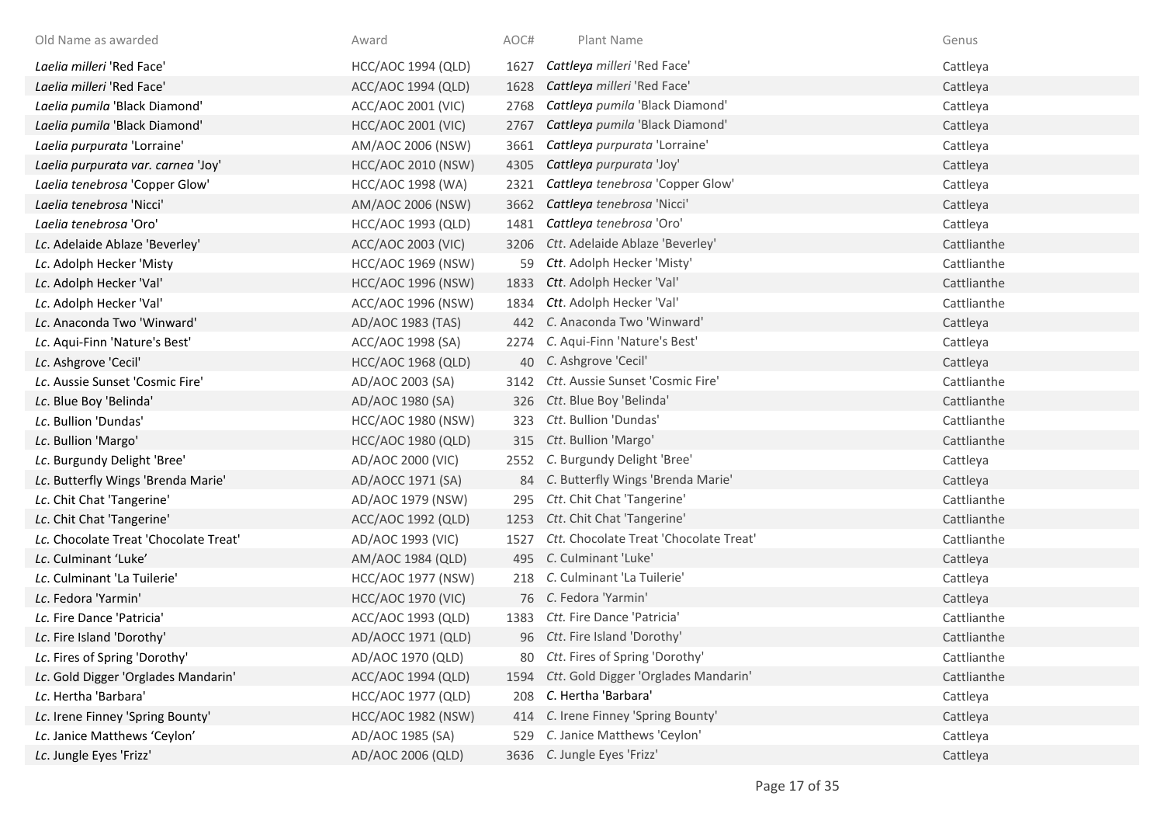| Old Name as awarded                   | Award                     | AOC# | Plant Name                                | Genus       |
|---------------------------------------|---------------------------|------|-------------------------------------------|-------------|
| Laelia milleri 'Red Face'             | HCC/AOC 1994 (QLD)        | 1627 | Cattleya milleri 'Red Face'               | Cattleya    |
| Laelia milleri 'Red Face'             | ACC/AOC 1994 (QLD)        | 1628 | Cattleya milleri 'Red Face'               | Cattleya    |
| Laelia pumila 'Black Diamond'         | ACC/AOC 2001 (VIC)        | 2768 | Cattleya pumila 'Black Diamond'           | Cattleya    |
| Laelia pumila 'Black Diamond'         | <b>HCC/AOC 2001 (VIC)</b> | 2767 | Cattleya pumila 'Black Diamond'           | Cattleya    |
| Laelia purpurata 'Lorraine'           | AM/AOC 2006 (NSW)         | 3661 | Cattleya purpurata 'Lorraine'             | Cattleya    |
| Laelia purpurata var. carnea 'Joy'    | <b>HCC/AOC 2010 (NSW)</b> | 4305 | Cattleya purpurata 'Joy'                  | Cattleya    |
| Laelia tenebrosa 'Copper Glow'        | HCC/AOC 1998 (WA)         | 2321 | Cattleya tenebrosa 'Copper Glow'          | Cattleya    |
| Laelia tenebrosa 'Nicci'              | AM/AOC 2006 (NSW)         | 3662 | Cattleya tenebrosa 'Nicci'                | Cattleya    |
| Laelia tenebrosa 'Oro'                | HCC/AOC 1993 (QLD)        | 1481 | Cattleya tenebrosa 'Oro'                  | Cattleya    |
| Lc. Adelaide Ablaze 'Beverley'        | ACC/AOC 2003 (VIC)        | 3206 | Ctt. Adelaide Ablaze 'Beverley'           | Cattlianthe |
| Lc. Adolph Hecker 'Misty              | <b>HCC/AOC 1969 (NSW)</b> |      | Ctt. Adolph Hecker 'Misty'                | Cattlianthe |
| Lc. Adolph Hecker 'Val'               | <b>HCC/AOC 1996 (NSW)</b> | 1833 | Ctt. Adolph Hecker 'Val'                  | Cattlianthe |
| Lc. Adolph Hecker 'Val'               | ACC/AOC 1996 (NSW)        | 1834 | Ctt. Adolph Hecker 'Val'                  | Cattlianthe |
| Lc. Anaconda Two 'Winward'            | AD/AOC 1983 (TAS)         | 442  | C. Anaconda Two 'Winward'                 | Cattleya    |
| Lc. Aqui-Finn 'Nature's Best'         | ACC/AOC 1998 (SA)         | 2274 | C. Aqui-Finn 'Nature's Best'              | Cattleya    |
| Lc. Ashgrove 'Cecil'                  | <b>HCC/AOC 1968 (QLD)</b> |      | 40 C. Ashgrove 'Cecil'                    | Cattleya    |
| Lc. Aussie Sunset 'Cosmic Fire'       | AD/AOC 2003 (SA)          |      | 3142 Ctt. Aussie Sunset 'Cosmic Fire'     | Cattlianthe |
| Lc. Blue Boy 'Belinda'                | AD/AOC 1980 (SA)          |      | 326 Ctt. Blue Boy 'Belinda'               | Cattlianthe |
| Lc. Bullion 'Dundas'                  | HCC/AOC 1980 (NSW)        | 323  | Ctt. Bullion 'Dundas'                     | Cattlianthe |
| Lc. Bullion 'Margo'                   | <b>HCC/AOC 1980 (QLD)</b> |      | 315 Ctt. Bullion 'Margo'                  | Cattlianthe |
| Lc. Burgundy Delight 'Bree'           | AD/AOC 2000 (VIC)         | 2552 | C. Burgundy Delight 'Bree'                | Cattleya    |
| Lc. Butterfly Wings 'Brenda Marie'    | AD/AOCC 1971 (SA)         |      | 84 C. Butterfly Wings 'Brenda Marie'      | Cattleya    |
| Lc. Chit Chat 'Tangerine'             | AD/AOC 1979 (NSW)         | 295  | Ctt. Chit Chat 'Tangerine'                | Cattlianthe |
| Lc. Chit Chat 'Tangerine'             | ACC/AOC 1992 (QLD)        |      | 1253 Ctt. Chit Chat 'Tangerine'           | Cattlianthe |
| Lc. Chocolate Treat 'Chocolate Treat' | AD/AOC 1993 (VIC)         | 1527 | Ctt. Chocolate Treat 'Chocolate Treat'    | Cattlianthe |
| Lc. Culminant 'Luke'                  | AM/AOC 1984 (QLD)         | 495  | C. Culminant 'Luke'                       | Cattleya    |
| Lc. Culminant 'La Tuilerie'           | <b>HCC/AOC 1977 (NSW)</b> |      | 218 C. Culminant 'La Tuilerie'            | Cattleya    |
| Lc. Fedora 'Yarmin'                   | <b>HCC/AOC 1970 (VIC)</b> |      | 76 C. Fedora 'Yarmin'                     | Cattleya    |
| Lc. Fire Dance 'Patricia'             | ACC/AOC 1993 (QLD)        |      | 1383 Ctt. Fire Dance 'Patricia'           | Cattlianthe |
| Lc. Fire Island 'Dorothy'             | AD/AOCC 1971 (QLD)        |      | 96 Ctt. Fire Island 'Dorothy'             | Cattlianthe |
| Lc. Fires of Spring 'Dorothy'         | AD/AOC 1970 (QLD)         |      | 80 Ctt. Fires of Spring 'Dorothy'         | Cattlianthe |
| Lc. Gold Digger 'Orglades Mandarin'   | ACC/AOC 1994 (QLD)        |      | 1594 Ctt. Gold Digger 'Orglades Mandarin' | Cattlianthe |
| Lc. Hertha 'Barbara'                  | <b>HCC/AOC 1977 (QLD)</b> |      | 208 C. Hertha 'Barbara'                   | Cattleya    |
| Lc. Irene Finney 'Spring Bounty'      | <b>HCC/AOC 1982 (NSW)</b> | 414  | C. Irene Finney 'Spring Bounty'           | Cattleya    |
| Lc. Janice Matthews 'Ceylon'          | AD/AOC 1985 (SA)          | 529  | C. Janice Matthews 'Ceylon'               | Cattleya    |
| Lc. Jungle Eyes 'Frizz'               | AD/AOC 2006 (QLD)         |      | 3636 C. Jungle Eyes 'Frizz'               | Cattleya    |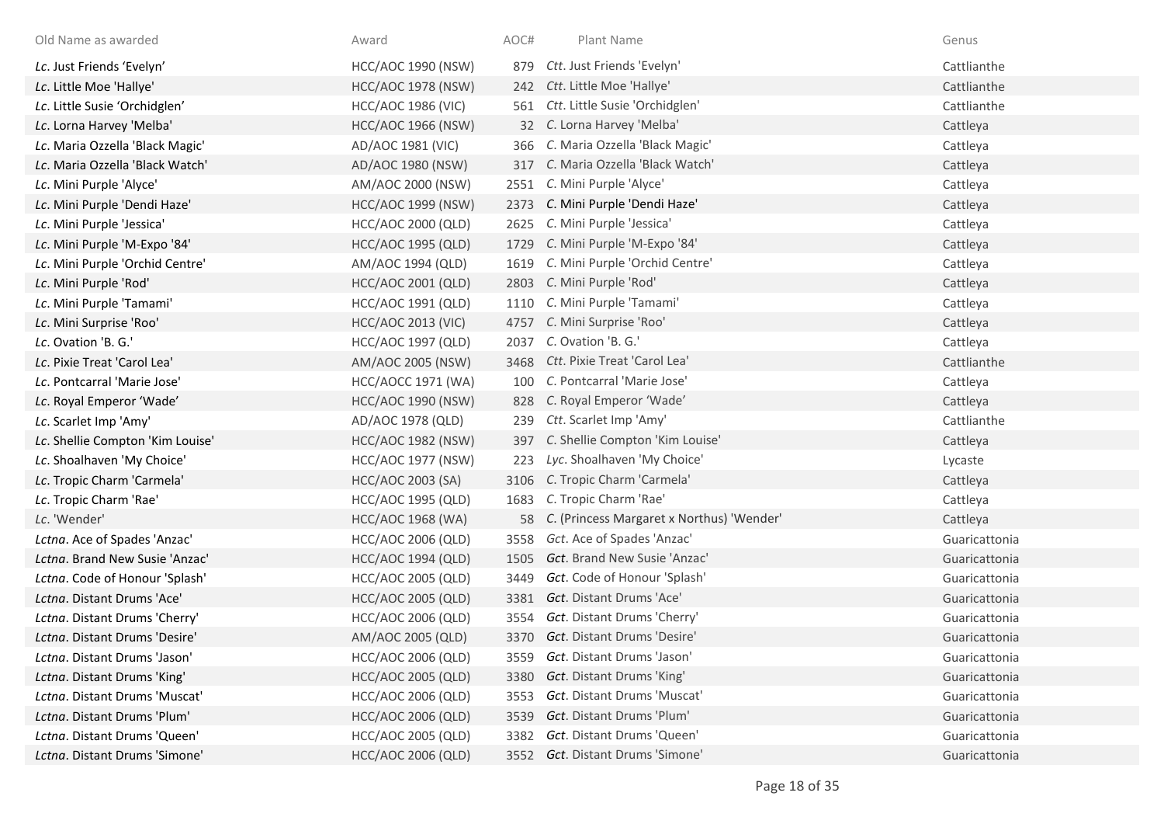| Old Name as awarded              | Award                     | AOC# | Plant Name                                   | Genus         |
|----------------------------------|---------------------------|------|----------------------------------------------|---------------|
| Lc. Just Friends 'Evelyn'        | <b>HCC/AOC 1990 (NSW)</b> | 879  | Ctt. Just Friends 'Evelyn'                   | Cattlianthe   |
| Lc. Little Moe 'Hallye'          | <b>HCC/AOC 1978 (NSW)</b> |      | 242 Ctt. Little Moe 'Hallye'                 | Cattlianthe   |
| Lc. Little Susie 'Orchidglen'    | <b>HCC/AOC 1986 (VIC)</b> |      | 561 Ctt. Little Susie 'Orchidglen'           | Cattlianthe   |
| Lc. Lorna Harvey 'Melba'         | <b>HCC/AOC 1966 (NSW)</b> |      | 32 C. Lorna Harvey 'Melba'                   | Cattleya      |
| Lc. Maria Ozzella 'Black Magic'  | AD/AOC 1981 (VIC)         |      | 366 C. Maria Ozzella 'Black Magic'           | Cattleya      |
| Lc. Maria Ozzella 'Black Watch'  | AD/AOC 1980 (NSW)         |      | 317 C. Maria Ozzella 'Black Watch'           | Cattleya      |
| Lc. Mini Purple 'Alyce'          | AM/AOC 2000 (NSW)         |      | 2551 C. Mini Purple 'Alyce'                  | Cattleya      |
| Lc. Mini Purple 'Dendi Haze'     | <b>HCC/AOC 1999 (NSW)</b> |      | 2373 C. Mini Purple 'Dendi Haze'             | Cattleya      |
| Lc. Mini Purple 'Jessica'        | HCC/AOC 2000 (QLD)        | 2625 | C. Mini Purple 'Jessica'                     | Cattleya      |
| Lc. Mini Purple 'M-Expo '84'     | <b>HCC/AOC 1995 (QLD)</b> | 1729 | C. Mini Purple 'M-Expo '84'                  | Cattleya      |
| Lc. Mini Purple 'Orchid Centre'  | AM/AOC 1994 (QLD)         |      | 1619 C. Mini Purple 'Orchid Centre'          | Cattleya      |
| Lc. Mini Purple 'Rod'            | HCC/AOC 2001 (QLD)        |      | 2803 C. Mini Purple 'Rod'                    | Cattleya      |
| Lc. Mini Purple 'Tamami'         | HCC/AOC 1991 (QLD)        |      | 1110 C. Mini Purple 'Tamami'                 | Cattleya      |
| Lc. Mini Surprise 'Roo'          | <b>HCC/AOC 2013 (VIC)</b> |      | 4757 C. Mini Surprise 'Roo'                  | Cattleya      |
| Lc. Ovation 'B. G.'              | <b>HCC/AOC 1997 (QLD)</b> | 2037 | C. Ovation 'B. G.'                           | Cattleya      |
| Lc. Pixie Treat 'Carol Lea'      | AM/AOC 2005 (NSW)         |      | 3468 Ctt. Pixie Treat 'Carol Lea'            | Cattlianthe   |
| Lc. Pontcarral 'Marie Jose'      | <b>HCC/AOCC 1971 (WA)</b> |      | 100 C. Pontcarral 'Marie Jose'               | Cattleya      |
| Lc. Royal Emperor 'Wade'         | <b>HCC/AOC 1990 (NSW)</b> |      | 828 C. Royal Emperor 'Wade'                  | Cattleya      |
| Lc. Scarlet Imp 'Amy'            | AD/AOC 1978 (QLD)         |      | 239 Ctt. Scarlet Imp 'Amy'                   | Cattlianthe   |
| Lc. Shellie Compton 'Kim Louise' | <b>HCC/AOC 1982 (NSW)</b> |      | 397 C. Shellie Compton 'Kim Louise'          | Cattleya      |
| Lc. Shoalhaven 'My Choice'       | HCC/AOC 1977 (NSW)        |      | 223 Lyc. Shoalhaven 'My Choice'              | Lycaste       |
| Lc. Tropic Charm 'Carmela'       | <b>HCC/AOC 2003 (SA)</b>  |      | 3106 C. Tropic Charm 'Carmela'               | Cattleya      |
| Lc. Tropic Charm 'Rae'           | <b>HCC/AOC 1995 (QLD)</b> |      | 1683 C. Tropic Charm 'Rae'                   | Cattleya      |
| Lc. 'Wender'                     | <b>HCC/AOC 1968 (WA)</b>  |      | 58 C. (Princess Margaret x Northus) 'Wender' | Cattleya      |
| Lctna. Ace of Spades 'Anzac'     | <b>HCC/AOC 2006 (QLD)</b> | 3558 | Gct. Ace of Spades 'Anzac'                   | Guaricattonia |
| Lctna. Brand New Susie 'Anzac'   | <b>HCC/AOC 1994 (QLD)</b> | 1505 | Gct. Brand New Susie 'Anzac'                 | Guaricattonia |
| Lctna. Code of Honour 'Splash'   | <b>HCC/AOC 2005 (QLD)</b> | 3449 | Gct. Code of Honour 'Splash'                 | Guaricattonia |
| Lctna. Distant Drums 'Ace'       | <b>HCC/AOC 2005 (QLD)</b> |      | 3381 Gct. Distant Drums 'Ace'                | Guaricattonia |
| Lctna. Distant Drums 'Cherry'    | HCC/AOC 2006 (QLD)        |      | 3554 Gct. Distant Drums 'Cherry'             | Guaricattonia |
| Lctna. Distant Drums 'Desire'    | AM/AOC 2005 (QLD)         |      | 3370 Gct. Distant Drums 'Desire'             | Guaricattonia |
| Lctna. Distant Drums 'Jason'     | HCC/AOC 2006 (QLD)        | 3559 | Gct. Distant Drums 'Jason'                   | Guaricattonia |
| Lctna. Distant Drums 'King'      | <b>HCC/AOC 2005 (QLD)</b> | 3380 | Gct. Distant Drums 'King'                    | Guaricattonia |
| Lctna. Distant Drums 'Muscat'    | HCC/AOC 2006 (QLD)        | 3553 | Gct. Distant Drums 'Muscat'                  | Guaricattonia |
| Lctna. Distant Drums 'Plum'      | <b>HCC/AOC 2006 (QLD)</b> | 3539 | Gct. Distant Drums 'Plum'                    | Guaricattonia |
| Lctna. Distant Drums 'Queen'     | <b>HCC/AOC 2005 (QLD)</b> | 3382 | Gct. Distant Drums 'Queen'                   | Guaricattonia |
| Lctna. Distant Drums 'Simone'    | <b>HCC/AOC 2006 (QLD)</b> |      | 3552 Gct. Distant Drums 'Simone'             | Guaricattonia |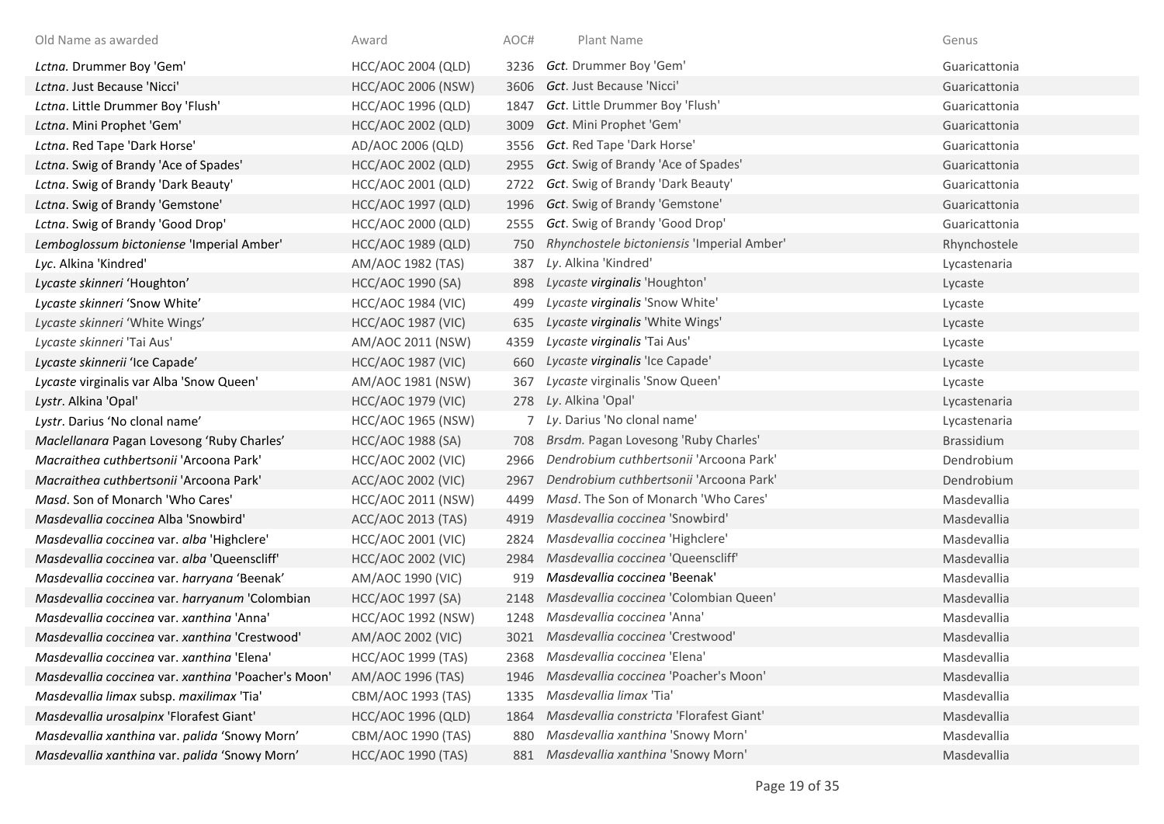| Old Name as awarded                                 | Award                     | AOC# | Plant Name                                 | Genus         |
|-----------------------------------------------------|---------------------------|------|--------------------------------------------|---------------|
| Lctna. Drummer Boy 'Gem'                            | <b>HCC/AOC 2004 (QLD)</b> | 3236 | Gct. Drummer Boy 'Gem'                     | Guaricattonia |
| Lctna. Just Because 'Nicci'                         | <b>HCC/AOC 2006 (NSW)</b> | 3606 | <b>Gct.</b> Just Because 'Nicci'           | Guaricattonia |
| Lctna. Little Drummer Boy 'Flush'                   | <b>HCC/AOC 1996 (QLD)</b> | 1847 | Gct. Little Drummer Boy 'Flush'            | Guaricattonia |
| Lctna. Mini Prophet 'Gem'                           | HCC/AOC 2002 (QLD)        | 3009 | Gct. Mini Prophet 'Gem'                    | Guaricattonia |
| Lctna. Red Tape 'Dark Horse'                        | AD/AOC 2006 (QLD)         | 3556 | Gct. Red Tape 'Dark Horse'                 | Guaricattonia |
| Lctna. Swig of Brandy 'Ace of Spades'               | <b>HCC/AOC 2002 (QLD)</b> | 2955 | Gct. Swig of Brandy 'Ace of Spades'        | Guaricattonia |
| Lctna. Swig of Brandy 'Dark Beauty'                 | HCC/AOC 2001 (QLD)        | 2722 | Gct. Swig of Brandy 'Dark Beauty'          | Guaricattonia |
| Lctna. Swig of Brandy 'Gemstone'                    | HCC/AOC 1997 (QLD)        | 1996 | Gct. Swig of Brandy 'Gemstone'             | Guaricattonia |
| Lctna. Swig of Brandy 'Good Drop'                   | HCC/AOC 2000 (QLD)        | 2555 | Gct. Swig of Brandy 'Good Drop'            | Guaricattonia |
| Lemboglossum bictoniense 'Imperial Amber'           | <b>HCC/AOC 1989 (QLD)</b> | 750  | Rhynchostele bictoniensis 'Imperial Amber' | Rhynchostele  |
| Lyc. Alkina 'Kindred'                               | AM/AOC 1982 (TAS)         | 387  | Ly. Alkina 'Kindred'                       | Lycastenaria  |
| Lycaste skinneri 'Houghton'                         | <b>HCC/AOC 1990 (SA)</b>  | 898  | Lycaste virginalis 'Houghton'              | Lycaste       |
| Lycaste skinneri 'Snow White'                       | <b>HCC/AOC 1984 (VIC)</b> | 499  | Lycaste virginalis 'Snow White'            | Lycaste       |
| Lycaste skinneri 'White Wings'                      | <b>HCC/AOC 1987 (VIC)</b> | 635  | Lycaste virginalis 'White Wings'           | Lycaste       |
| Lycaste skinneri 'Tai Aus'                          | AM/AOC 2011 (NSW)         | 4359 | Lycaste virginalis 'Tai Aus'               | Lycaste       |
| Lycaste skinnerii 'Ice Capade'                      | <b>HCC/AOC 1987 (VIC)</b> | 660  | Lycaste virginalis 'Ice Capade'            | Lycaste       |
| Lycaste virginalis var Alba 'Snow Queen'            | AM/AOC 1981 (NSW)         | 367  | Lycaste virginalis 'Snow Queen'            | Lycaste       |
| Lystr. Alkina 'Opal'                                | <b>HCC/AOC 1979 (VIC)</b> | 278  | Ly. Alkina 'Opal'                          | Lycastenaria  |
| Lystr. Darius 'No clonal name'                      | <b>HCC/AOC 1965 (NSW)</b> |      | 7 Ly. Darius 'No clonal name'              | Lycastenaria  |
| Maclellanara Pagan Lovesong 'Ruby Charles'          | HCC/AOC 1988 (SA)         | 708  | Brsdm. Pagan Lovesong 'Ruby Charles'       | Brassidium    |
| Macraithea cuthbertsonii 'Arcoona Park'             | <b>HCC/AOC 2002 (VIC)</b> | 2966 | Dendrobium cuthbertsonii 'Arcoona Park'    | Dendrobium    |
| Macraithea cuthbertsonii 'Arcoona Park'             | ACC/AOC 2002 (VIC)        | 2967 | Dendrobium cuthbertsonii 'Arcoona Park'    | Dendrobium    |
| Masd. Son of Monarch 'Who Cares'                    | HCC/AOC 2011 (NSW)        | 4499 | Masd. The Son of Monarch 'Who Cares'       | Masdevallia   |
| Masdevallia coccinea Alba 'Snowbird'                | <b>ACC/AOC 2013 (TAS)</b> | 4919 | Masdevallia coccinea 'Snowbird'            | Masdevallia   |
| Masdevallia coccinea var. alba 'Highclere'          | <b>HCC/AOC 2001 (VIC)</b> | 2824 | Masdevallia coccinea 'Highclere'           | Masdevallia   |
| Masdevallia coccinea var. alba 'Queenscliff'        | <b>HCC/AOC 2002 (VIC)</b> | 2984 | Masdevallia coccinea 'Queenscliff'         | Masdevallia   |
| Masdevallia coccinea var. harryana 'Beenak'         | AM/AOC 1990 (VIC)         | 919  | Masdevallia coccinea 'Beenak'              | Masdevallia   |
| Masdevallia coccinea var. harryanum 'Colombian      | HCC/AOC 1997 (SA)         | 2148 | Masdevallia coccinea 'Colombian Queen'     | Masdevallia   |
| Masdevallia coccinea var. xanthina 'Anna'           | <b>HCC/AOC 1992 (NSW)</b> | 1248 | Masdevallia coccinea 'Anna'                | Masdevallia   |
| Masdevallia coccinea var. xanthina 'Crestwood'      | AM/AOC 2002 (VIC)         | 3021 | Masdevallia coccinea 'Crestwood'           | Masdevallia   |
| Masdevallia coccinea var. xanthina 'Elena'          | <b>HCC/AOC 1999 (TAS)</b> | 2368 | Masdevallia coccinea 'Elena'               | Masdevallia   |
| Masdevallia coccinea var. xanthina 'Poacher's Moon' | AM/AOC 1996 (TAS)         | 1946 | Masdevallia coccinea 'Poacher's Moon'      | Masdevallia   |
| Masdevallia limax subsp. maxilimax 'Tia'            | CBM/AOC 1993 (TAS)        | 1335 | Masdevallia limax 'Tia'                    | Masdevallia   |
| Masdevallia urosalpinx 'Florafest Giant'            | <b>HCC/AOC 1996 (QLD)</b> | 1864 | Masdevallia constricta 'Florafest Giant'   | Masdevallia   |
| Masdevallia xanthina var. palida 'Snowy Morn'       | CBM/AOC 1990 (TAS)        | 880  | Masdevallia xanthina 'Snowy Morn'          | Masdevallia   |
| Masdevallia xanthina var. palida 'Snowy Morn'       | <b>HCC/AOC 1990 (TAS)</b> |      | 881 Masdevallia xanthina 'Snowy Morn'      | Masdevallia   |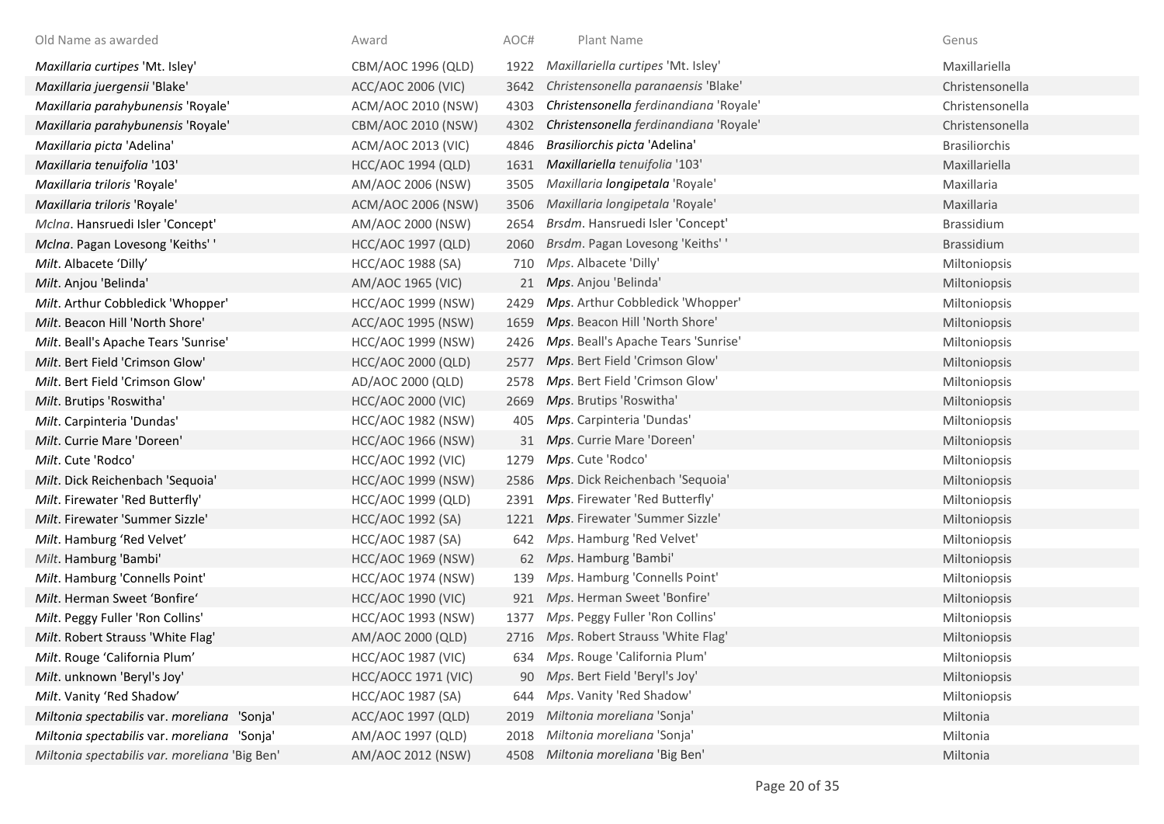| Old Name as awarded                           | Award                     | AOC# | Plant Name                             | Genus                |
|-----------------------------------------------|---------------------------|------|----------------------------------------|----------------------|
| Maxillaria curtipes 'Mt. Isley'               | CBM/AOC 1996 (QLD)        | 1922 | Maxillariella curtipes 'Mt. Isley'     | Maxillariella        |
| Maxillaria juergensii 'Blake'                 | ACC/AOC 2006 (VIC)        | 3642 | Christensonella paranaensis 'Blake'    | Christensonella      |
| Maxillaria parahybunensis 'Royale'            | ACM/AOC 2010 (NSW)        | 4303 | Christensonella ferdinandiana 'Royale' | Christensonella      |
| Maxillaria parahybunensis 'Royale'            | CBM/AOC 2010 (NSW)        | 4302 | Christensonella ferdinandiana 'Royale' | Christensonella      |
| Maxillaria picta 'Adelina'                    | ACM/AOC 2013 (VIC)        | 4846 | Brasiliorchis picta 'Adelina'          | <b>Brasiliorchis</b> |
| Maxillaria tenuifolia '103'                   | <b>HCC/AOC 1994 (QLD)</b> | 1631 | Maxillariella tenuifolia '103'         | Maxillariella        |
| Maxillaria triloris 'Royale'                  | AM/AOC 2006 (NSW)         | 3505 | Maxillaria longipetala 'Royale'        | Maxillaria           |
| Maxillaria triloris 'Royale'                  | ACM/AOC 2006 (NSW)        | 3506 | Maxillaria longipetala 'Royale'        | Maxillaria           |
| Mclna. Hansruedi Isler 'Concept'              | AM/AOC 2000 (NSW)         | 2654 | Brsdm. Hansruedi Isler 'Concept'       | Brassidium           |
| McIna. Pagan Lovesong 'Keiths' '              | <b>HCC/AOC 1997 (QLD)</b> | 2060 | Brsdm. Pagan Lovesong 'Keiths' '       | Brassidium           |
| Milt. Albacete 'Dilly'                        | <b>HCC/AOC 1988 (SA)</b>  | 710  | Mps. Albacete 'Dilly'                  | Miltoniopsis         |
| Milt. Anjou 'Belinda'                         | AM/AOC 1965 (VIC)         | 21   | Mps. Anjou 'Belinda'                   | Miltoniopsis         |
| Milt. Arthur Cobbledick 'Whopper'             | <b>HCC/AOC 1999 (NSW)</b> | 2429 | Mps. Arthur Cobbledick 'Whopper'       | Miltoniopsis         |
| Milt. Beacon Hill 'North Shore'               | ACC/AOC 1995 (NSW)        | 1659 | Mps. Beacon Hill 'North Shore'         | Miltoniopsis         |
| Milt. Beall's Apache Tears 'Sunrise'          | <b>HCC/AOC 1999 (NSW)</b> | 2426 | Mps. Beall's Apache Tears 'Sunrise'    | Miltoniopsis         |
| Milt. Bert Field 'Crimson Glow'               | HCC/AOC 2000 (QLD)        | 2577 | Mps. Bert Field 'Crimson Glow'         | Miltoniopsis         |
| Milt. Bert Field 'Crimson Glow'               | AD/AOC 2000 (QLD)         | 2578 | Mps. Bert Field 'Crimson Glow'         | Miltoniopsis         |
| Milt. Brutips 'Roswitha'                      | <b>HCC/AOC 2000 (VIC)</b> | 2669 | Mps. Brutips 'Roswitha'                | Miltoniopsis         |
| Milt. Carpinteria 'Dundas'                    | <b>HCC/AOC 1982 (NSW)</b> | 405  | Mps. Carpinteria 'Dundas'              | Miltoniopsis         |
| Milt. Currie Mare 'Doreen'                    | <b>HCC/AOC 1966 (NSW)</b> | 31   | Mps. Currie Mare 'Doreen'              | Miltoniopsis         |
| Milt. Cute 'Rodco'                            | <b>HCC/AOC 1992 (VIC)</b> | 1279 | Mps. Cute 'Rodco'                      | Miltoniopsis         |
| Milt. Dick Reichenbach 'Sequoia'              | <b>HCC/AOC 1999 (NSW)</b> | 2586 | Mps. Dick Reichenbach 'Sequoia'        | Miltoniopsis         |
| Milt. Firewater 'Red Butterfly'               | HCC/AOC 1999 (QLD)        | 2391 | Mps. Firewater 'Red Butterfly'         | Miltoniopsis         |
| Milt. Firewater 'Summer Sizzle'               | HCC/AOC 1992 (SA)         |      | 1221 Mps. Firewater 'Summer Sizzle'    | Miltoniopsis         |
| Milt. Hamburg 'Red Velvet'                    | <b>HCC/AOC 1987 (SA)</b>  | 642  | Mps. Hamburg 'Red Velvet'              | Miltoniopsis         |
| Milt. Hamburg 'Bambi'                         | <b>HCC/AOC 1969 (NSW)</b> |      | 62 Mps. Hamburg 'Bambi'                | Miltoniopsis         |
| Milt. Hamburg 'Connells Point'                | <b>HCC/AOC 1974 (NSW)</b> | 139  | Mps. Hamburg 'Connells Point'          | Miltoniopsis         |
| Milt. Herman Sweet 'Bonfire'                  | <b>HCC/AOC 1990 (VIC)</b> | 921  | Mps. Herman Sweet 'Bonfire'            | Miltoniopsis         |
| Milt. Peggy Fuller 'Ron Collins'              | <b>HCC/AOC 1993 (NSW)</b> | 1377 | Mps. Peggy Fuller 'Ron Collins'        | Miltoniopsis         |
| Milt. Robert Strauss 'White Flag'             | AM/AOC 2000 (QLD)         |      | 2716 Mps. Robert Strauss 'White Flag'  | Miltoniopsis         |
| Milt. Rouge 'California Plum'                 | <b>HCC/AOC 1987 (VIC)</b> |      | 634 Mps. Rouge 'California Plum'       | Miltoniopsis         |
| Milt. unknown 'Beryl's Joy'                   | HCC/AOCC 1971 (VIC)       |      | 90 Mps. Bert Field 'Beryl's Joy'       | Miltoniopsis         |
| Milt. Vanity 'Red Shadow'                     | <b>HCC/AOC 1987 (SA)</b>  | 644  | Mps. Vanity 'Red Shadow'               | Miltoniopsis         |
| Miltonia spectabilis var. moreliana 'Sonja'   | ACC/AOC 1997 (QLD)        | 2019 | Miltonia moreliana 'Sonja'             | Miltonia             |
| Miltonia spectabilis var. moreliana 'Sonja'   | AM/AOC 1997 (QLD)         | 2018 | Miltonia moreliana 'Sonja'             | Miltonia             |
| Miltonia spectabilis var. moreliana 'Big Ben' | AM/AOC 2012 (NSW)         | 4508 | Miltonia moreliana 'Big Ben'           | Miltonia             |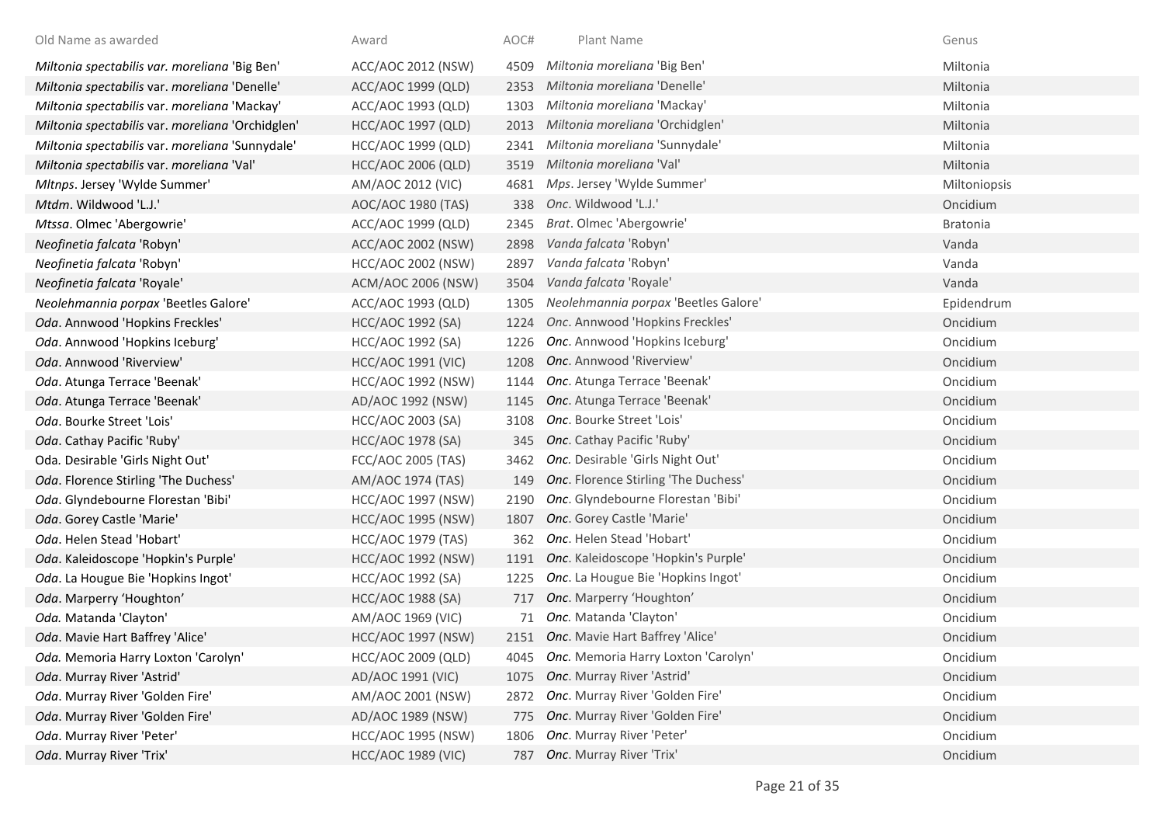| Old Name as awarded                              | Award                     | AOC# | Plant Name                           | Genus        |
|--------------------------------------------------|---------------------------|------|--------------------------------------|--------------|
| Miltonia spectabilis var. moreliana 'Big Ben'    | ACC/AOC 2012 (NSW)        | 4509 | Miltonia moreliana 'Big Ben'         | Miltonia     |
| Miltonia spectabilis var. moreliana 'Denelle'    | ACC/AOC 1999 (QLD)        | 2353 | Miltonia moreliana 'Denelle'         | Miltonia     |
| Miltonia spectabilis var. moreliana 'Mackay'     | ACC/AOC 1993 (QLD)        | 1303 | Miltonia moreliana 'Mackay'          | Miltonia     |
| Miltonia spectabilis var. moreliana 'Orchidglen' | HCC/AOC 1997 (QLD)        | 2013 | Miltonia moreliana 'Orchidglen'      | Miltonia     |
| Miltonia spectabilis var. moreliana 'Sunnydale'  | HCC/AOC 1999 (QLD)        | 2341 | Miltonia moreliana 'Sunnydale'       | Miltonia     |
| Miltonia spectabilis var. moreliana 'Val'        | <b>HCC/AOC 2006 (QLD)</b> | 3519 | Miltonia moreliana 'Val'             | Miltonia     |
| Mltnps. Jersey 'Wylde Summer'                    | AM/AOC 2012 (VIC)         | 4681 | Mps. Jersey 'Wylde Summer'           | Miltoniopsis |
| Mtdm. Wildwood 'L.J.'                            | AOC/AOC 1980 (TAS)        | 338  | Onc. Wildwood 'L.J.'                 | Oncidium     |
| Mtssa. Olmec 'Abergowrie'                        | ACC/AOC 1999 (QLD)        | 2345 | Brat. Olmec 'Abergowrie'             | Bratonia     |
| Neofinetia falcata 'Robyn'                       | ACC/AOC 2002 (NSW)        | 2898 | Vanda falcata 'Robyn'                | Vanda        |
| Neofinetia falcata 'Robyn'                       | <b>HCC/AOC 2002 (NSW)</b> | 2897 | Vanda falcata 'Robyn'                | Vanda        |
| Neofinetia falcata 'Royale'                      | ACM/AOC 2006 (NSW)        | 3504 | Vanda falcata 'Royale'               | Vanda        |
| Neolehmannia porpax 'Beetles Galore'             | ACC/AOC 1993 (QLD)        | 1305 | Neolehmannia porpax 'Beetles Galore' | Epidendrum   |
| Oda. Annwood 'Hopkins Freckles'                  | HCC/AOC 1992 (SA)         | 1224 | Onc. Annwood 'Hopkins Freckles'      | Oncidium     |
| Oda. Annwood 'Hopkins Iceburg'                   | HCC/AOC 1992 (SA)         | 1226 | Onc. Annwood 'Hopkins Iceburg'       | Oncidium     |
| Oda. Annwood 'Riverview'                         | <b>HCC/AOC 1991 (VIC)</b> | 1208 | Onc. Annwood 'Riverview'             | Oncidium     |
| Oda. Atunga Terrace 'Beenak'                     | <b>HCC/AOC 1992 (NSW)</b> | 1144 | Onc. Atunga Terrace 'Beenak'         | Oncidium     |
| Oda. Atunga Terrace 'Beenak'                     | AD/AOC 1992 (NSW)         | 1145 | Onc. Atunga Terrace 'Beenak'         | Oncidium     |
| Oda. Bourke Street 'Lois'                        | HCC/AOC 2003 (SA)         | 3108 | Onc. Bourke Street 'Lois'            | Oncidium     |
| Oda. Cathay Pacific 'Ruby'                       | HCC/AOC 1978 (SA)         | 345  | Onc. Cathay Pacific 'Ruby'           | Oncidium     |
| Oda. Desirable 'Girls Night Out'                 | FCC/AOC 2005 (TAS)        | 3462 | Onc. Desirable 'Girls Night Out'     | Oncidium     |
| Oda. Florence Stirling 'The Duchess'             | AM/AOC 1974 (TAS)         | 149  | Onc. Florence Stirling 'The Duchess' | Oncidium     |
| Oda. Glyndebourne Florestan 'Bibi'               | <b>HCC/AOC 1997 (NSW)</b> | 2190 | Onc. Glyndebourne Florestan 'Bibi'   | Oncidium     |
| Oda. Gorey Castle 'Marie'                        | <b>HCC/AOC 1995 (NSW)</b> | 1807 | Onc. Gorey Castle 'Marie'            | Oncidium     |
| Oda. Helen Stead 'Hobart'                        | <b>HCC/AOC 1979 (TAS)</b> | 362  | Onc. Helen Stead 'Hobart'            | Oncidium     |
| Oda. Kaleidoscope 'Hopkin's Purple'              | <b>HCC/AOC 1992 (NSW)</b> | 1191 | Onc. Kaleidoscope 'Hopkin's Purple'  | Oncidium     |
| Oda. La Hougue Bie 'Hopkins Ingot'               | HCC/AOC 1992 (SA)         | 1225 | Onc. La Hougue Bie 'Hopkins Ingot'   | Oncidium     |
| Oda. Marperry 'Houghton'                         | <b>HCC/AOC 1988 (SA)</b>  | 717  | Onc. Marperry 'Houghton'             | Oncidium     |
| Oda. Matanda 'Clayton'                           | AM/AOC 1969 (VIC)         | 71   | Onc. Matanda 'Clayton'               | Oncidium     |
| Oda. Mavie Hart Baffrey 'Alice'                  | <b>HCC/AOC 1997 (NSW)</b> |      | 2151 Onc. Mavie Hart Baffrey 'Alice' | Oncidium     |
| Oda. Memoria Harry Loxton 'Carolyn'              | HCC/AOC 2009 (QLD)        | 4045 | Onc. Memoria Harry Loxton 'Carolyn'  | Oncidium     |
| Oda. Murray River 'Astrid'                       | AD/AOC 1991 (VIC)         | 1075 | Onc. Murray River 'Astrid'           | Oncidium     |
| Oda. Murray River 'Golden Fire'                  | AM/AOC 2001 (NSW)         | 2872 | Onc. Murray River 'Golden Fire'      | Oncidium     |
| Oda. Murray River 'Golden Fire'                  | AD/AOC 1989 (NSW)         | 775  | Onc. Murray River 'Golden Fire'      | Oncidium     |
| Oda. Murray River 'Peter'                        | <b>HCC/AOC 1995 (NSW)</b> | 1806 | Onc. Murray River 'Peter'            | Oncidium     |
| Oda. Murray River 'Trix'                         | <b>HCC/AOC 1989 (VIC)</b> | 787  | Onc. Murray River 'Trix'             | Oncidium     |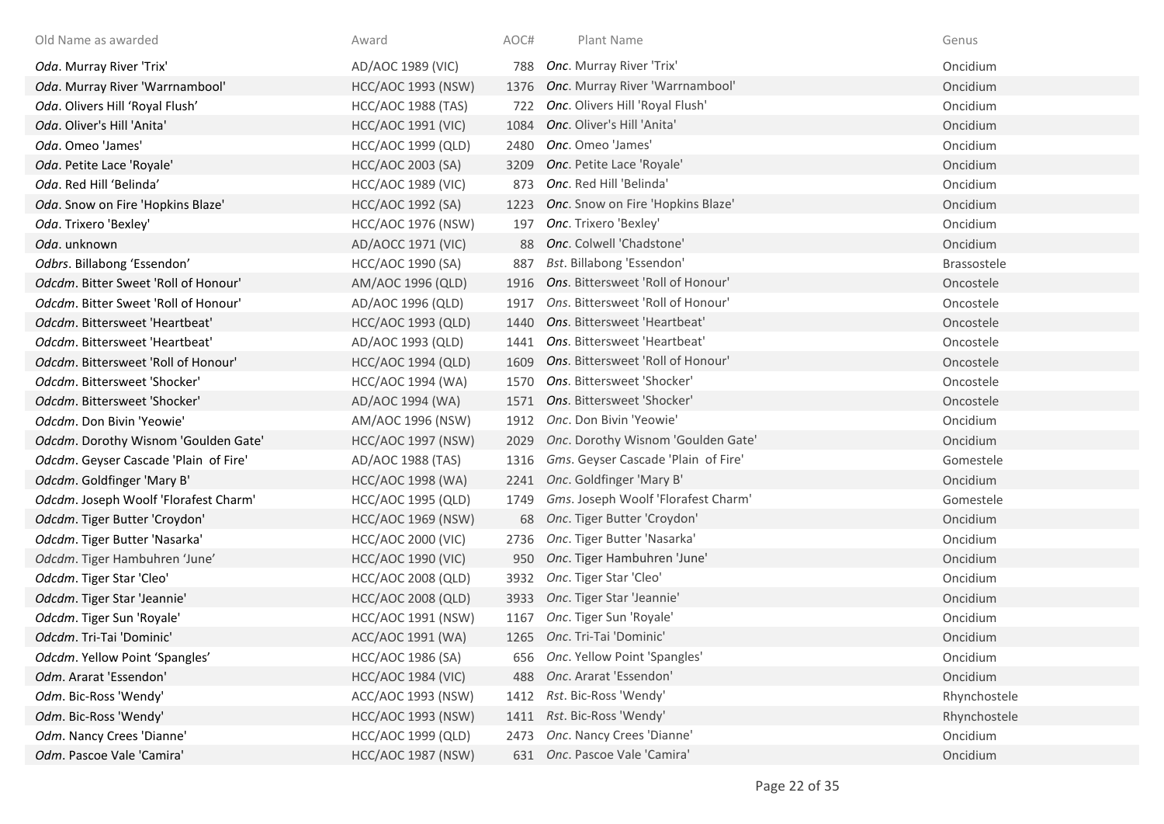| Old Name as awarded                   | Award                     | AOC# | Plant Name                             | Genus        |
|---------------------------------------|---------------------------|------|----------------------------------------|--------------|
| Oda. Murray River 'Trix'              | AD/AOC 1989 (VIC)         | 788  | Onc. Murray River 'Trix'               | Oncidium     |
| Oda. Murray River 'Warrnambool'       | <b>HCC/AOC 1993 (NSW)</b> | 1376 | Onc. Murray River 'Warrnambool'        | Oncidium     |
| Oda. Olivers Hill 'Royal Flush'       | <b>HCC/AOC 1988 (TAS)</b> | 722  | Onc. Olivers Hill 'Royal Flush'        | Oncidium     |
| Oda. Oliver's Hill 'Anita'            | <b>HCC/AOC 1991 (VIC)</b> | 1084 | Onc. Oliver's Hill 'Anita'             | Oncidium     |
| Oda. Omeo 'James'                     | HCC/AOC 1999 (QLD)        | 2480 | Onc. Omeo 'James'                      | Oncidium     |
| Oda. Petite Lace 'Royale'             | <b>HCC/AOC 2003 (SA)</b>  | 3209 | Onc. Petite Lace 'Royale'              | Oncidium     |
| Oda. Red Hill 'Belinda'               | <b>HCC/AOC 1989 (VIC)</b> | 873  | Onc. Red Hill 'Belinda'                | Oncidium     |
| Oda. Snow on Fire 'Hopkins Blaze'     | HCC/AOC 1992 (SA)         |      | 1223 Onc. Snow on Fire 'Hopkins Blaze' | Oncidium     |
| Oda. Trixero 'Bexley'                 | <b>HCC/AOC 1976 (NSW)</b> | 197  | Onc. Trixero 'Bexley'                  | Oncidium     |
| Oda. unknown                          | AD/AOCC 1971 (VIC)        | 88   | Onc. Colwell 'Chadstone'               | Oncidium     |
| Odbrs. Billabong 'Essendon'           | HCC/AOC 1990 (SA)         | 887  | <b>Bst. Billabong 'Essendon'</b>       | Brassostele  |
| Odcdm. Bitter Sweet 'Roll of Honour'  | AM/AOC 1996 (QLD)         | 1916 | Ons. Bittersweet 'Roll of Honour'      | Oncostele    |
| Odcdm. Bitter Sweet 'Roll of Honour'  | AD/AOC 1996 (QLD)         | 1917 | Ons. Bittersweet 'Roll of Honour'      | Oncostele    |
| Odcdm. Bittersweet 'Heartbeat'        | <b>HCC/AOC 1993 (QLD)</b> | 1440 | Ons. Bittersweet 'Heartbeat'           | Oncostele    |
| Odcdm. Bittersweet 'Heartbeat'        | AD/AOC 1993 (QLD)         | 1441 | Ons. Bittersweet 'Heartbeat'           | Oncostele    |
| Odcdm. Bittersweet 'Roll of Honour'   | <b>HCC/AOC 1994 (QLD)</b> | 1609 | Ons. Bittersweet 'Roll of Honour'      | Oncostele    |
| Odcdm. Bittersweet 'Shocker'          | <b>HCC/AOC 1994 (WA)</b>  | 1570 | Ons. Bittersweet 'Shocker'             | Oncostele    |
| Odcdm. Bittersweet 'Shocker'          | AD/AOC 1994 (WA)          | 1571 | Ons. Bittersweet 'Shocker'             | Oncostele    |
| Odcdm. Don Bivin 'Yeowie'             | AM/AOC 1996 (NSW)         |      | 1912 Onc. Don Bivin 'Yeowie'           | Oncidium     |
| Odcdm. Dorothy Wisnom 'Goulden Gate'  | <b>HCC/AOC 1997 (NSW)</b> | 2029 | Onc. Dorothy Wisnom 'Goulden Gate'     | Oncidium     |
| Odcdm. Geyser Cascade 'Plain of Fire' | AD/AOC 1988 (TAS)         | 1316 | Gms. Geyser Cascade 'Plain of Fire'    | Gomestele    |
| Odcdm. Goldfinger 'Mary B'            | <b>HCC/AOC 1998 (WA)</b>  |      | 2241 Onc. Goldfinger 'Mary B'          | Oncidium     |
| Odcdm. Joseph Woolf 'Florafest Charm' | <b>HCC/AOC 1995 (QLD)</b> | 1749 | Gms. Joseph Woolf 'Florafest Charm'    | Gomestele    |
| Odcdm. Tiger Butter 'Croydon'         | <b>HCC/AOC 1969 (NSW)</b> |      | 68 Onc. Tiger Butter 'Croydon'         | Oncidium     |
| Odcdm. Tiger Butter 'Nasarka'         | <b>HCC/AOC 2000 (VIC)</b> | 2736 | Onc. Tiger Butter 'Nasarka'            | Oncidium     |
| Odcdm. Tiger Hambuhren 'June'         | <b>HCC/AOC 1990 (VIC)</b> | 950  | Onc. Tiger Hambuhren 'June'            | Oncidium     |
| Odcdm. Tiger Star 'Cleo'              | <b>HCC/AOC 2008 (QLD)</b> | 3932 | Onc. Tiger Star 'Cleo'                 | Oncidium     |
| Odcdm. Tiger Star 'Jeannie'           | <b>HCC/AOC 2008 (QLD)</b> | 3933 | Onc. Tiger Star 'Jeannie'              | Oncidium     |
| Odcdm. Tiger Sun 'Royale'             | <b>HCC/AOC 1991 (NSW)</b> | 1167 | Onc. Tiger Sun 'Royale'                | Oncidium     |
| Odcdm. Tri-Tai 'Dominic'              | ACC/AOC 1991 (WA)         |      | 1265 Onc. Tri-Tai 'Dominic'            | Oncidium     |
| Odcdm. Yellow Point 'Spangles'        | HCC/AOC 1986 (SA)         |      | 656 Onc. Yellow Point 'Spangles'       | Oncidium     |
| Odm. Ararat 'Essendon'                | <b>HCC/AOC 1984 (VIC)</b> |      | 488 Onc. Ararat 'Essendon'             | Oncidium     |
| Odm. Bic-Ross 'Wendy'                 | ACC/AOC 1993 (NSW)        | 1412 | <i>Rst.</i> Bic-Ross 'Wendy'           | Rhynchostele |
| Odm. Bic-Ross 'Wendy'                 | <b>HCC/AOC 1993 (NSW)</b> |      | 1411 Rst. Bic-Ross 'Wendy'             | Rhynchostele |
| Odm. Nancy Crees 'Dianne'             | HCC/AOC 1999 (QLD)        |      | 2473 Onc. Nancy Crees 'Dianne'         | Oncidium     |
| Odm. Pascoe Vale 'Camira'             | <b>HCC/AOC 1987 (NSW)</b> |      | 631 Onc. Pascoe Vale 'Camira'          | Oncidium     |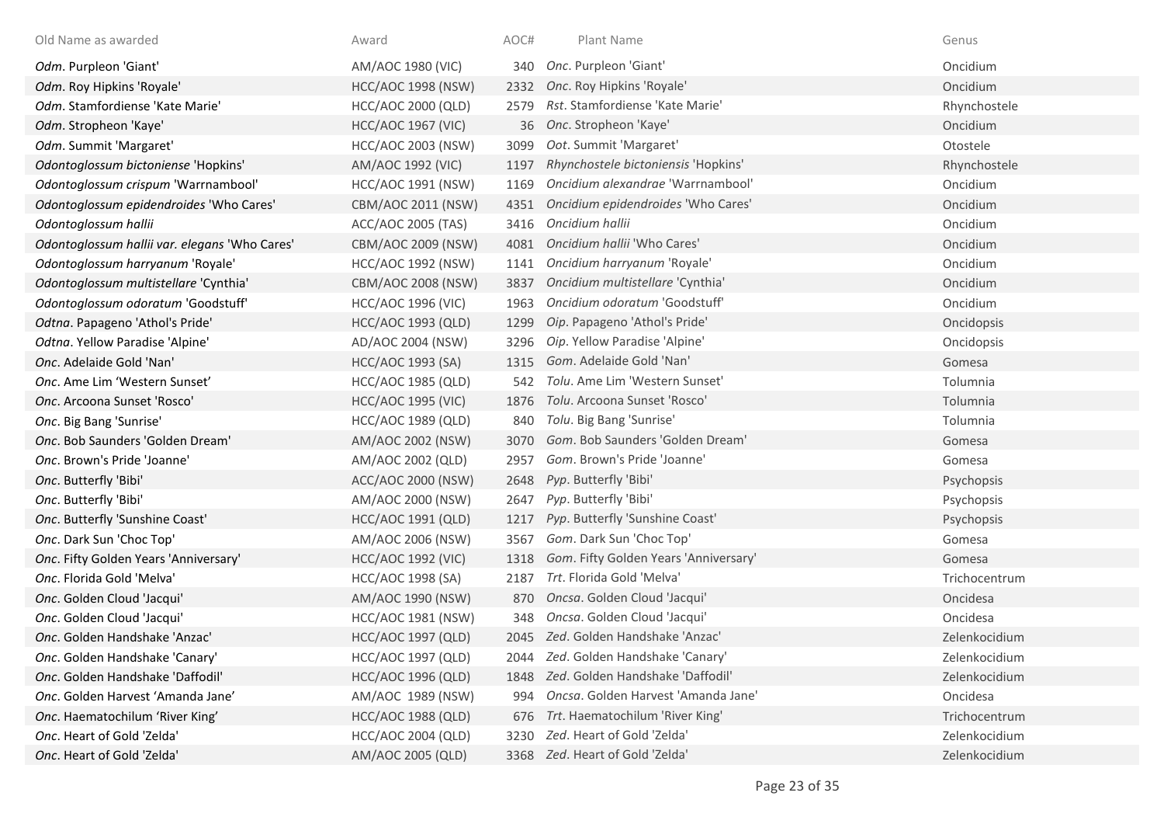| Old Name as awarded                           | Award                     | AOC# | Plant Name                            | Genus         |
|-----------------------------------------------|---------------------------|------|---------------------------------------|---------------|
| Odm. Purpleon 'Giant'                         | AM/AOC 1980 (VIC)         | 340  | Onc. Purpleon 'Giant'                 | Oncidium      |
| Odm. Roy Hipkins 'Royale'                     | <b>HCC/AOC 1998 (NSW)</b> | 2332 | Onc. Roy Hipkins 'Royale'             | Oncidium      |
| Odm. Stamfordiense 'Kate Marie'               | HCC/AOC 2000 (QLD)        | 2579 | Rst. Stamfordiense 'Kate Marie'       | Rhynchostele  |
| Odm. Stropheon 'Kaye'                         | <b>HCC/AOC 1967 (VIC)</b> | 36   | Onc. Stropheon 'Kaye'                 | Oncidium      |
| Odm. Summit 'Margaret'                        | <b>HCC/AOC 2003 (NSW)</b> | 3099 | Oot. Summit 'Margaret'                | Otostele      |
| Odontoglossum bictoniense 'Hopkins'           | AM/AOC 1992 (VIC)         | 1197 | Rhynchostele bictoniensis 'Hopkins'   | Rhynchostele  |
| Odontoglossum crispum 'Warrnambool'           | HCC/AOC 1991 (NSW)        | 1169 | Oncidium alexandrae 'Warrnambool'     | Oncidium      |
| Odontoglossum epidendroides 'Who Cares'       | CBM/AOC 2011 (NSW)        | 4351 | Oncidium epidendroides 'Who Cares'    | Oncidium      |
| Odontoglossum hallii                          | ACC/AOC 2005 (TAS)        | 3416 | Oncidium hallii                       | Oncidium      |
| Odontoglossum hallii var. elegans 'Who Cares' | CBM/AOC 2009 (NSW)        | 4081 | Oncidium hallii 'Who Cares'           | Oncidium      |
| Odontoglossum harryanum 'Royale'              | <b>HCC/AOC 1992 (NSW)</b> | 1141 | Oncidium harryanum 'Royale'           | Oncidium      |
| Odontoglossum multistellare 'Cynthia'         | CBM/AOC 2008 (NSW)        | 3837 | Oncidium multistellare 'Cynthia'      | Oncidium      |
| Odontoglossum odoratum 'Goodstuff'            | <b>HCC/AOC 1996 (VIC)</b> | 1963 | Oncidium odoratum 'Goodstuff'         | Oncidium      |
| Odtna. Papageno 'Athol's Pride'               | <b>HCC/AOC 1993 (QLD)</b> | 1299 | Oip. Papageno 'Athol's Pride'         | Oncidopsis    |
| Odtna. Yellow Paradise 'Alpine'               | AD/AOC 2004 (NSW)         | 3296 | Oip. Yellow Paradise 'Alpine'         | Oncidopsis    |
| Onc. Adelaide Gold 'Nan'                      | HCC/AOC 1993 (SA)         | 1315 | Gom. Adelaide Gold 'Nan'              | Gomesa        |
| Onc. Ame Lim 'Western Sunset'                 | <b>HCC/AOC 1985 (QLD)</b> | 542  | Tolu. Ame Lim 'Western Sunset'        | Tolumnia      |
| Onc. Arcoona Sunset 'Rosco'                   | <b>HCC/AOC 1995 (VIC)</b> | 1876 | Tolu. Arcoona Sunset 'Rosco'          | Tolumnia      |
| Onc. Big Bang 'Sunrise'                       | <b>HCC/AOC 1989 (QLD)</b> | 840  | Tolu. Big Bang 'Sunrise'              | Tolumnia      |
| Onc. Bob Saunders 'Golden Dream'              | AM/AOC 2002 (NSW)         | 3070 | Gom. Bob Saunders 'Golden Dream'      | Gomesa        |
| Onc. Brown's Pride 'Joanne'                   | AM/AOC 2002 (QLD)         | 2957 | Gom. Brown's Pride 'Joanne'           | Gomesa        |
| Onc. Butterfly 'Bibi'                         | ACC/AOC 2000 (NSW)        | 2648 | Pyp. Butterfly 'Bibi'                 | Psychopsis    |
| Onc. Butterfly 'Bibi'                         | AM/AOC 2000 (NSW)         | 2647 | Pyp. Butterfly 'Bibi'                 | Psychopsis    |
| Onc. Butterfly 'Sunshine Coast'               | HCC/AOC 1991 (QLD)        | 1217 | Pyp. Butterfly 'Sunshine Coast'       | Psychopsis    |
| Onc. Dark Sun 'Choc Top'                      | AM/AOC 2006 (NSW)         | 3567 | Gom. Dark Sun 'Choc Top'              | Gomesa        |
| Onc. Fifty Golden Years 'Anniversary'         | <b>HCC/AOC 1992 (VIC)</b> | 1318 | Gom. Fifty Golden Years 'Anniversary' | Gomesa        |
| Onc. Florida Gold 'Melva'                     | HCC/AOC 1998 (SA)         | 2187 | Trt. Florida Gold 'Melva'             | Trichocentrum |
| Onc. Golden Cloud 'Jacqui'                    | AM/AOC 1990 (NSW)         | 870  | Oncsa. Golden Cloud 'Jacqui'          | Oncidesa      |
| Onc. Golden Cloud 'Jacqui'                    | HCC/AOC 1981 (NSW)        | 348  | Oncsa. Golden Cloud 'Jacqui'          | Oncidesa      |
| Onc. Golden Handshake 'Anzac'                 | <b>HCC/AOC 1997 (QLD)</b> |      | 2045 Zed. Golden Handshake 'Anzac'    | Zelenkocidium |
| Onc. Golden Handshake 'Canary'                | HCC/AOC 1997 (QLD)        | 2044 | Zed. Golden Handshake 'Canary'        | Zelenkocidium |
| Onc. Golden Handshake 'Daffodil'              | <b>HCC/AOC 1996 (QLD)</b> |      | 1848 Zed. Golden Handshake 'Daffodil' | Zelenkocidium |
| Onc. Golden Harvest 'Amanda Jane'             | AM/AOC 1989 (NSW)         | 994  | Oncsa. Golden Harvest 'Amanda Jane'   | Oncidesa      |
| Onc. Haematochilum 'River King'               | <b>HCC/AOC 1988 (QLD)</b> | 676  | Trt. Haematochilum 'River King'       | Trichocentrum |
| Onc. Heart of Gold 'Zelda'                    | <b>HCC/AOC 2004 (QLD)</b> | 3230 | Zed. Heart of Gold 'Zelda'            | Zelenkocidium |
| Onc. Heart of Gold 'Zelda'                    | AM/AOC 2005 (QLD)         |      | 3368 Zed. Heart of Gold 'Zelda'       | Zelenkocidium |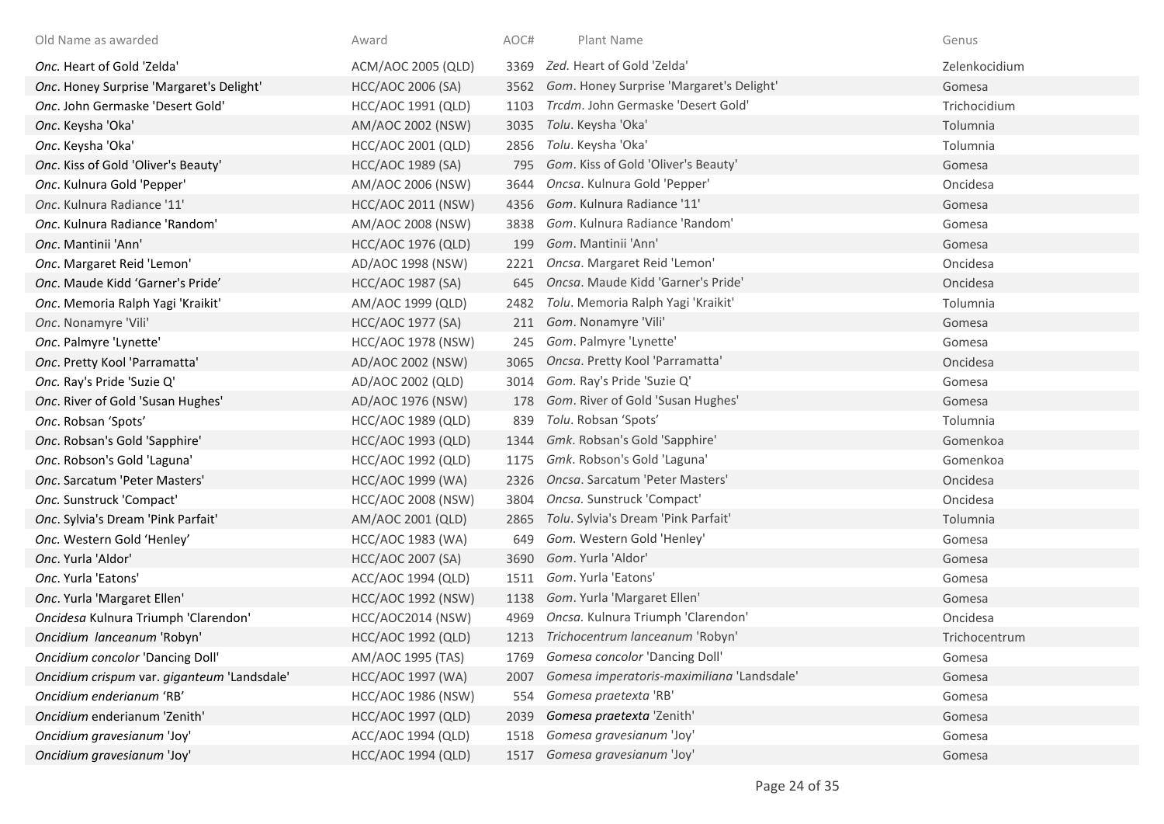| Old Name as awarded                         | Award                     | AOC# | Plant Name                                 | Genus         |
|---------------------------------------------|---------------------------|------|--------------------------------------------|---------------|
| Onc. Heart of Gold 'Zelda'                  | ACM/AOC 2005 (QLD)        | 3369 | Zed. Heart of Gold 'Zelda'                 | Zelenkocidium |
| Onc. Honey Surprise 'Margaret's Delight'    | <b>HCC/AOC 2006 (SA)</b>  | 3562 | Gom. Honey Surprise 'Margaret's Delight'   | Gomesa        |
| Onc. John Germaske 'Desert Gold'            | HCC/AOC 1991 (QLD)        | 1103 | Trcdm. John Germaske 'Desert Gold'         | Trichocidium  |
| Onc. Keysha 'Oka'                           | AM/AOC 2002 (NSW)         | 3035 | Tolu. Keysha 'Oka'                         | Tolumnia      |
| Onc. Keysha 'Oka'                           | HCC/AOC 2001 (QLD)        | 2856 | Tolu. Keysha 'Oka'                         | Tolumnia      |
| Onc. Kiss of Gold 'Oliver's Beauty'         | <b>HCC/AOC 1989 (SA)</b>  | 795  | Gom. Kiss of Gold 'Oliver's Beauty'        | Gomesa        |
| Onc. Kulnura Gold 'Pepper'                  | AM/AOC 2006 (NSW)         | 3644 | Oncsa. Kulnura Gold 'Pepper'               | Oncidesa      |
| Onc. Kulnura Radiance '11'                  | HCC/AOC 2011 (NSW)        | 4356 | Gom. Kulnura Radiance '11'                 | Gomesa        |
| Onc. Kulnura Radiance 'Random'              | AM/AOC 2008 (NSW)         | 3838 | Gom. Kulnura Radiance 'Random'             | Gomesa        |
| Onc. Mantinii 'Ann'                         | <b>HCC/AOC 1976 (QLD)</b> | 199  | Gom. Mantinii 'Ann'                        | Gomesa        |
| Onc. Margaret Reid 'Lemon'                  | AD/AOC 1998 (NSW)         | 2221 | Oncsa. Margaret Reid 'Lemon'               | Oncidesa      |
| Onc. Maude Kidd 'Garner's Pride'            | HCC/AOC 1987 (SA)         | 645  | Oncsa. Maude Kidd 'Garner's Pride'         | Oncidesa      |
| Onc. Memoria Ralph Yagi 'Kraikit'           | AM/AOC 1999 (QLD)         | 2482 | Tolu. Memoria Ralph Yagi 'Kraikit'         | Tolumnia      |
| Onc. Nonamyre 'Vili'                        | HCC/AOC 1977 (SA)         |      | 211 Gom. Nonamyre 'Vili'                   | Gomesa        |
| Onc. Palmyre 'Lynette'                      | <b>HCC/AOC 1978 (NSW)</b> | 245  | Gom. Palmyre 'Lynette'                     | Gomesa        |
| Onc. Pretty Kool 'Parramatta'               | AD/AOC 2002 (NSW)         | 3065 | Oncsa. Pretty Kool 'Parramatta'            | Oncidesa      |
| Onc. Ray's Pride 'Suzie Q'                  | AD/AOC 2002 (QLD)         | 3014 | Gom. Ray's Pride 'Suzie Q'                 | Gomesa        |
| Onc. River of Gold 'Susan Hughes'           | AD/AOC 1976 (NSW)         | 178  | Gom. River of Gold 'Susan Hughes'          | Gomesa        |
| Onc. Robsan 'Spots'                         | <b>HCC/AOC 1989 (QLD)</b> | 839  | Tolu. Robsan 'Spots'                       | Tolumnia      |
| Onc. Robsan's Gold 'Sapphire'               | HCC/AOC 1993 (QLD)        | 1344 | Gmk. Robsan's Gold 'Sapphire'              | Gomenkoa      |
| Onc. Robson's Gold 'Laguna'                 | HCC/AOC 1992 (QLD)        | 1175 | Gmk. Robson's Gold 'Laguna'                | Gomenkoa      |
| Onc. Sarcatum 'Peter Masters'               | HCC/AOC 1999 (WA)         | 2326 | Oncsa. Sarcatum 'Peter Masters'            | Oncidesa      |
| Onc. Sunstruck 'Compact'                    | <b>HCC/AOC 2008 (NSW)</b> | 3804 | Oncsa. Sunstruck 'Compact'                 | Oncidesa      |
| Onc. Sylvia's Dream 'Pink Parfait'          | AM/AOC 2001 (QLD)         | 2865 | Tolu. Sylvia's Dream 'Pink Parfait'        | Tolumnia      |
| Onc. Western Gold 'Henley'                  | <b>HCC/AOC 1983 (WA)</b>  | 649  | Gom. Western Gold 'Henley'                 | Gomesa        |
| Onc. Yurla 'Aldor'                          | HCC/AOC 2007 (SA)         | 3690 | Gom. Yurla 'Aldor'                         | Gomesa        |
| Onc. Yurla 'Eatons'                         | ACC/AOC 1994 (QLD)        | 1511 | Gom. Yurla 'Eatons'                        | Gomesa        |
| Onc. Yurla 'Margaret Ellen'                 | <b>HCC/AOC 1992 (NSW)</b> | 1138 | Gom. Yurla 'Margaret Ellen'                | Gomesa        |
| Oncidesa Kulnura Triumph 'Clarendon'        | HCC/AOC2014 (NSW)         | 4969 | Oncsa. Kulnura Triumph 'Clarendon'         | Oncidesa      |
| Oncidium lanceanum 'Robyn'                  | <b>HCC/AOC 1992 (QLD)</b> |      | 1213 Trichocentrum lanceanum 'Robyn'       | Trichocentrum |
| Oncidium concolor 'Dancing Doll'            | AM/AOC 1995 (TAS)         | 1769 | Gomesa concolor 'Dancing Doll'             | Gomesa        |
| Oncidium crispum var. giganteum 'Landsdale' | HCC/AOC 1997 (WA)         | 2007 | Gomesa imperatoris-maximiliana 'Landsdale' | Gomesa        |
| Oncidium enderianum 'RB'                    | <b>HCC/AOC 1986 (NSW)</b> | 554  | Gomesa praetexta 'RB'                      | Gomesa        |
| Oncidium enderianum 'Zenith'                | <b>HCC/AOC 1997 (QLD)</b> | 2039 | Gomesa praetexta 'Zenith'                  | Gomesa        |
| Oncidium gravesianum 'Joy'                  | ACC/AOC 1994 (QLD)        | 1518 | Gomesa gravesianum 'Joy'                   | Gomesa        |
| Oncidium gravesianum 'Joy'                  | <b>HCC/AOC 1994 (QLD)</b> | 1517 | Gomesa gravesianum 'Joy'                   | Gomesa        |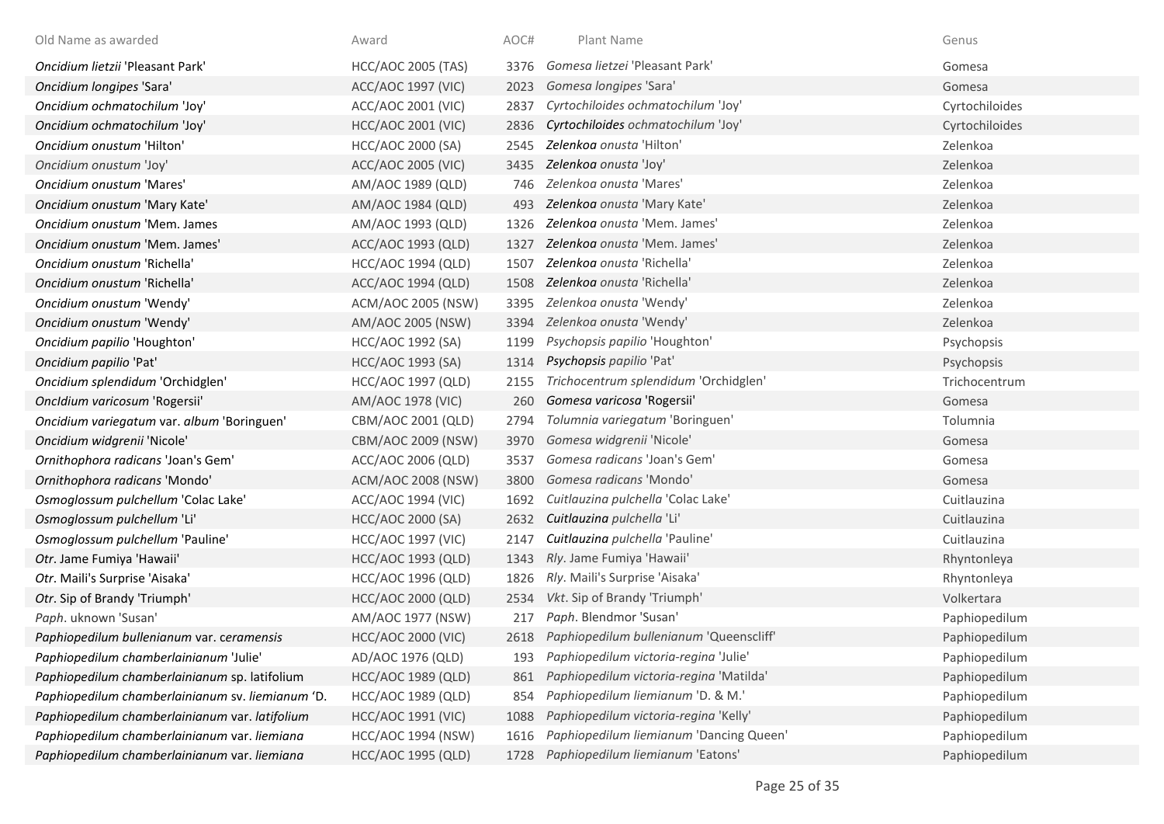| Old Name as awarded                              | Award                     | AOC# | Plant Name                              | Genus          |
|--------------------------------------------------|---------------------------|------|-----------------------------------------|----------------|
| Oncidium lietzii 'Pleasant Park'                 | <b>HCC/AOC 2005 (TAS)</b> | 3376 | Gomesa lietzei 'Pleasant Park'          | Gomesa         |
| Oncidium longipes 'Sara'                         | <b>ACC/AOC 1997 (VIC)</b> | 2023 | Gomesa longipes 'Sara'                  | Gomesa         |
| Oncidium ochmatochilum 'Joy'                     | ACC/AOC 2001 (VIC)        | 2837 | Cyrtochiloides ochmatochilum 'Joy'      | Cyrtochiloides |
| Oncidium ochmatochilum 'Joy'                     | <b>HCC/AOC 2001 (VIC)</b> | 2836 | Cyrtochiloides ochmatochilum 'Joy'      | Cyrtochiloides |
| Oncidium onustum 'Hilton'                        | HCC/AOC 2000 (SA)         | 2545 | Zelenkoa onusta 'Hilton'                | Zelenkoa       |
| Oncidium onustum 'Joy'                           | ACC/AOC 2005 (VIC)        | 3435 | Zelenkoa onusta 'Joy'                   | Zelenkoa       |
| Oncidium onustum 'Mares'                         | AM/AOC 1989 (QLD)         | 746  | Zelenkog onusta 'Mares'                 | Zelenkoa       |
| Oncidium onustum 'Mary Kate'                     | AM/AOC 1984 (QLD)         | 493  | Zelenkoa onusta 'Mary Kate'             | Zelenkoa       |
| Oncidium onustum 'Mem. James                     | AM/AOC 1993 (QLD)         | 1326 | Zelenkoa onusta 'Mem. James'            | Zelenkoa       |
| Oncidium onustum 'Mem. James'                    | ACC/AOC 1993 (QLD)        | 1327 | Zelenkoa onusta 'Mem. James'            | Zelenkoa       |
| Oncidium onustum 'Richella'                      | HCC/AOC 1994 (QLD)        | 1507 | Zelenkoa onusta 'Richella'              | Zelenkoa       |
| Oncidium onustum 'Richella'                      | ACC/AOC 1994 (QLD)        | 1508 | Zelenkoa onusta 'Richella'              | Zelenkoa       |
| Oncidium onustum 'Wendy'                         | ACM/AOC 2005 (NSW)        | 3395 | Zelenkoa onusta 'Wendy'                 | Zelenkoa       |
| Oncidium onustum 'Wendy'                         | AM/AOC 2005 (NSW)         | 3394 | Zelenkoa onusta 'Wendy'                 | Zelenkoa       |
| Oncidium papilio 'Houghton'                      | HCC/AOC 1992 (SA)         | 1199 | Psychopsis papilio 'Houghton'           | Psychopsis     |
| Oncidium papilio 'Pat'                           | HCC/AOC 1993 (SA)         | 1314 | Psychopsis papilio 'Pat'                | Psychopsis     |
| Oncidium splendidum 'Orchidglen'                 | HCC/AOC 1997 (QLD)        | 2155 | Trichocentrum splendidum 'Orchidglen'   | Trichocentrum  |
| Oncldium varicosum 'Rogersii'                    | AM/AOC 1978 (VIC)         | 260  | Gomesa varicosa 'Rogersii'              | Gomesa         |
| Oncidium variegatum var. album 'Boringuen'       | CBM/AOC 2001 (QLD)        | 2794 | Tolumnia variegatum 'Boringuen'         | Tolumnia       |
| Oncidium widgrenii 'Nicole'                      | CBM/AOC 2009 (NSW)        | 3970 | Gomesa widgrenii 'Nicole'               | Gomesa         |
| Ornithophora radicans 'Joan's Gem'               | ACC/AOC 2006 (QLD)        | 3537 | Gomesa radicans 'Joan's Gem'            | Gomesa         |
| Ornithophora radicans 'Mondo'                    | <b>ACM/AOC 2008 (NSW)</b> | 3800 | Gomesa radicans 'Mondo'                 | Gomesa         |
| Osmoglossum pulchellum 'Colac Lake'              | ACC/AOC 1994 (VIC)        | 1692 | Cuitlauzina pulchella 'Colac Lake'      | Cuitlauzina    |
| Osmoglossum pulchellum 'Li'                      | HCC/AOC 2000 (SA)         | 2632 | Cuitlauzina pulchella 'Li'              | Cuitlauzina    |
| Osmoglossum pulchellum 'Pauline'                 | <b>HCC/AOC 1997 (VIC)</b> | 2147 | Cuitlauzina pulchella 'Pauline'         | Cuitlauzina    |
| Otr. Jame Fumiya 'Hawaii'                        | <b>HCC/AOC 1993 (QLD)</b> | 1343 | Rly. Jame Fumiya 'Hawaii'               | Rhyntonleya    |
| Otr. Maili's Surprise 'Aisaka'                   | <b>HCC/AOC 1996 (QLD)</b> | 1826 | Rly. Maili's Surprise 'Aisaka'          | Rhyntonleya    |
| Otr. Sip of Brandy 'Triumph'                     | HCC/AOC 2000 (QLD)        | 2534 | Vkt. Sip of Brandy 'Triumph'            | Volkertara     |
| Paph. uknown 'Susan'                             | AM/AOC 1977 (NSW)         | 217  | Paph. Blendmor 'Susan'                  | Paphiopedilum  |
| Paphiopedilum bullenianum var. ceramensis        | <b>HCC/AOC 2000 (VIC)</b> | 2618 | Paphiopedilum bullenianum 'Queenscliff' | Paphiopedilum  |
| Paphiopedilum chamberlainianum 'Julie'           | AD/AOC 1976 (QLD)         | 193  | Paphiopedilum victoria-regina 'Julie'   | Paphiopedilum  |
| Paphiopedilum chamberlainianum sp. latifolium    | <b>HCC/AOC 1989 (QLD)</b> | 861  | Paphiopedilum victoria-regina 'Matilda' | Paphiopedilum  |
| Paphiopedilum chamberlainianum sv. liemianum 'D. | <b>HCC/AOC 1989 (QLD)</b> | 854  | Paphiopedilum liemianum 'D. & M.'       | Paphiopedilum  |
| Paphiopedilum chamberlainianum var. latifolium   | <b>HCC/AOC 1991 (VIC)</b> | 1088 | Paphiopedilum victoria-regina 'Kelly'   | Paphiopedilum  |
| Paphiopedilum chamberlainianum var. liemiana     | <b>HCC/AOC 1994 (NSW)</b> | 1616 | Paphiopedilum liemianum 'Dancing Queen' | Paphiopedilum  |
| Paphiopedilum chamberlainianum var. liemiana     | <b>HCC/AOC 1995 (QLD)</b> | 1728 | Paphiopedilum liemianum 'Eatons'        | Paphiopedilum  |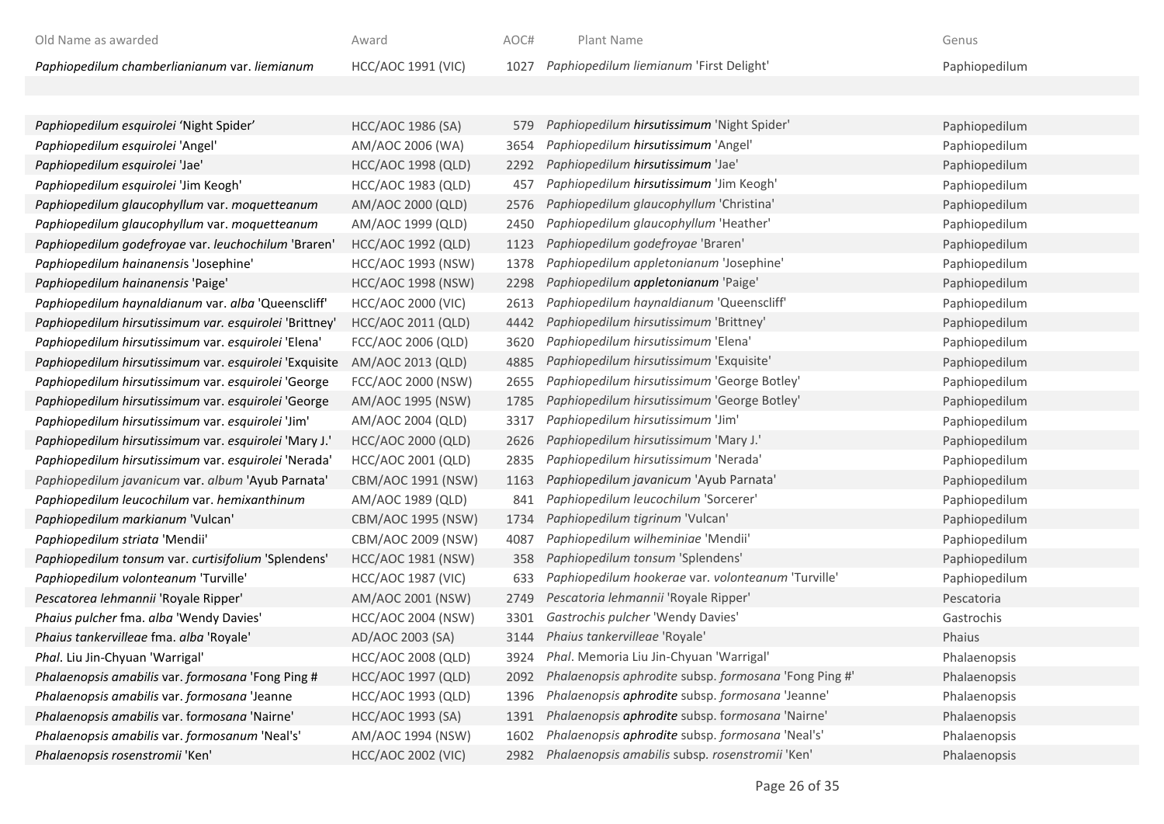| Old Name as awarded                           | Award              | AOC# | Plant Name                                   | Genus         |
|-----------------------------------------------|--------------------|------|----------------------------------------------|---------------|
| Paphiopedilum chamberlianianum var. liemianum | HCC/AOC 1991 (VIC) |      | 1027 Paphiopedilum liemianum 'First Delight' | Paphiopedilum |

| Paphiopedilum esquirolei 'Night Spider'                | <b>HCC/AOC 1986 (SA)</b>  | 579  | Paphiopedilum hirsutissimum 'Night Spider'            | Paphiopedilum |
|--------------------------------------------------------|---------------------------|------|-------------------------------------------------------|---------------|
| Paphiopedilum esquirolei 'Angel'                       | AM/AOC 2006 (WA)          | 3654 | Paphiopedilum hirsutissimum 'Angel'                   | Paphiopedilum |
| Paphiopedilum esquirolei 'Jae'                         | <b>HCC/AOC 1998 (QLD)</b> | 2292 | Paphiopedilum hirsutissimum 'Jae'                     | Paphiopedilum |
| Paphiopedilum esquirolei 'Jim Keogh'                   | HCC/AOC 1983 (QLD)        | 457  | Paphiopedilum hirsutissimum 'Jim Keogh'               | Paphiopedilum |
| Paphiopedilum glaucophyllum var. moquetteanum          | AM/AOC 2000 (QLD)         | 2576 | Paphiopedilum glaucophyllum 'Christina'               | Paphiopedilum |
| Paphiopedilum glaucophyllum var. moquetteanum          | AM/AOC 1999 (QLD)         | 2450 | Paphiopedilum glaucophyllum 'Heather'                 | Paphiopedilum |
| Paphiopedilum godefroyae var. leuchochilum 'Braren'    | <b>HCC/AOC 1992 (QLD)</b> | 1123 | Paphiopedilum godefroyae 'Braren'                     | Paphiopedilum |
| Paphiopedilum hainanensis 'Josephine'                  | <b>HCC/AOC 1993 (NSW)</b> | 1378 | Paphiopedilum appletonianum 'Josephine'               | Paphiopedilum |
| Paphiopedilum hainanensis 'Paige'                      | <b>HCC/AOC 1998 (NSW)</b> | 2298 | Paphiopedilum appletonianum 'Paige'                   | Paphiopedilum |
| Paphiopedilum haynaldianum var. alba 'Queenscliff'     | <b>HCC/AOC 2000 (VIC)</b> | 2613 | Paphiopedilum haynaldianum 'Queenscliff'              | Paphiopedilum |
| Paphiopedilum hirsutissimum var. esquirolei 'Brittney' | HCC/AOC 2011 (QLD)        | 4442 | Paphiopedilum hirsutissimum 'Brittney'                | Paphiopedilum |
| Paphiopedilum hirsutissimum var. esquirolei 'Elena'    | FCC/AOC 2006 (QLD)        | 3620 | Paphiopedilum hirsutissimum 'Elena'                   | Paphiopedilum |
| Paphiopedilum hirsutissimum var. esquirolei 'Exquisite | AM/AOC 2013 (QLD)         | 4885 | Paphiopedilum hirsutissimum 'Exquisite'               | Paphiopedilum |
| Paphiopedilum hirsutissimum var. esquirolei 'George    | FCC/AOC 2000 (NSW)        | 2655 | Paphiopedilum hirsutissimum 'George Botley'           | Paphiopedilum |
| Paphiopedilum hirsutissimum var. esquirolei 'George    | AM/AOC 1995 (NSW)         | 1785 | Paphiopedilum hirsutissimum 'George Botley'           | Paphiopedilum |
| Paphiopedilum hirsutissimum var. esquirolei 'Jim'      | AM/AOC 2004 (QLD)         | 3317 | Paphiopedilum hirsutissimum 'Jim'                     | Paphiopedilum |
| Paphiopedilum hirsutissimum var. esquirolei 'Mary J.'  | HCC/AOC 2000 (QLD)        | 2626 | Paphiopedilum hirsutissimum 'Mary J.'                 | Paphiopedilum |
| Paphiopedilum hirsutissimum var. esquirolei 'Nerada'   | HCC/AOC 2001 (QLD)        | 2835 | Paphiopedilum hirsutissimum 'Nerada'                  | Paphiopedilum |
| Paphiopedilum javanicum var. album 'Ayub Parnata'      | CBM/AOC 1991 (NSW)        | 1163 | Paphiopedilum javanicum 'Ayub Parnata'                | Paphiopedilum |
| Paphiopedilum leucochilum var. hemixanthinum           | AM/AOC 1989 (QLD)         | 841  | Paphiopedilum leucochilum 'Sorcerer'                  | Paphiopedilum |
| Paphiopedilum markianum 'Vulcan'                       | CBM/AOC 1995 (NSW)        | 1734 | Paphiopedilum tigrinum 'Vulcan'                       | Paphiopedilum |
| Paphiopedilum striata 'Mendii'                         | CBM/AOC 2009 (NSW)        | 4087 | Paphiopedilum wilheminiae 'Mendii'                    | Paphiopedilum |
| Paphiopedilum tonsum var. curtisifolium 'Splendens'    | HCC/AOC 1981 (NSW)        | 358  | Paphiopedilum tonsum 'Splendens'                      | Paphiopedilum |
| Paphiopedilum volonteanum 'Turville'                   | <b>HCC/AOC 1987 (VIC)</b> | 633  | Paphiopedilum hookerae var. volonteanum 'Turville'    | Paphiopedilum |
| Pescatorea lehmannii 'Royale Ripper'                   | AM/AOC 2001 (NSW)         | 2749 | Pescatoria lehmannii 'Royale Ripper'                  | Pescatoria    |
| Phaius pulcher fma. alba 'Wendy Davies'                | <b>HCC/AOC 2004 (NSW)</b> | 3301 | Gastrochis pulcher 'Wendy Davies'                     | Gastrochis    |
| Phaius tankervilleae fma. alba 'Royale'                | AD/AOC 2003 (SA)          | 3144 | Phaius tankervilleae 'Royale'                         | Phaius        |
| Phal. Liu Jin-Chyuan 'Warrigal'                        | <b>HCC/AOC 2008 (QLD)</b> | 3924 | Phal. Memoria Liu Jin-Chyuan 'Warrigal'               | Phalaenopsis  |
| Phalaenopsis amabilis var. formosana 'Fong Ping #      | <b>HCC/AOC 1997 (QLD)</b> | 2092 | Phalaenopsis aphrodite subsp. formosana 'Fong Ping #' | Phalaenopsis  |
| Phalaenopsis amabilis var. formosana 'Jeanne           | HCC/AOC 1993 (QLD)        | 1396 | Phalaenopsis aphrodite subsp. formosana 'Jeanne'      | Phalaenopsis  |
| Phalaenopsis amabilis var. formosana 'Nairne'          | HCC/AOC 1993 (SA)         | 1391 | Phalaenopsis aphrodite subsp. formosana 'Nairne'      | Phalaenopsis  |
| Phalaenopsis amabilis var. formosanum 'Neal's'         | AM/AOC 1994 (NSW)         | 1602 | Phalaenopsis aphrodite subsp. formosana 'Neal's'      | Phalaenopsis  |
| Phalaenopsis rosenstromii 'Ken'                        | <b>HCC/AOC 2002 (VIC)</b> | 2982 | Phalaenopsis amabilis subsp. rosenstromii 'Ken'       | Phalaenopsis  |
|                                                        |                           |      |                                                       |               |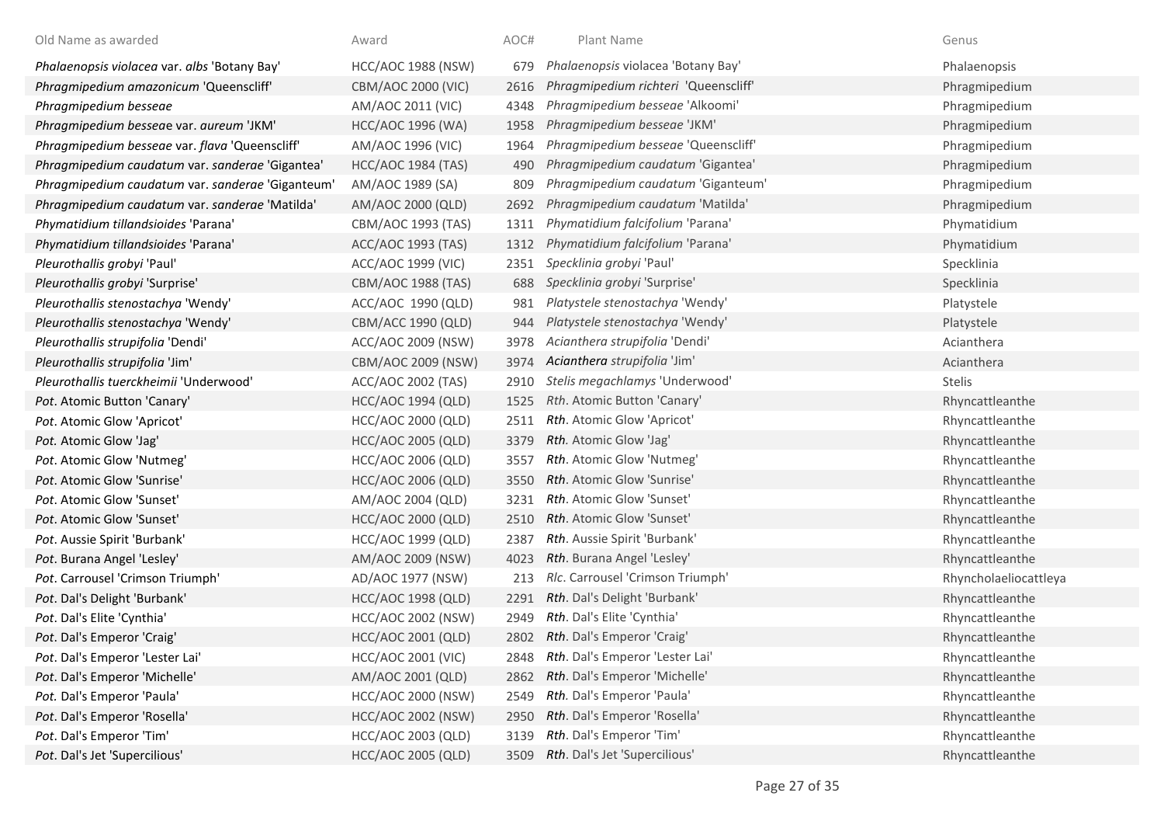| Old Name as awarded                              | Award                     | AOC# | Plant Name                           | Genus                 |
|--------------------------------------------------|---------------------------|------|--------------------------------------|-----------------------|
| Phalaenopsis violacea var. albs 'Botany Bay'     | HCC/AOC 1988 (NSW)        | 679  | Phalaenopsis violacea 'Botany Bay'   | Phalaenopsis          |
| Phragmipedium amazonicum 'Queenscliff'           | CBM/AOC 2000 (VIC)        | 2616 | Phragmipedium richteri 'Queenscliff' | Phragmipedium         |
| Phragmipedium besseae                            | AM/AOC 2011 (VIC)         | 4348 | Phragmipedium besseae 'Alkoomi'      | Phragmipedium         |
| Phragmipedium besseae var. aureum 'JKM'          | HCC/AOC 1996 (WA)         | 1958 | Phragmipedium besseae 'JKM'          | Phragmipedium         |
| Phragmipedium besseae var. flava 'Queenscliff'   | AM/AOC 1996 (VIC)         | 1964 | Phragmipedium besseae 'Queenscliff'  | Phragmipedium         |
| Phragmipedium caudatum var. sanderae 'Gigantea'  | <b>HCC/AOC 1984 (TAS)</b> | 490  | Phragmipedium caudatum 'Gigantea'    | Phragmipedium         |
| Phragmipedium caudatum var. sanderae 'Giganteum' | AM/AOC 1989 (SA)          | 809  | Phragmipedium caudatum 'Giganteum'   | Phragmipedium         |
| Phragmipedium caudatum var. sanderae 'Matilda'   | AM/AOC 2000 (QLD)         | 2692 | Phragmipedium caudatum 'Matilda'     | Phragmipedium         |
| Phymatidium tillandsioides 'Parana'              | CBM/AOC 1993 (TAS)        | 1311 | Phymatidium falcifolium 'Parana'     | Phymatidium           |
| Phymatidium tillandsioides 'Parana'              | ACC/AOC 1993 (TAS)        | 1312 | Phymatidium falcifolium 'Parana'     | Phymatidium           |
| Pleurothallis grobyi 'Paul'                      | ACC/AOC 1999 (VIC)        | 2351 | Specklinia grobyi 'Paul'             | Specklinia            |
| Pleurothallis grobyi 'Surprise'                  | CBM/AOC 1988 (TAS)        | 688  | Specklinia grobyi 'Surprise'         | Specklinia            |
| Pleurothallis stenostachya 'Wendy'               | ACC/AOC 1990 (QLD)        | 981  | Platystele stenostachya 'Wendy'      | Platystele            |
| Pleurothallis stenostachya 'Wendy'               | CBM/ACC 1990 (QLD)        | 944  | Platystele stenostachya 'Wendy'      | Platystele            |
| Pleurothallis strupifolia 'Dendi'                | ACC/AOC 2009 (NSW)        | 3978 | Acianthera strupifolia 'Dendi'       | Acianthera            |
| Pleurothallis strupifolia 'Jim'                  | CBM/AOC 2009 (NSW)        | 3974 | Acianthera strupifolia 'Jim'         | Acianthera            |
| Pleurothallis tuerckheimii 'Underwood'           | ACC/AOC 2002 (TAS)        | 2910 | Stelis megachlamys 'Underwood'       | Stelis                |
| Pot. Atomic Button 'Canary'                      | <b>HCC/AOC 1994 (QLD)</b> | 1525 | Rth. Atomic Button 'Canary'          | Rhyncattleanthe       |
| Pot. Atomic Glow 'Apricot'                       | HCC/AOC 2000 (QLD)        | 2511 | Rth. Atomic Glow 'Apricot'           | Rhyncattleanthe       |
| Pot. Atomic Glow 'Jag'                           | <b>HCC/AOC 2005 (QLD)</b> | 3379 | Rth. Atomic Glow 'Jag'               | Rhyncattleanthe       |
| Pot. Atomic Glow 'Nutmeg'                        | <b>HCC/AOC 2006 (QLD)</b> | 3557 | Rth. Atomic Glow 'Nutmeg'            | Rhyncattleanthe       |
| Pot. Atomic Glow 'Sunrise'                       | <b>HCC/AOC 2006 (QLD)</b> | 3550 | Rth. Atomic Glow 'Sunrise'           | Rhyncattleanthe       |
| Pot. Atomic Glow 'Sunset'                        | AM/AOC 2004 (QLD)         | 3231 | <b>Rth.</b> Atomic Glow 'Sunset'     | Rhyncattleanthe       |
| Pot. Atomic Glow 'Sunset'                        | HCC/AOC 2000 (QLD)        | 2510 | <b>Rth.</b> Atomic Glow 'Sunset'     | Rhyncattleanthe       |
| Pot. Aussie Spirit 'Burbank'                     | HCC/AOC 1999 (QLD)        | 2387 | Rth. Aussie Spirit 'Burbank'         | Rhyncattleanthe       |
| Pot. Burana Angel 'Lesley'                       | AM/AOC 2009 (NSW)         | 4023 | Rth. Burana Angel 'Lesley'           | Rhyncattleanthe       |
| Pot. Carrousel 'Crimson Triumph'                 | AD/AOC 1977 (NSW)         | 213  | Rlc. Carrousel 'Crimson Triumph'     | Rhyncholaeliocattleya |
| Pot. Dal's Delight 'Burbank'                     | <b>HCC/AOC 1998 (QLD)</b> | 2291 | Rth. Dal's Delight 'Burbank'         | Rhyncattleanthe       |
| Pot. Dal's Elite 'Cynthia'                       | HCC/AOC 2002 (NSW)        | 2949 | Rth. Dal's Elite 'Cynthia'           | Rhyncattleanthe       |
| Pot. Dal's Emperor 'Craig'                       | <b>HCC/AOC 2001 (QLD)</b> |      | 2802 Rth. Dal's Emperor 'Craig'      | Rhyncattleanthe       |
| Pot. Dal's Emperor 'Lester Lai'                  | <b>HCC/AOC 2001 (VIC)</b> | 2848 | Rth. Dal's Emperor 'Lester Lai'      | Rhyncattleanthe       |
| Pot. Dal's Emperor 'Michelle'                    | AM/AOC 2001 (QLD)         | 2862 | Rth. Dal's Emperor 'Michelle'        | Rhyncattleanthe       |
| Pot. Dal's Emperor 'Paula'                       | <b>HCC/AOC 2000 (NSW)</b> | 2549 | Rth. Dal's Emperor 'Paula'           | Rhyncattleanthe       |
| Pot. Dal's Emperor 'Rosella'                     | <b>HCC/AOC 2002 (NSW)</b> | 2950 | Rth. Dal's Emperor 'Rosella'         | Rhyncattleanthe       |
| Pot. Dal's Emperor 'Tim'                         | <b>HCC/AOC 2003 (QLD)</b> | 3139 | Rth. Dal's Emperor 'Tim'             | Rhyncattleanthe       |
| Pot. Dal's Jet 'Supercilious'                    | <b>HCC/AOC 2005 (QLD)</b> | 3509 | Rth. Dal's Jet 'Supercilious'        | Rhyncattleanthe       |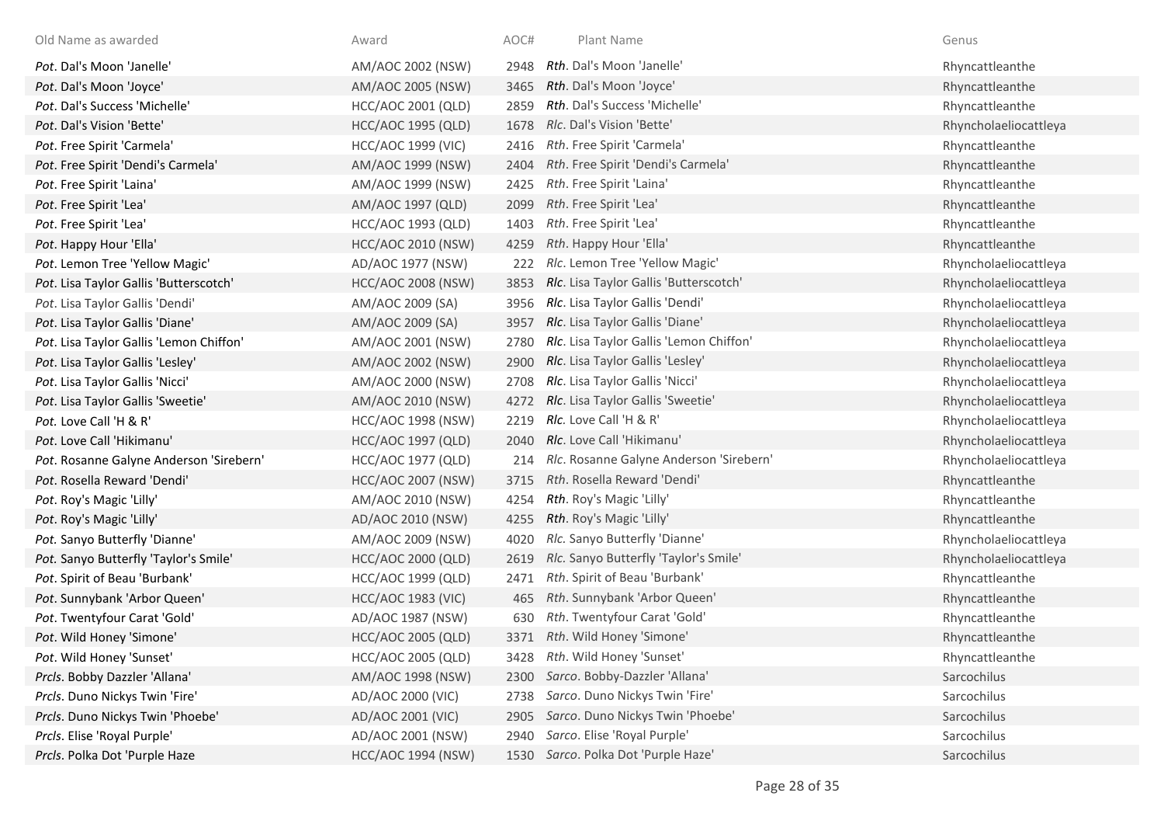| Old Name as awarded                     | Award                     | AOC# | Plant Name                              | Genus                 |
|-----------------------------------------|---------------------------|------|-----------------------------------------|-----------------------|
| Pot. Dal's Moon 'Janelle'               | AM/AOC 2002 (NSW)         | 2948 | Rth. Dal's Moon 'Janelle'               | Rhyncattleanthe       |
| Pot. Dal's Moon 'Joyce'                 | AM/AOC 2005 (NSW)         | 3465 | Rth. Dal's Moon 'Joyce'                 | Rhyncattleanthe       |
| Pot. Dal's Success 'Michelle'           | HCC/AOC 2001 (QLD)        | 2859 | Rth. Dal's Success 'Michelle'           | Rhyncattleanthe       |
| Pot. Dal's Vision 'Bette'               | <b>HCC/AOC 1995 (QLD)</b> | 1678 | Rlc. Dal's Vision 'Bette'               | Rhyncholaeliocattleya |
| Pot. Free Spirit 'Carmela'              | <b>HCC/AOC 1999 (VIC)</b> | 2416 | Rth. Free Spirit 'Carmela'              | Rhyncattleanthe       |
| Pot. Free Spirit 'Dendi's Carmela'      | AM/AOC 1999 (NSW)         | 2404 | Rth. Free Spirit 'Dendi's Carmela'      | Rhyncattleanthe       |
| Pot. Free Spirit 'Laina'                | AM/AOC 1999 (NSW)         | 2425 | Rth. Free Spirit 'Laina'                | Rhyncattleanthe       |
| Pot. Free Spirit 'Lea'                  | AM/AOC 1997 (QLD)         | 2099 | Rth. Free Spirit 'Lea'                  | Rhyncattleanthe       |
| Pot. Free Spirit 'Lea'                  | HCC/AOC 1993 (QLD)        | 1403 | Rth. Free Spirit 'Lea'                  | Rhyncattleanthe       |
| Pot. Happy Hour 'Ella'                  | <b>HCC/AOC 2010 (NSW)</b> | 4259 | Rth. Happy Hour 'Ella'                  | Rhyncattleanthe       |
| Pot. Lemon Tree 'Yellow Magic'          | AD/AOC 1977 (NSW)         | 222  | Rlc. Lemon Tree 'Yellow Magic'          | Rhyncholaeliocattleya |
| Pot. Lisa Taylor Gallis 'Butterscotch'  | <b>HCC/AOC 2008 (NSW)</b> | 3853 | Rlc. Lisa Taylor Gallis 'Butterscotch'  | Rhyncholaeliocattleya |
| Pot. Lisa Taylor Gallis 'Dendi'         | AM/AOC 2009 (SA)          | 3956 | Rlc. Lisa Taylor Gallis 'Dendi'         | Rhyncholaeliocattleya |
| Pot. Lisa Taylor Gallis 'Diane'         | AM/AOC 2009 (SA)          | 3957 | Rlc. Lisa Taylor Gallis 'Diane'         | Rhyncholaeliocattleya |
| Pot. Lisa Taylor Gallis 'Lemon Chiffon' | AM/AOC 2001 (NSW)         | 2780 | Rlc. Lisa Taylor Gallis 'Lemon Chiffon' | Rhyncholaeliocattleya |
| Pot. Lisa Taylor Gallis 'Lesley'        | AM/AOC 2002 (NSW)         | 2900 | Rlc. Lisa Taylor Gallis 'Lesley'        | Rhyncholaeliocattleya |
| Pot. Lisa Taylor Gallis 'Nicci'         | AM/AOC 2000 (NSW)         | 2708 | Rlc. Lisa Taylor Gallis 'Nicci'         | Rhyncholaeliocattleya |
| Pot. Lisa Taylor Gallis 'Sweetie'       | AM/AOC 2010 (NSW)         | 4272 | Rlc. Lisa Taylor Gallis 'Sweetie'       | Rhyncholaeliocattleya |
| Pot. Love Call 'H & R'                  | <b>HCC/AOC 1998 (NSW)</b> | 2219 | RIc. Love Call 'H & R'                  | Rhyncholaeliocattleya |
| Pot. Love Call 'Hikimanu'               | <b>HCC/AOC 1997 (QLD)</b> | 2040 | Rlc. Love Call 'Hikimanu'               | Rhyncholaeliocattleya |
| Pot. Rosanne Galyne Anderson 'Sirebern' | <b>HCC/AOC 1977 (QLD)</b> | 214  | Rlc. Rosanne Galyne Anderson 'Sirebern' | Rhyncholaeliocattleya |
| Pot. Rosella Reward 'Dendi'             | <b>HCC/AOC 2007 (NSW)</b> | 3715 | Rth. Rosella Reward 'Dendi'             | Rhyncattleanthe       |
| Pot. Roy's Magic 'Lilly'                | AM/AOC 2010 (NSW)         | 4254 | Rth. Roy's Magic 'Lilly'                | Rhyncattleanthe       |
| Pot. Roy's Magic 'Lilly'                | AD/AOC 2010 (NSW)         | 4255 | Rth. Roy's Magic 'Lilly'                | Rhyncattleanthe       |
| Pot. Sanyo Butterfly 'Dianne'           | AM/AOC 2009 (NSW)         | 4020 | Rlc. Sanyo Butterfly 'Dianne'           | Rhyncholaeliocattleya |
| Pot. Sanyo Butterfly 'Taylor's Smile'   | HCC/AOC 2000 (QLD)        | 2619 | Rlc. Sanyo Butterfly 'Taylor's Smile'   | Rhyncholaeliocattleya |
| Pot. Spirit of Beau 'Burbank'           | HCC/AOC 1999 (QLD)        | 2471 | Rth. Spirit of Beau 'Burbank'           | Rhyncattleanthe       |
| Pot. Sunnybank 'Arbor Queen'            | <b>HCC/AOC 1983 (VIC)</b> | 465  | Rth. Sunnybank 'Arbor Queen'            | Rhyncattleanthe       |
| Pot. Twentyfour Carat 'Gold'            | AD/AOC 1987 (NSW)         | 630  | Rth. Twentyfour Carat 'Gold'            | Rhyncattleanthe       |
| Pot. Wild Honey 'Simone'                | <b>HCC/AOC 2005 (QLD)</b> |      | 3371 Rth. Wild Honey 'Simone'           | Rhyncattleanthe       |
| Pot. Wild Honey 'Sunset'                | <b>HCC/AOC 2005 (QLD)</b> | 3428 | Rth. Wild Honey 'Sunset'                | Rhyncattleanthe       |
| Prcls. Bobby Dazzler 'Allana'           | AM/AOC 1998 (NSW)         | 2300 | Sarco. Bobby-Dazzler 'Allana'           | Sarcochilus           |
| Prcls. Duno Nickys Twin 'Fire'          | AD/AOC 2000 (VIC)         | 2738 | Sarco. Duno Nickys Twin 'Fire'          | Sarcochilus           |
| Prcls. Duno Nickys Twin 'Phoebe'        | AD/AOC 2001 (VIC)         | 2905 | Sarco. Duno Nickys Twin 'Phoebe'        | Sarcochilus           |
| Prcls. Elise 'Royal Purple'             | AD/AOC 2001 (NSW)         | 2940 | Sarco. Elise 'Royal Purple'             | Sarcochilus           |
| Prcls. Polka Dot 'Purple Haze           | <b>HCC/AOC 1994 (NSW)</b> |      | 1530 Sarco. Polka Dot 'Purple Haze'     | Sarcochilus           |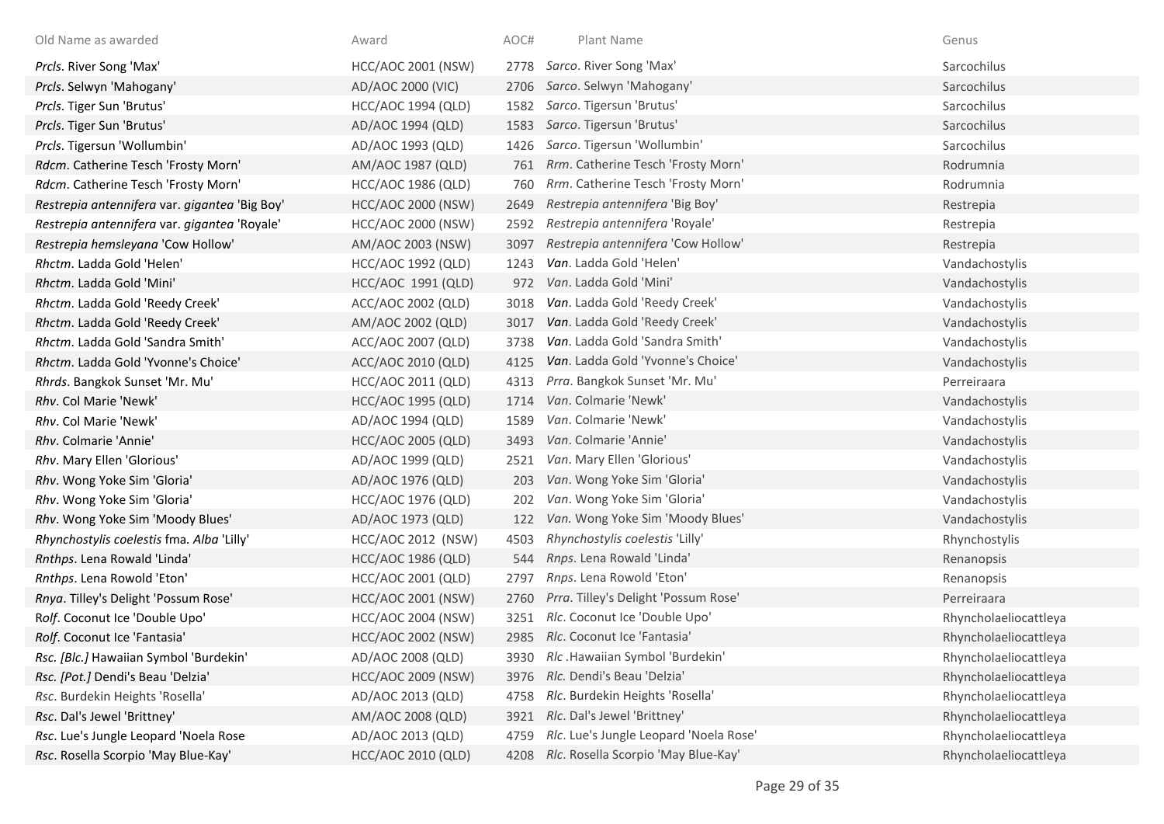| Old Name as awarded                           | Award                     | AOC# | Plant Name                             | Genus                 |
|-----------------------------------------------|---------------------------|------|----------------------------------------|-----------------------|
| Prcls. River Song 'Max'                       | <b>HCC/AOC 2001 (NSW)</b> | 2778 | Sarco. River Song 'Max'                | Sarcochilus           |
| Prcls. Selwyn 'Mahogany'                      | AD/AOC 2000 (VIC)         | 2706 | Sarco. Selwyn 'Mahogany'               | Sarcochilus           |
| Prcls. Tiger Sun 'Brutus'                     | HCC/AOC 1994 (QLD)        | 1582 | Sarco. Tigersun 'Brutus'               | Sarcochilus           |
| Prcls. Tiger Sun 'Brutus'                     | AD/AOC 1994 (QLD)         | 1583 | Sarco. Tigersun 'Brutus'               | Sarcochilus           |
| Prcls. Tigersun 'Wollumbin'                   | AD/AOC 1993 (QLD)         | 1426 | Sarco. Tigersun 'Wollumbin'            | Sarcochilus           |
| Rdcm. Catherine Tesch 'Frosty Morn'           | AM/AOC 1987 (QLD)         | 761  | Rrm. Catherine Tesch 'Frosty Morn'     | Rodrumnia             |
| Rdcm. Catherine Tesch 'Frosty Morn'           | <b>HCC/AOC 1986 (QLD)</b> | 760  | Rrm. Catherine Tesch 'Frosty Morn'     | Rodrumnia             |
| Restrepia antennifera var. gigantea 'Big Boy' | <b>HCC/AOC 2000 (NSW)</b> | 2649 | Restrepia antennifera 'Big Boy'        | Restrepia             |
| Restrepia antennifera var. gigantea 'Royale'  | <b>HCC/AOC 2000 (NSW)</b> | 2592 | Restrepia antennifera 'Royale'         | Restrepia             |
| Restrepia hemsleyana 'Cow Hollow'             | AM/AOC 2003 (NSW)         | 3097 | Restrepia antennifera 'Cow Hollow'     | Restrepia             |
| Rhctm. Ladda Gold 'Helen'                     | <b>HCC/AOC 1992 (QLD)</b> | 1243 | Van. Ladda Gold 'Helen'                | Vandachostylis        |
| Rhctm. Ladda Gold 'Mini'                      | HCC/AOC 1991 (QLD)        | 972  | Van. Ladda Gold 'Mini'                 | Vandachostylis        |
| Rhctm. Ladda Gold 'Reedy Creek'               | ACC/AOC 2002 (QLD)        | 3018 | Van. Ladda Gold 'Reedy Creek'          | Vandachostylis        |
| Rhctm. Ladda Gold 'Reedy Creek'               | AM/AOC 2002 (QLD)         | 3017 | Van. Ladda Gold 'Reedy Creek'          | Vandachostylis        |
| Rhctm. Ladda Gold 'Sandra Smith'              | ACC/AOC 2007 (QLD)        | 3738 | Van. Ladda Gold 'Sandra Smith'         | Vandachostylis        |
| Rhctm. Ladda Gold 'Yvonne's Choice'           | ACC/AOC 2010 (QLD)        | 4125 | Van. Ladda Gold 'Yvonne's Choice'      | Vandachostylis        |
| Rhrds. Bangkok Sunset 'Mr. Mu'                | HCC/AOC 2011 (QLD)        | 4313 | Prra. Bangkok Sunset 'Mr. Mu'          | Perreiraara           |
| Rhv. Col Marie 'Newk'                         | <b>HCC/AOC 1995 (QLD)</b> | 1714 | Van. Colmarie 'Newk'                   | Vandachostylis        |
| Rhv. Col Marie 'Newk'                         | AD/AOC 1994 (QLD)         | 1589 | Van. Colmarie 'Newk'                   | Vandachostylis        |
| Rhv. Colmarie 'Annie'                         | <b>HCC/AOC 2005 (QLD)</b> | 3493 | Van. Colmarie 'Annie'                  | Vandachostylis        |
| Rhv. Mary Ellen 'Glorious'                    | AD/AOC 1999 (QLD)         | 2521 | Van. Mary Ellen 'Glorious'             | Vandachostylis        |
| Rhv. Wong Yoke Sim 'Gloria'                   | AD/AOC 1976 (QLD)         | 203  | Van. Wong Yoke Sim 'Gloria'            | Vandachostylis        |
| Rhv. Wong Yoke Sim 'Gloria'                   | <b>HCC/AOC 1976 (QLD)</b> | 202  | Van. Wong Yoke Sim 'Gloria'            | Vandachostylis        |
| Rhv. Wong Yoke Sim 'Moody Blues'              | AD/AOC 1973 (QLD)         | 122  | Van. Wong Yoke Sim 'Moody Blues'       | Vandachostylis        |
| Rhynchostylis coelestis fma. Alba 'Lilly'     | HCC/AOC 2012 (NSW)        | 4503 | Rhynchostylis coelestis 'Lilly'        | Rhynchostylis         |
| Rnthps. Lena Rowald 'Linda'                   | <b>HCC/AOC 1986 (QLD)</b> | 544  | Rnps. Lena Rowald 'Linda'              | Renanopsis            |
| Rnthps. Lena Rowold 'Eton'                    | HCC/AOC 2001 (QLD)        | 2797 | Rnps. Lena Rowold 'Eton'               | Renanopsis            |
| Rnya. Tilley's Delight 'Possum Rose'          | <b>HCC/AOC 2001 (NSW)</b> | 2760 | Prra. Tilley's Delight 'Possum Rose'   | Perreiraara           |
| Rolf. Coconut Ice 'Double Upo'                | <b>HCC/AOC 2004 (NSW)</b> | 3251 | Rlc. Coconut Ice 'Double Upo'          | Rhyncholaeliocattleya |
| Rolf. Coconut Ice 'Fantasia'                  | <b>HCC/AOC 2002 (NSW)</b> |      | 2985 Rlc. Coconut Ice 'Fantasia'       | Rhyncholaeliocattleya |
| Rsc. [Blc.] Hawaiian Symbol 'Burdekin'        | AD/AOC 2008 (QLD)         | 3930 | Rlc.Hawaiian Symbol 'Burdekin'         | Rhyncholaeliocattleya |
| Rsc. [Pot.] Dendi's Beau 'Delzia'             | HCC/AOC 2009 (NSW)        | 3976 | Rlc. Dendi's Beau 'Delzia'             | Rhyncholaeliocattleya |
| Rsc. Burdekin Heights 'Rosella'               | AD/AOC 2013 (QLD)         | 4758 | Rlc. Burdekin Heights 'Rosella'        | Rhyncholaeliocattleya |
| Rsc. Dal's Jewel 'Brittney'                   | AM/AOC 2008 (QLD)         | 3921 | Rlc. Dal's Jewel 'Brittney'            | Rhyncholaeliocattleya |
| Rsc. Lue's Jungle Leopard 'Noela Rose         | AD/AOC 2013 (QLD)         | 4759 | Rlc. Lue's Jungle Leopard 'Noela Rose' | Rhyncholaeliocattleya |
| Rsc. Rosella Scorpio 'May Blue-Kay'           | HCC/AOC 2010 (QLD)        | 4208 | Rlc. Rosella Scorpio 'May Blue-Kay'    | Rhyncholaeliocattleya |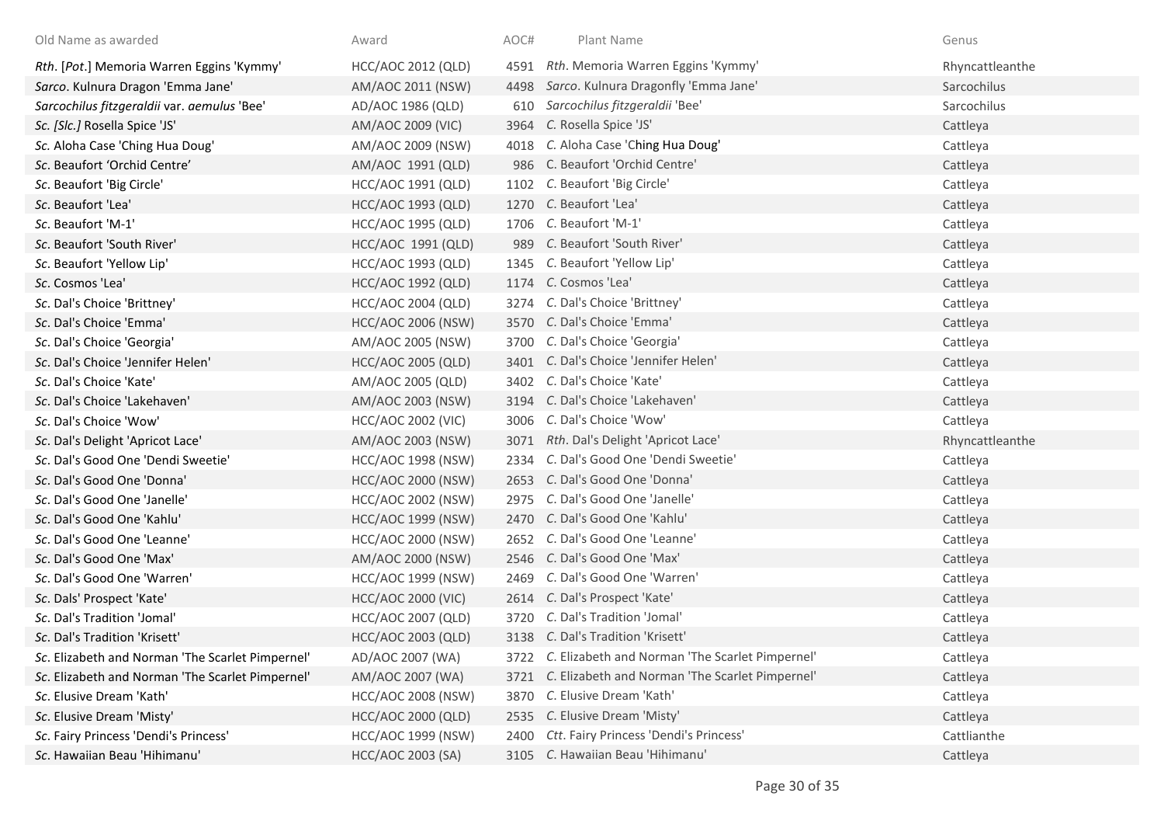| Old Name as awarded                              | Award                     | AOC# | Plant Name                                           | Genus           |
|--------------------------------------------------|---------------------------|------|------------------------------------------------------|-----------------|
| Rth. [Pot.] Memoria Warren Eggins 'Kymmy'        | HCC/AOC 2012 (QLD)        |      | 4591 Rth. Memoria Warren Eggins 'Kymmy'              | Rhyncattleanthe |
| Sarco. Kulnura Dragon 'Emma Jane'                | AM/AOC 2011 (NSW)         | 4498 | Sarco. Kulnura Dragonfly 'Emma Jane'                 | Sarcochilus     |
| Sarcochilus fitzgeraldii var. aemulus 'Bee'      | AD/AOC 1986 (QLD)         |      | 610 Sarcochilus fitzgeraldii 'Bee'                   | Sarcochilus     |
| Sc. [Slc.] Rosella Spice 'JS'                    | AM/AOC 2009 (VIC)         |      | 3964 C. Rosella Spice 'JS'                           | Cattleya        |
| Sc. Aloha Case 'Ching Hua Doug'                  | AM/AOC 2009 (NSW)         | 4018 | C. Aloha Case 'Ching Hua Doug'                       | Cattleya        |
| Sc. Beaufort 'Orchid Centre'                     | AM/AOC 1991 (QLD)         |      | 986 C. Beaufort 'Orchid Centre'                      | Cattleya        |
| Sc. Beaufort 'Big Circle'                        | HCC/AOC 1991 (QLD)        |      | 1102 C. Beaufort 'Big Circle'                        | Cattleya        |
| Sc. Beaufort 'Lea'                               | <b>HCC/AOC 1993 (QLD)</b> |      | 1270 C. Beaufort 'Lea'                               | Cattleya        |
| Sc. Beaufort 'M-1'                               | HCC/AOC 1995 (QLD)        |      | 1706 C. Beaufort 'M-1'                               | Cattleya        |
| Sc. Beaufort 'South River'                       | HCC/AOC 1991 (QLD)        | 989  | C. Beaufort 'South River'                            | Cattleya        |
| Sc. Beaufort 'Yellow Lip'                        | HCC/AOC 1993 (QLD)        | 1345 | C. Beaufort 'Yellow Lip'                             | Cattleya        |
| Sc. Cosmos 'Lea'                                 | <b>HCC/AOC 1992 (QLD)</b> |      | 1174 C. Cosmos 'Lea'                                 | Cattleya        |
| Sc. Dal's Choice 'Brittney'                      | <b>HCC/AOC 2004 (QLD)</b> |      | 3274 C. Dal's Choice 'Brittney'                      | Cattleya        |
| Sc. Dal's Choice 'Emma'                          | <b>HCC/AOC 2006 (NSW)</b> |      | 3570 C. Dal's Choice 'Emma'                          | Cattleya        |
| Sc. Dal's Choice 'Georgia'                       | AM/AOC 2005 (NSW)         |      | 3700 C. Dal's Choice 'Georgia'                       | Cattleya        |
| Sc. Dal's Choice 'Jennifer Helen'                | <b>HCC/AOC 2005 (QLD)</b> |      | 3401 C. Dal's Choice 'Jennifer Helen'                | Cattleya        |
| Sc. Dal's Choice 'Kate'                          | AM/AOC 2005 (QLD)         |      | 3402 C. Dal's Choice 'Kate'                          | Cattleya        |
| Sc. Dal's Choice 'Lakehaven'                     | AM/AOC 2003 (NSW)         |      | 3194 C. Dal's Choice 'Lakehaven'                     | Cattleya        |
| Sc. Dal's Choice 'Wow'                           | <b>HCC/AOC 2002 (VIC)</b> |      | 3006 C. Dal's Choice 'Wow'                           | Cattleya        |
| Sc. Dal's Delight 'Apricot Lace'                 | AM/AOC 2003 (NSW)         |      | 3071 Rth. Dal's Delight 'Apricot Lace'               | Rhyncattleanthe |
| Sc. Dal's Good One 'Dendi Sweetie'               | <b>HCC/AOC 1998 (NSW)</b> | 2334 | C. Dal's Good One 'Dendi Sweetie'                    | Cattleya        |
| Sc. Dal's Good One 'Donna'                       | <b>HCC/AOC 2000 (NSW)</b> |      | 2653 C. Dal's Good One 'Donna'                       | Cattleya        |
| Sc. Dal's Good One 'Janelle'                     | <b>HCC/AOC 2002 (NSW)</b> |      | 2975 C. Dal's Good One 'Janelle'                     | Cattleya        |
| Sc. Dal's Good One 'Kahlu'                       | HCC/AOC 1999 (NSW)        |      | 2470 C. Dal's Good One 'Kahlu'                       | Cattleya        |
| Sc. Dal's Good One 'Leanne'                      | HCC/AOC 2000 (NSW)        |      | 2652 C. Dal's Good One 'Leanne'                      | Cattleya        |
| Sc. Dal's Good One 'Max'                         | AM/AOC 2000 (NSW)         |      | 2546 C. Dal's Good One 'Max'                         | Cattleya        |
| Sc. Dal's Good One 'Warren'                      | HCC/AOC 1999 (NSW)        | 2469 | C. Dal's Good One 'Warren'                           | Cattleya        |
| Sc. Dals' Prospect 'Kate'                        | <b>HCC/AOC 2000 (VIC)</b> |      | 2614 C. Dal's Prospect 'Kate'                        | Cattleya        |
| Sc. Dal's Tradition 'Jomal'                      | HCC/AOC 2007 (QLD)        |      | 3720 C. Dal's Tradition 'Jomal'                      | Cattleya        |
| Sc. Dal's Tradition 'Krisett'                    | <b>HCC/AOC 2003 (QLD)</b> |      | 3138 C. Dal's Tradition 'Krisett'                    | Cattleya        |
| Sc. Elizabeth and Norman 'The Scarlet Pimpernel' | AD/AOC 2007 (WA)          |      | 3722 C. Elizabeth and Norman 'The Scarlet Pimpernel' | Cattleya        |
| Sc. Elizabeth and Norman 'The Scarlet Pimpernel' | AM/AOC 2007 (WA)          |      | 3721 C. Elizabeth and Norman 'The Scarlet Pimpernel' | Cattleya        |
| Sc. Elusive Dream 'Kath'                         | <b>HCC/AOC 2008 (NSW)</b> | 3870 | C. Elusive Dream 'Kath'                              | Cattleya        |
| Sc. Elusive Dream 'Misty'                        | <b>HCC/AOC 2000 (QLD)</b> | 2535 | C. Elusive Dream 'Misty'                             | Cattleya        |
| Sc. Fairy Princess 'Dendi's Princess'            | HCC/AOC 1999 (NSW)        | 2400 | Ctt. Fairy Princess 'Dendi's Princess'               | Cattlianthe     |
| Sc. Hawaiian Beau 'Hihimanu'                     | HCC/AOC 2003 (SA)         |      | 3105 C. Hawaiian Beau 'Hihimanu'                     | Cattleya        |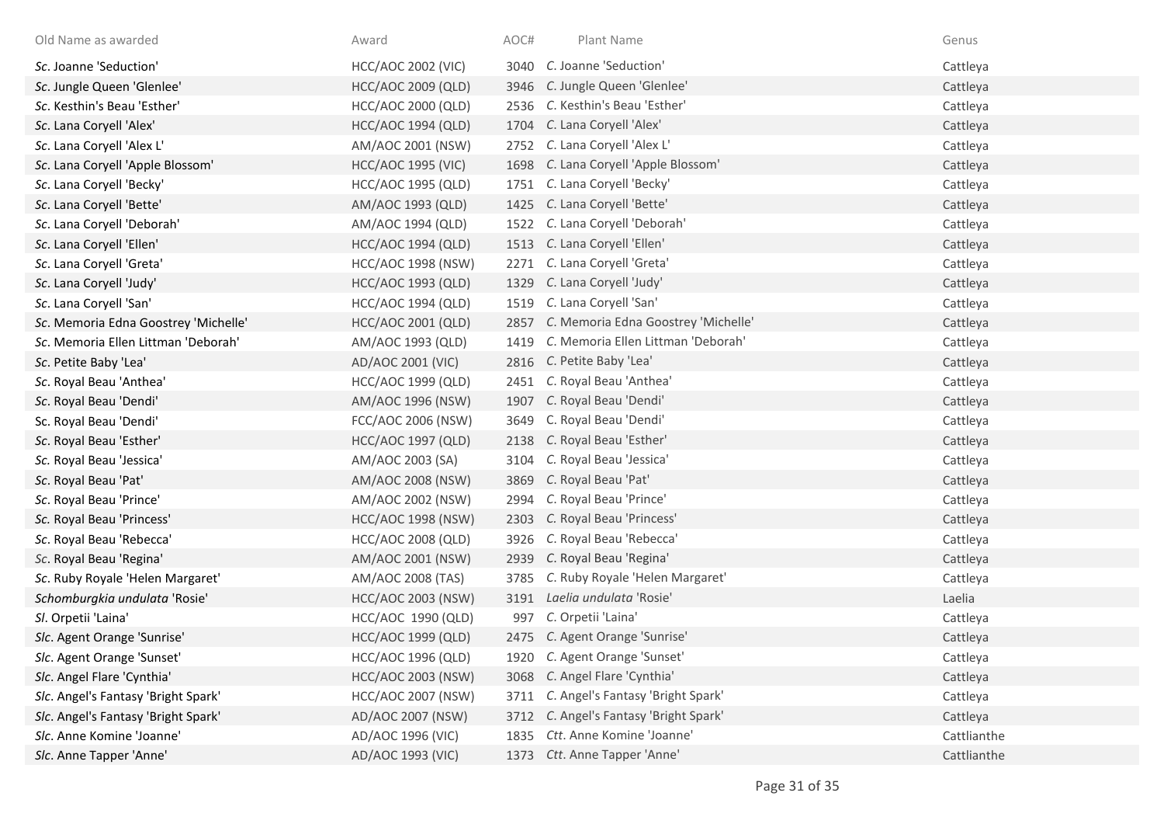| Old Name as awarded                  | Award                     | AOC# | Plant Name                           | Genus       |
|--------------------------------------|---------------------------|------|--------------------------------------|-------------|
| Sc. Joanne 'Seduction'               | <b>HCC/AOC 2002 (VIC)</b> |      | 3040 C. Joanne 'Seduction'           | Cattleya    |
| Sc. Jungle Queen 'Glenlee'           | <b>HCC/AOC 2009 (QLD)</b> |      | 3946 C. Jungle Queen 'Glenlee'       | Cattleya    |
| Sc. Kesthin's Beau 'Esther'          | HCC/AOC 2000 (QLD)        |      | 2536 C. Kesthin's Beau 'Esther'      | Cattleya    |
| Sc. Lana Coryell 'Alex'              | <b>HCC/AOC 1994 (QLD)</b> |      | 1704 C. Lana Coryell 'Alex'          | Cattleya    |
| Sc. Lana Coryell 'Alex L'            | AM/AOC 2001 (NSW)         |      | 2752 C. Lana Coryell 'Alex L'        | Cattleya    |
| Sc. Lana Coryell 'Apple Blossom'     | <b>HCC/AOC 1995 (VIC)</b> |      | 1698 C. Lana Coryell 'Apple Blossom' | Cattleya    |
| Sc. Lana Coryell 'Becky'             | HCC/AOC 1995 (QLD)        |      | 1751 C. Lana Coryell 'Becky'         | Cattleya    |
| Sc. Lana Coryell 'Bette'             | AM/AOC 1993 (QLD)         |      | 1425 C. Lana Coryell 'Bette'         | Cattleya    |
| Sc. Lana Coryell 'Deborah'           | AM/AOC 1994 (QLD)         |      | 1522 C. Lana Coryell 'Deborah'       | Cattleya    |
| Sc. Lana Coryell 'Ellen'             | <b>HCC/AOC 1994 (QLD)</b> | 1513 | C. Lana Coryell 'Ellen'              | Cattleya    |
| Sc. Lana Coryell 'Greta'             | <b>HCC/AOC 1998 (NSW)</b> |      | 2271 C. Lana Coryell 'Greta'         | Cattleya    |
| Sc. Lana Coryell 'Judy'              | <b>HCC/AOC 1993 (QLD)</b> | 1329 | C. Lana Coryell 'Judy'               | Cattleya    |
| Sc. Lana Coryell 'San'               | <b>HCC/AOC 1994 (QLD)</b> | 1519 | C. Lana Coryell 'San'                | Cattleya    |
| Sc. Memoria Edna Goostrey 'Michelle' | HCC/AOC 2001 (QLD)        | 2857 | C. Memoria Edna Goostrey 'Michelle'  | Cattleya    |
| Sc. Memoria Ellen Littman 'Deborah'  | AM/AOC 1993 (QLD)         | 1419 | C. Memoria Ellen Littman 'Deborah'   | Cattleya    |
| Sc. Petite Baby 'Lea'                | AD/AOC 2001 (VIC)         |      | 2816 C. Petite Baby 'Lea'            | Cattleya    |
| Sc. Royal Beau 'Anthea'              | HCC/AOC 1999 (QLD)        |      | 2451 C. Royal Beau 'Anthea'          | Cattleya    |
| Sc. Royal Beau 'Dendi'               | AM/AOC 1996 (NSW)         | 1907 | C. Royal Beau 'Dendi'                | Cattleya    |
| Sc. Royal Beau 'Dendi'               | FCC/AOC 2006 (NSW)        |      | 3649 C. Royal Beau 'Dendi'           | Cattleya    |
| Sc. Royal Beau 'Esther'              | <b>HCC/AOC 1997 (QLD)</b> |      | 2138 C. Royal Beau 'Esther'          | Cattleya    |
| Sc. Royal Beau 'Jessica'             | AM/AOC 2003 (SA)          | 3104 | C. Royal Beau 'Jessica'              | Cattleya    |
| Sc. Royal Beau 'Pat'                 | AM/AOC 2008 (NSW)         | 3869 | C. Royal Beau 'Pat'                  | Cattleya    |
| Sc. Royal Beau 'Prince'              | AM/AOC 2002 (NSW)         | 2994 | C. Royal Beau 'Prince'               | Cattleya    |
| Sc. Royal Beau 'Princess'            | <b>HCC/AOC 1998 (NSW)</b> | 2303 | C. Royal Beau 'Princess'             | Cattleya    |
| Sc. Royal Beau 'Rebecca'             | <b>HCC/AOC 2008 (QLD)</b> | 3926 | C. Royal Beau 'Rebecca'              | Cattleya    |
| Sc. Royal Beau 'Regina'              | AM/AOC 2001 (NSW)         | 2939 | C. Royal Beau 'Regina'               | Cattleya    |
| Sc. Ruby Royale 'Helen Margaret'     | AM/AOC 2008 (TAS)         | 3785 | C. Ruby Royale 'Helen Margaret'      | Cattleya    |
| Schomburgkia undulata 'Rosie'        | <b>HCC/AOC 2003 (NSW)</b> |      | 3191 Laelia undulata 'Rosie'         | Laelia      |
| Sl. Orpetii 'Laina'                  | HCC/AOC 1990 (QLD)        | 997  | C. Orpetii 'Laina'                   | Cattleya    |
| Slc. Agent Orange 'Sunrise'          | <b>HCC/AOC 1999 (QLD)</b> |      | 2475 C. Agent Orange 'Sunrise'       | Cattleya    |
| Slc. Agent Orange 'Sunset'           | <b>HCC/AOC 1996 (QLD)</b> |      | 1920 C. Agent Orange 'Sunset'        | Cattleya    |
| Slc. Angel Flare 'Cynthia'           | <b>HCC/AOC 2003 (NSW)</b> |      | 3068 C. Angel Flare 'Cynthia'        | Cattleya    |
| Slc. Angel's Fantasy 'Bright Spark'  | <b>HCC/AOC 2007 (NSW)</b> | 3711 | C. Angel's Fantasy 'Bright Spark'    | Cattleya    |
| Slc. Angel's Fantasy 'Bright Spark'  | AD/AOC 2007 (NSW)         | 3712 | C. Angel's Fantasy 'Bright Spark'    | Cattleya    |
| Slc. Anne Komine 'Joanne'            | AD/AOC 1996 (VIC)         | 1835 | Ctt. Anne Komine 'Joanne'            | Cattlianthe |
| Slc. Anne Tapper 'Anne'              | AD/AOC 1993 (VIC)         |      | 1373 Ctt. Anne Tapper 'Anne'         | Cattlianthe |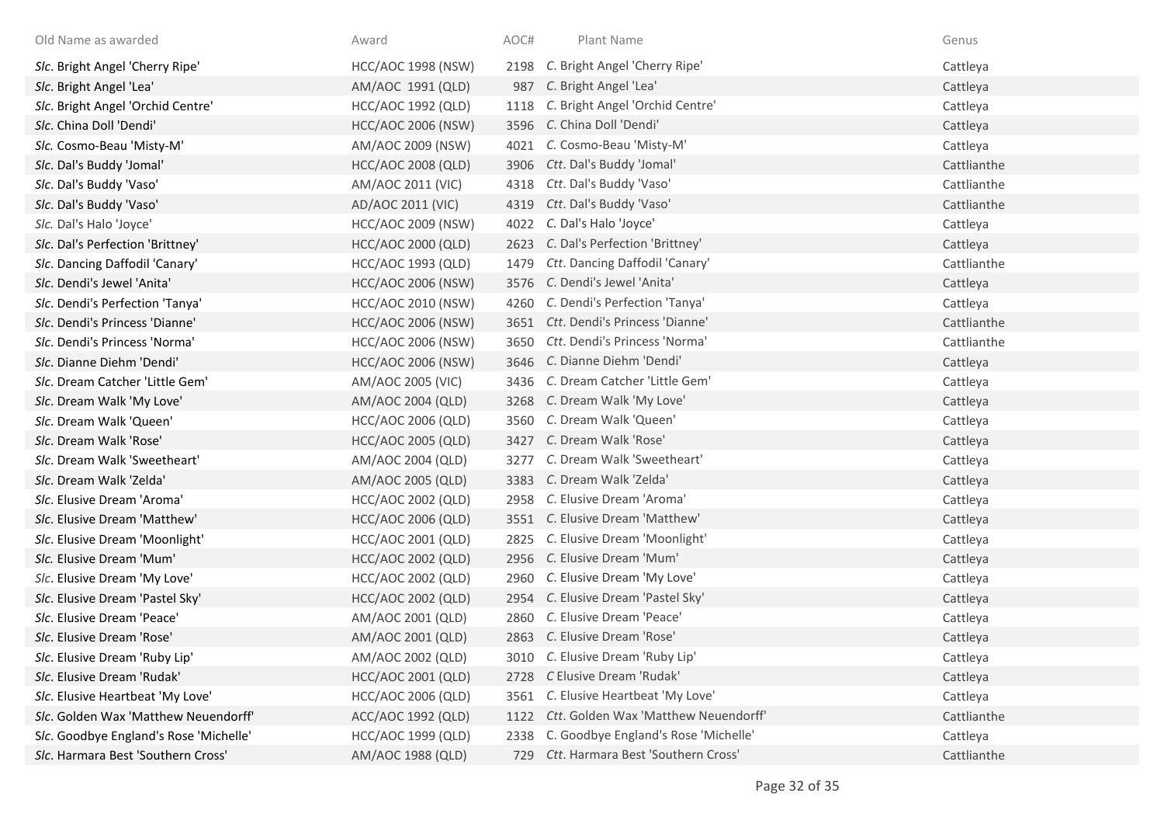| Old Name as awarded                    | Award                     | AOC# | Plant Name                                | Genus       |
|----------------------------------------|---------------------------|------|-------------------------------------------|-------------|
| Slc. Bright Angel 'Cherry Ripe'        | <b>HCC/AOC 1998 (NSW)</b> |      | 2198 C. Bright Angel 'Cherry Ripe'        | Cattleya    |
| Slc. Bright Angel 'Lea'                | AM/AOC 1991 (QLD)         | 987  | C. Bright Angel 'Lea'                     | Cattleya    |
| Slc. Bright Angel 'Orchid Centre'      | <b>HCC/AOC 1992 (QLD)</b> | 1118 | C. Bright Angel 'Orchid Centre'           | Cattleya    |
| Slc. China Doll 'Dendi'                | <b>HCC/AOC 2006 (NSW)</b> |      | 3596 C. China Doll 'Dendi'                | Cattleya    |
| Slc. Cosmo-Beau 'Misty-M'              | AM/AOC 2009 (NSW)         |      | 4021 C. Cosmo-Beau 'Misty-M'              | Cattleya    |
| Slc. Dal's Buddy 'Jomal'               | <b>HCC/AOC 2008 (QLD)</b> | 3906 | Ctt. Dal's Buddy 'Jomal'                  | Cattlianthe |
| Slc. Dal's Buddy 'Vaso'                | AM/AOC 2011 (VIC)         | 4318 | Ctt. Dal's Buddy 'Vaso'                   | Cattlianthe |
| Slc. Dal's Buddy 'Vaso'                | AD/AOC 2011 (VIC)         | 4319 | Ctt. Dal's Buddy 'Vaso'                   | Cattlianthe |
| Slc. Dal's Halo 'Joyce'                | <b>HCC/AOC 2009 (NSW)</b> | 4022 | C. Dal's Halo 'Joyce'                     | Cattleya    |
| Slc. Dal's Perfection 'Brittney'       | HCC/AOC 2000 (QLD)        | 2623 | C. Dal's Perfection 'Brittney'            | Cattleya    |
| Slc. Dancing Daffodil 'Canary'         | HCC/AOC 1993 (QLD)        | 1479 | Ctt. Dancing Daffodil 'Canary'            | Cattlianthe |
| Slc. Dendi's Jewel 'Anita'             | <b>HCC/AOC 2006 (NSW)</b> | 3576 | C. Dendi's Jewel 'Anita'                  | Cattleya    |
| Slc. Dendi's Perfection 'Tanya'        | <b>HCC/AOC 2010 (NSW)</b> | 4260 | C. Dendi's Perfection 'Tanya'             | Cattleya    |
| Slc. Dendi's Princess 'Dianne'         | <b>HCC/AOC 2006 (NSW)</b> |      | 3651 Ctt. Dendi's Princess 'Dianne'       | Cattlianthe |
| Slc. Dendi's Princess 'Norma'          | <b>HCC/AOC 2006 (NSW)</b> | 3650 | Ctt. Dendi's Princess 'Norma'             | Cattlianthe |
| Slc. Dianne Diehm 'Dendi'              | <b>HCC/AOC 2006 (NSW)</b> |      | 3646 C. Dianne Diehm 'Dendi'              | Cattleya    |
| Slc. Dream Catcher 'Little Gem'        | AM/AOC 2005 (VIC)         | 3436 | C. Dream Catcher 'Little Gem'             | Cattleya    |
| Slc. Dream Walk 'My Love'              | AM/AOC 2004 (QLD)         |      | 3268 C. Dream Walk 'My Love'              | Cattleya    |
| Slc. Dream Walk 'Queen'                | HCC/AOC 2006 (QLD)        |      | 3560 C. Dream Walk 'Queen'                | Cattleya    |
| Slc. Dream Walk 'Rose'                 | <b>HCC/AOC 2005 (QLD)</b> |      | 3427 C. Dream Walk 'Rose'                 | Cattleya    |
| Slc. Dream Walk 'Sweetheart'           | AM/AOC 2004 (QLD)         | 3277 | C. Dream Walk 'Sweetheart'                | Cattleya    |
| Slc. Dream Walk 'Zelda'                | AM/AOC 2005 (QLD)         | 3383 | C. Dream Walk 'Zelda'                     | Cattleya    |
| Slc. Elusive Dream 'Aroma'             | HCC/AOC 2002 (QLD)        | 2958 | C. Elusive Dream 'Aroma'                  | Cattleya    |
| Slc. Elusive Dream 'Matthew'           | <b>HCC/AOC 2006 (QLD)</b> |      | 3551 C. Elusive Dream 'Matthew'           | Cattleya    |
| Slc. Elusive Dream 'Moonlight'         | HCC/AOC 2001 (QLD)        | 2825 | C. Elusive Dream 'Moonlight'              | Cattleya    |
| Slc. Elusive Dream 'Mum'               | <b>HCC/AOC 2002 (QLD)</b> | 2956 | C. Elusive Dream 'Mum'                    | Cattleya    |
| Slc. Elusive Dream 'My Love'           | HCC/AOC 2002 (QLD)        | 2960 | C. Elusive Dream 'My Love'                | Cattleya    |
| Slc. Elusive Dream 'Pastel Sky'        | HCC/AOC 2002 (QLD)        | 2954 | C. Elusive Dream 'Pastel Sky'             | Cattleya    |
| Slc. Elusive Dream 'Peace'             | AM/AOC 2001 (QLD)         | 2860 | C. Elusive Dream 'Peace'                  | Cattleya    |
| Slc. Elusive Dream 'Rose'              | AM/AOC 2001 (QLD)         |      | 2863 C. Elusive Dream 'Rose'              | Cattleya    |
| Slc. Elusive Dream 'Ruby Lip'          | AM/AOC 2002 (QLD)         | 3010 | C. Elusive Dream 'Ruby Lip'               | Cattleya    |
| Slc. Elusive Dream 'Rudak'             | HCC/AOC 2001 (QLD)        | 2728 | C Elusive Dream 'Rudak'                   | Cattleya    |
| Slc. Elusive Heartbeat 'My Love'       | HCC/AOC 2006 (QLD)        | 3561 | C. Elusive Heartbeat 'My Love'            | Cattleya    |
| Slc. Golden Wax 'Matthew Neuendorff'   | ACC/AOC 1992 (QLD)        | 1122 | Ctt. Golden Wax 'Matthew Neuendorff'      | Cattlianthe |
| Slc. Goodbye England's Rose 'Michelle' | HCC/AOC 1999 (QLD)        |      | 2338 C. Goodbye England's Rose 'Michelle' | Cattleya    |
| Slc. Harmara Best 'Southern Cross'     | AM/AOC 1988 (QLD)         |      | 729 Ctt. Harmara Best 'Southern Cross'    | Cattlianthe |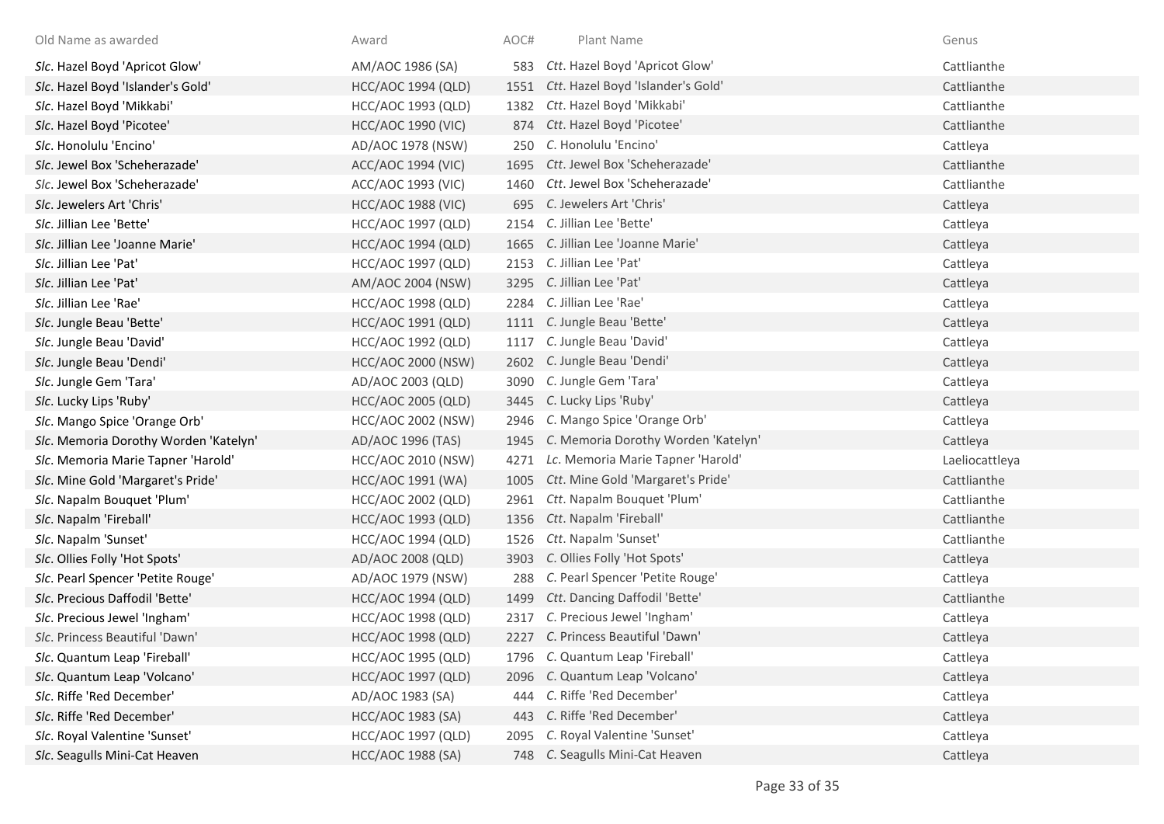| Old Name as awarded                   | Award                     | AOC# | Plant Name                               | Genus          |
|---------------------------------------|---------------------------|------|------------------------------------------|----------------|
| Slc. Hazel Boyd 'Apricot Glow'        | AM/AOC 1986 (SA)          |      | 583 Ctt. Hazel Boyd 'Apricot Glow'       | Cattlianthe    |
| Slc. Hazel Boyd 'Islander's Gold'     | <b>HCC/AOC 1994 (QLD)</b> |      | 1551 Ctt. Hazel Boyd 'Islander's Gold'   | Cattlianthe    |
| Slc. Hazel Boyd 'Mikkabi'             | HCC/AOC 1993 (QLD)        |      | 1382 Ctt. Hazel Boyd 'Mikkabi'           | Cattlianthe    |
| Slc. Hazel Boyd 'Picotee'             | <b>HCC/AOC 1990 (VIC)</b> |      | 874 Ctt. Hazel Boyd 'Picotee'            | Cattlianthe    |
| Slc. Honolulu 'Encino'                | AD/AOC 1978 (NSW)         |      | 250 C. Honolulu 'Encino'                 | Cattleya       |
| Slc. Jewel Box 'Scheherazade'         | <b>ACC/AOC 1994 (VIC)</b> |      | 1695 Ctt. Jewel Box 'Scheherazade'       | Cattlianthe    |
| Slc. Jewel Box 'Scheherazade'         | ACC/AOC 1993 (VIC)        |      | 1460 Ctt. Jewel Box 'Scheherazade'       | Cattlianthe    |
| Slc. Jewelers Art 'Chris'             | <b>HCC/AOC 1988 (VIC)</b> |      | 695 C. Jewelers Art 'Chris'              | Cattleya       |
| Slc. Jillian Lee 'Bette'              | <b>HCC/AOC 1997 (QLD)</b> |      | 2154 C. Jillian Lee 'Bette'              | Cattleya       |
| Slc. Jillian Lee 'Joanne Marie'       | <b>HCC/AOC 1994 (QLD)</b> | 1665 | C. Jillian Lee 'Joanne Marie'            | Cattleya       |
| Slc. Jillian Lee 'Pat'                | HCC/AOC 1997 (QLD)        |      | 2153 C. Jillian Lee 'Pat'                | Cattleya       |
| Slc. Jillian Lee 'Pat'                | AM/AOC 2004 (NSW)         |      | 3295 C. Jillian Lee 'Pat'                | Cattleya       |
| Slc. Jillian Lee 'Rae'                | <b>HCC/AOC 1998 (QLD)</b> | 2284 | C. Jillian Lee 'Rae'                     | Cattleya       |
| Slc. Jungle Beau 'Bette'              | <b>HCC/AOC 1991 (QLD)</b> |      | 1111 C. Jungle Beau 'Bette'              | Cattleya       |
| Slc. Jungle Beau 'David'              | <b>HCC/AOC 1992 (QLD)</b> |      | 1117 C. Jungle Beau 'David'              | Cattleya       |
| Slc. Jungle Beau 'Dendi'              | <b>HCC/AOC 2000 (NSW)</b> |      | 2602 C. Jungle Beau 'Dendi'              | Cattleya       |
| Slc. Jungle Gem 'Tara'                | AD/AOC 2003 (QLD)         |      | 3090 C. Jungle Gem 'Tara'                | Cattleya       |
| Slc. Lucky Lips 'Ruby'                | <b>HCC/AOC 2005 (QLD)</b> |      | 3445 C. Lucky Lips 'Ruby'                | Cattleya       |
| Slc. Mango Spice 'Orange Orb'         | <b>HCC/AOC 2002 (NSW)</b> |      | 2946 C. Mango Spice 'Orange Orb'         | Cattleya       |
| Slc. Memoria Dorothy Worden 'Katelyn' | AD/AOC 1996 (TAS)         |      | 1945 C. Memoria Dorothy Worden 'Katelyn' | Cattleya       |
| Slc. Memoria Marie Tapner 'Harold'    | <b>HCC/AOC 2010 (NSW)</b> | 4271 | Lc. Memoria Marie Tapner 'Harold'        | Laeliocattleya |
| Slc. Mine Gold 'Margaret's Pride'     | HCC/AOC 1991 (WA)         |      | 1005 Ctt. Mine Gold 'Margaret's Pride'   | Cattlianthe    |
| Slc. Napalm Bouquet 'Plum'            | <b>HCC/AOC 2002 (QLD)</b> |      | 2961 Ctt. Napalm Bouquet 'Plum'          | Cattlianthe    |
| Slc. Napalm 'Fireball'                | <b>HCC/AOC 1993 (QLD)</b> |      | 1356 Ctt. Napalm 'Fireball'              | Cattlianthe    |
| Slc. Napalm 'Sunset'                  | <b>HCC/AOC 1994 (QLD)</b> |      | 1526 Ctt. Napalm 'Sunset'                | Cattlianthe    |
| Slc. Ollies Folly 'Hot Spots'         | AD/AOC 2008 (QLD)         | 3903 | C. Ollies Folly 'Hot Spots'              | Cattleya       |
| Slc. Pearl Spencer 'Petite Rouge'     | AD/AOC 1979 (NSW)         | 288  | C. Pearl Spencer 'Petite Rouge'          | Cattleya       |
| Slc. Precious Daffodil 'Bette'        | <b>HCC/AOC 1994 (QLD)</b> | 1499 | Ctt. Dancing Daffodil 'Bette'            | Cattlianthe    |
| Slc. Precious Jewel 'Ingham'          | <b>HCC/AOC 1998 (QLD)</b> |      | 2317 C. Precious Jewel 'Ingham'          | Cattleya       |
| Slc. Princess Beautiful 'Dawn'        | <b>HCC/AOC 1998 (QLD)</b> |      | 2227 C. Princess Beautiful 'Dawn'        | Cattleya       |
| Slc. Quantum Leap 'Fireball'          | <b>HCC/AOC 1995 (QLD)</b> |      | 1796 C. Quantum Leap 'Fireball'          | Cattleya       |
| Slc. Quantum Leap 'Volcano'           | <b>HCC/AOC 1997 (QLD)</b> |      | 2096 C. Quantum Leap 'Volcano'           | Cattleya       |
| Slc. Riffe 'Red December'             | AD/AOC 1983 (SA)          |      | 444 C. Riffe 'Red December'              | Cattleya       |
| Slc. Riffe 'Red December'             | HCC/AOC 1983 (SA)         |      | 443 C. Riffe 'Red December'              | Cattleya       |
| Slc. Royal Valentine 'Sunset'         | <b>HCC/AOC 1997 (QLD)</b> |      | 2095 C. Royal Valentine 'Sunset'         | Cattleya       |
| Slc. Seagulls Mini-Cat Heaven         | HCC/AOC 1988 (SA)         |      | 748 C. Seagulls Mini-Cat Heaven          | Cattleya       |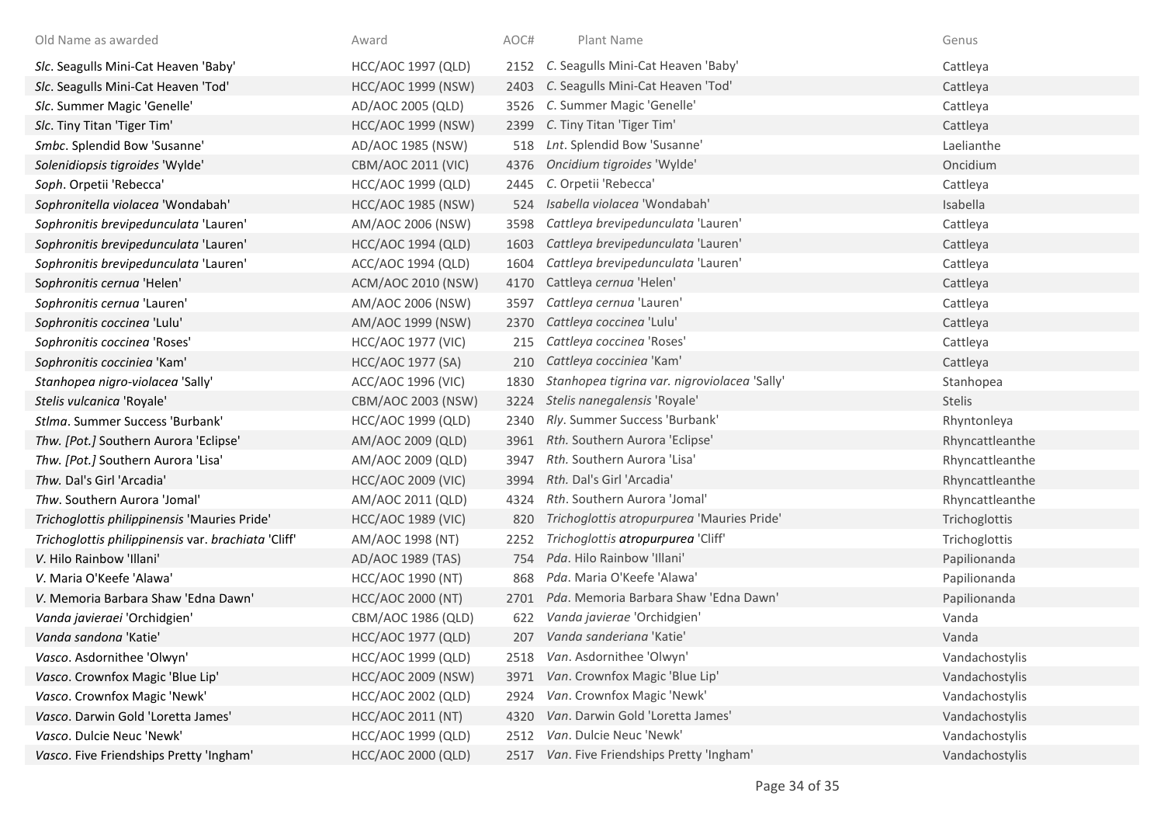| Old Name as awarded                                 | Award                     | AOC# | Plant Name                                   | Genus           |
|-----------------------------------------------------|---------------------------|------|----------------------------------------------|-----------------|
| Slc. Seagulls Mini-Cat Heaven 'Baby'                | HCC/AOC 1997 (QLD)        | 2152 | C. Seagulls Mini-Cat Heaven 'Baby'           | Cattleya        |
| Slc. Seagulls Mini-Cat Heaven 'Tod'                 | <b>HCC/AOC 1999 (NSW)</b> | 2403 | C. Seagulls Mini-Cat Heaven 'Tod'            | Cattleya        |
| Slc. Summer Magic 'Genelle'                         | AD/AOC 2005 (QLD)         | 3526 | C. Summer Magic 'Genelle'                    | Cattleya        |
| Slc. Tiny Titan 'Tiger Tim'                         | <b>HCC/AOC 1999 (NSW)</b> | 2399 | C. Tiny Titan 'Tiger Tim'                    | Cattleya        |
| Smbc. Splendid Bow 'Susanne'                        | AD/AOC 1985 (NSW)         | 518  | Lnt. Splendid Bow 'Susanne'                  | Laelianthe      |
| Solenidiopsis tigroides 'Wylde'                     | CBM/AOC 2011 (VIC)        | 4376 | Oncidium tigroides 'Wylde'                   | Oncidium        |
| Soph. Orpetii 'Rebecca'                             | <b>HCC/AOC 1999 (QLD)</b> | 2445 | C. Orpetii 'Rebecca'                         | Cattleya        |
| Sophronitella violacea 'Wondabah'                   | <b>HCC/AOC 1985 (NSW)</b> | 524  | Isabella violacea 'Wondabah'                 | Isabella        |
| Sophronitis brevipedunculata 'Lauren'               | AM/AOC 2006 (NSW)         | 3598 | Cattleya brevipedunculata 'Lauren'           | Cattleya        |
| Sophronitis brevipedunculata 'Lauren'               | <b>HCC/AOC 1994 (QLD)</b> | 1603 | Cattleya brevipedunculata 'Lauren'           | Cattleya        |
| Sophronitis brevipedunculata 'Lauren'               | ACC/AOC 1994 (QLD)        | 1604 | Cattleya brevipedunculata 'Lauren'           | Cattleya        |
| Sophronitis cernua 'Helen'                          | ACM/AOC 2010 (NSW)        | 4170 | Cattleya cernua 'Helen'                      | Cattleya        |
| Sophronitis cernua 'Lauren'                         | AM/AOC 2006 (NSW)         | 3597 | Cattleya cernua 'Lauren'                     | Cattleya        |
| Sophronitis coccinea 'Lulu'                         | AM/AOC 1999 (NSW)         | 2370 | Cattleya coccinea 'Lulu'                     | Cattleya        |
| Sophronitis coccinea 'Roses'                        | <b>HCC/AOC 1977 (VIC)</b> | 215  | Cattleya coccinea 'Roses'                    | Cattleya        |
| Sophronitis cocciniea 'Kam'                         | HCC/AOC 1977 (SA)         | 210  | Cattleya cocciniea 'Kam'                     | Cattleya        |
| Stanhopea nigro-violacea 'Sally'                    | ACC/AOC 1996 (VIC)        | 1830 | Stanhopea tigrina var. nigroviolacea 'Sally' | Stanhopea       |
| Stelis vulcanica 'Royale'                           | CBM/AOC 2003 (NSW)        | 3224 | Stelis nanegalensis 'Royale'                 | <b>Stelis</b>   |
| Stlma. Summer Success 'Burbank'                     | HCC/AOC 1999 (QLD)        | 2340 | Rly. Summer Success 'Burbank'                | Rhyntonleya     |
| Thw. [Pot.] Southern Aurora 'Eclipse'               | AM/AOC 2009 (QLD)         | 3961 | Rth. Southern Aurora 'Eclipse'               | Rhyncattleanthe |
| Thw. [Pot.] Southern Aurora 'Lisa'                  | AM/AOC 2009 (QLD)         | 3947 | Rth. Southern Aurora 'Lisa'                  | Rhyncattleanthe |
| Thw. Dal's Girl 'Arcadia'                           | <b>HCC/AOC 2009 (VIC)</b> | 3994 | Rth. Dal's Girl 'Arcadia'                    | Rhyncattleanthe |
| Thw. Southern Aurora 'Jomal'                        | AM/AOC 2011 (QLD)         | 4324 | Rth. Southern Aurora 'Jomal'                 | Rhyncattleanthe |
| Trichoglottis philippinensis 'Mauries Pride'        | <b>HCC/AOC 1989 (VIC)</b> | 820  | Trichoglottis atropurpurea 'Mauries Pride'   | Trichoglottis   |
| Trichoglottis philippinensis var. brachiata 'Cliff' | AM/AOC 1998 (NT)          | 2252 | Trichoglottis atropurpurea 'Cliff'           | Trichoglottis   |
| V. Hilo Rainbow 'Illani'                            | AD/AOC 1989 (TAS)         | 754  | Pda. Hilo Rainbow 'Illani'                   | Papilionanda    |
| V. Maria O'Keefe 'Alawa'                            | HCC/AOC 1990 (NT)         | 868  | Pda. Maria O'Keefe 'Alawa'                   | Papilionanda    |
| V. Memoria Barbara Shaw 'Edna Dawn'                 | <b>HCC/AOC 2000 (NT)</b>  | 2701 | Pda. Memoria Barbara Shaw 'Edna Dawn'        | Papilionanda    |
| Vanda javieraei 'Orchidgien'                        | CBM/AOC 1986 (QLD)        | 622  | Vanda javierae 'Orchidgien'                  | Vanda           |
| Vanda sandona 'Katie'                               | HCC/AOC 1977 (QLD)        | 207  | Vanda sanderiana 'Katie'                     | Vanda           |
| Vasco. Asdornithee 'Olwyn'                          | HCC/AOC 1999 (QLD)        | 2518 | Van. Asdornithee 'Olwyn'                     | Vandachostylis  |
| Vasco. Crownfox Magic 'Blue Lip'                    | <b>HCC/AOC 2009 (NSW)</b> | 3971 | Van. Crownfox Magic 'Blue Lip'               | Vandachostylis  |
| Vasco. Crownfox Magic 'Newk'                        | <b>HCC/AOC 2002 (QLD)</b> | 2924 | Van. Crownfox Magic 'Newk'                   | Vandachostylis  |
| Vasco. Darwin Gold 'Loretta James'                  | HCC/AOC 2011 (NT)         | 4320 | Van. Darwin Gold 'Loretta James'             | Vandachostylis  |
| Vasco. Dulcie Neuc 'Newk'                           | <b>HCC/AOC 1999 (QLD)</b> | 2512 | Van. Dulcie Neuc 'Newk'                      | Vandachostylis  |
| Vasco. Five Friendships Pretty 'Ingham'             | HCC/AOC 2000 (QLD)        | 2517 | Van. Five Friendships Pretty 'Ingham'        | Vandachostylis  |